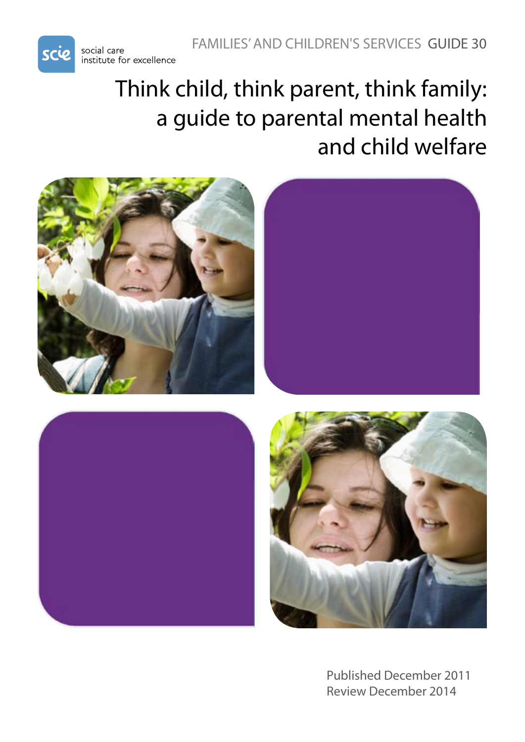

# Think child, think parent, think family: a guide to parental mental health and child welfare









Published December 2011 Review December 2014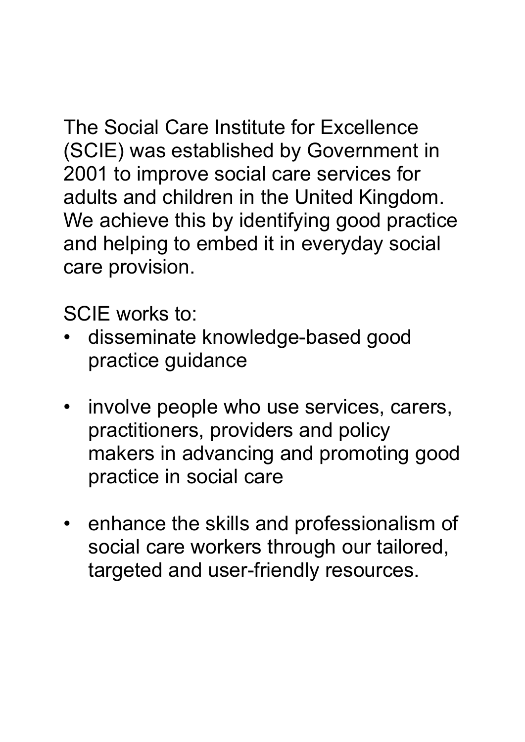The Social Care Institute for Excellence (SCIE) was established by Government in 2001 to improve social care services for adults and children in the United Kingdom. We achieve this by identifying good practice and helping to embed it in everyday social care provision.

SCIE works to:

- disseminate knowledge-based good practice guidance
- involve people who use services, carers, practitioners, providers and policy makers in advancing and promoting good practice in social care
- enhance the skills and professionalism of social care workers through our tailored, targeted and user-friendly resources.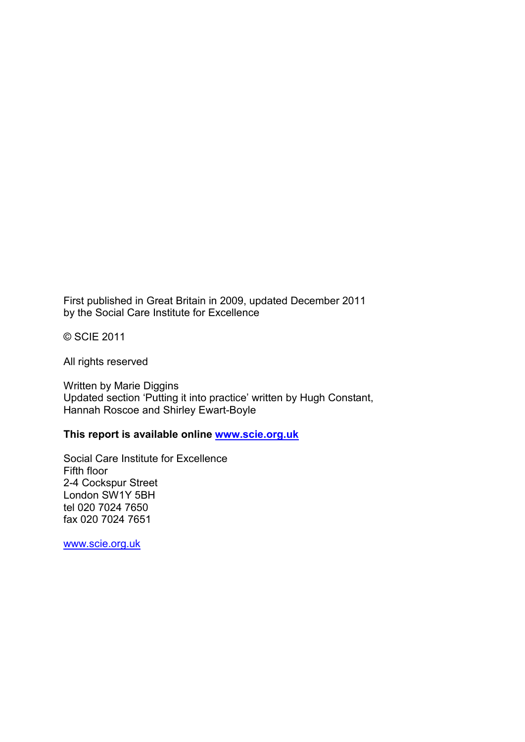First published in Great Britain in 2009, updated December 2011 by the Social Care Institute for Excellence

© SCIE 2011

All rights reserved

Written by Marie Diggins Updated section 'Putting it into practice' written by Hugh Constant, Hannah Roscoe and Shirley Ewart-Boyle

#### **This report is available online [www.scie.org.uk](http://www.scie.org.uk/)**

Social Care Institute for Excellence Fifth floor 2-4 Cockspur Street London SW1Y 5BH tel 020 7024 7650 fax 020 7024 7651

[www.scie.org.uk](http://www.scie.org.uk/)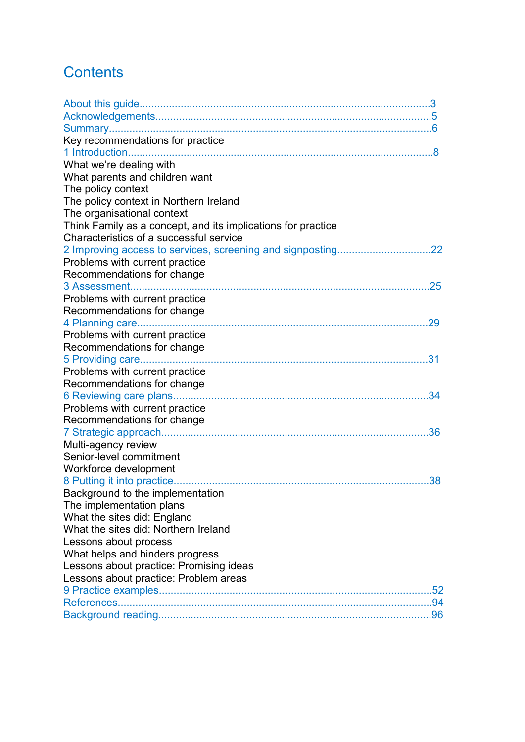# **Contents**

| Key recommendations for practice                             |
|--------------------------------------------------------------|
|                                                              |
| What we're dealing with                                      |
| What parents and children want                               |
| The policy context                                           |
| The policy context in Northern Ireland                       |
| The organisational context                                   |
| Think Family as a concept, and its implications for practice |
| Characteristics of a successful service                      |
|                                                              |
| Problems with current practice                               |
| Recommendations for change                                   |
| .25                                                          |
| Problems with current practice                               |
| Recommendations for change                                   |
|                                                              |
| Problems with current practice                               |
| Recommendations for change                                   |
| 31                                                           |
| Problems with current practice                               |
| Recommendations for change                                   |
| 34                                                           |
| Problems with current practice                               |
| Recommendations for change                                   |
| 36                                                           |
| Multi-agency review                                          |
| Senior-level commitment                                      |
| Workforce development                                        |
| .38                                                          |
| Background to the implementation                             |
| The implementation plans                                     |
| What the sites did: England                                  |
| What the sites did: Northern Ireland                         |
| Lessons about process                                        |
| What helps and hinders progress                              |
| Lessons about practice: Promising ideas                      |
| Lessons about practice: Problem areas                        |
|                                                              |
|                                                              |
|                                                              |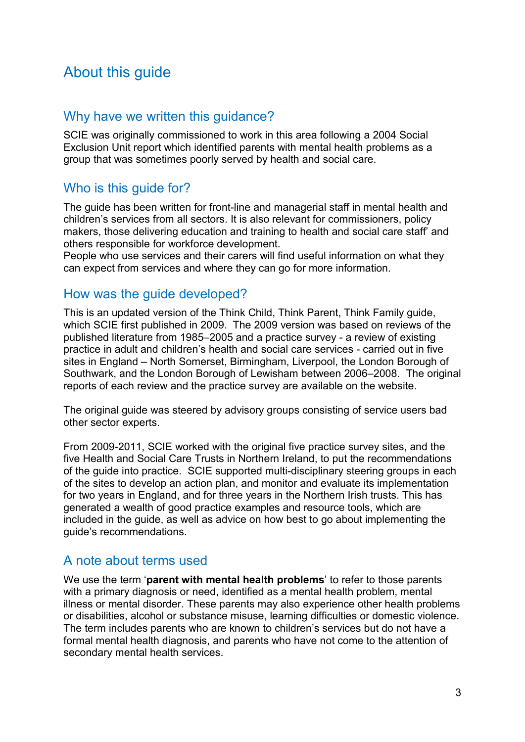# About this guide

### Why have we written this guidance?

SCIE was originally commissioned to work in this area following a 2004 Social Exclusion Unit report which identified parents with mental health problems as a group that was sometimes poorly served by health and social care.

### Who is this guide for?

The guide has been written for front-line and managerial staff in mental health and children's services from all sectors. It is also relevant for commissioners, policy makers, those delivering education and training to health and social care staff' and others responsible for workforce development.

People who use services and their carers will find useful information on what they can expect from services and where they can go for more information.

#### How was the guide developed?

This is an updated version of the Think Child, Think Parent, Think Family guide, which SCIE first published in 2009. The 2009 version was based on reviews of the published literature from 1985–2005 and a practice survey - a review of existing practice in adult and children's health and social care services - carried out in five sites in England – North Somerset, Birmingham, Liverpool, the London Borough of Southwark, and the London Borough of Lewisham between 2006–2008. The original reports of each review and the practice survey are available on the website.

The original guide was steered by advisory groups consisting of service users bad other sector experts.

From 2009-2011, SCIE worked with the original five practice survey sites, and the five Health and Social Care Trusts in Northern Ireland, to put the recommendations of the guide into practice. SCIE supported multi-disciplinary steering groups in each of the sites to develop an action plan, and monitor and evaluate its implementation for two years in England, and for three years in the Northern Irish trusts. This has generated a wealth of good practice examples and resource tools, which are included in the guide, as well as advice on how best to go about implementing the guide's recommendations.

# A note about terms used

We use the term '**parent with mental health problems**' to refer to those parents with a primary diagnosis or need, identified as a mental health problem, mental illness or mental disorder. These parents may also experience other health problems or disabilities, alcohol or substance misuse, learning difficulties or domestic violence. The term includes parents who are known to children's services but do not have a formal mental health diagnosis, and parents who have not come to the attention of secondary mental health services.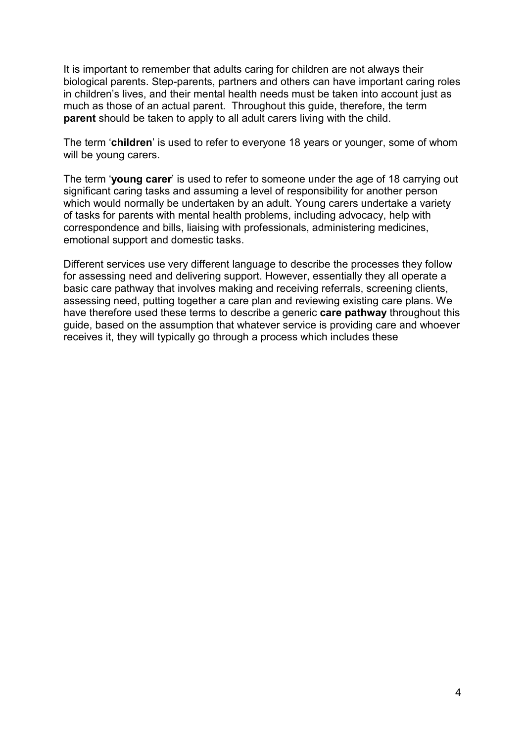It is important to remember that adults caring for children are not always their biological parents. Step-parents, partners and others can have important caring roles in children's lives, and their mental health needs must be taken into account just as much as those of an actual parent. Throughout this guide, therefore, the term **parent** should be taken to apply to all adult carers living with the child.

The term '**children**' is used to refer to everyone 18 years or younger, some of whom will be young carers.

The term '**young carer**' is used to refer to someone under the age of 18 carrying out significant caring tasks and assuming a level of responsibility for another person which would normally be undertaken by an adult. Young carers undertake a variety of tasks for parents with mental health problems, including advocacy, help with correspondence and bills, liaising with professionals, administering medicines, emotional support and domestic tasks.

Different services use very different language to describe the processes they follow for assessing need and delivering support. However, essentially they all operate a basic care pathway that involves making and receiving referrals, screening clients, assessing need, putting together a care plan and reviewing existing care plans. We have therefore used these terms to describe a generic **care pathway** throughout this guide, based on the assumption that whatever service is providing care and whoever receives it, they will typically go through a process which includes these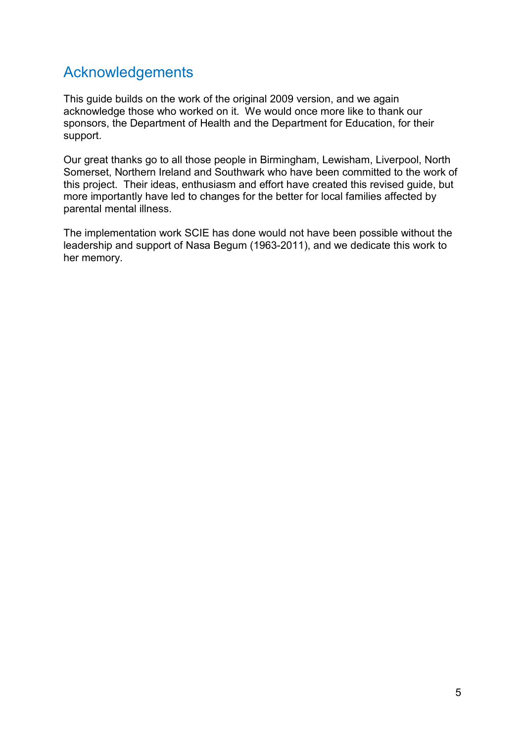# Acknowledgements

This guide builds on the work of the original 2009 version, and we again acknowledge those who worked on it. We would once more like to thank our sponsors, the Department of Health and the Department for Education, for their support.

Our great thanks go to all those people in Birmingham, Lewisham, Liverpool, North Somerset, Northern Ireland and Southwark who have been committed to the work of this project. Their ideas, enthusiasm and effort have created this revised guide, but more importantly have led to changes for the better for local families affected by parental mental illness.

The implementation work SCIE has done would not have been possible without the leadership and support of Nasa Begum (1963-2011), and we dedicate this work to her memory.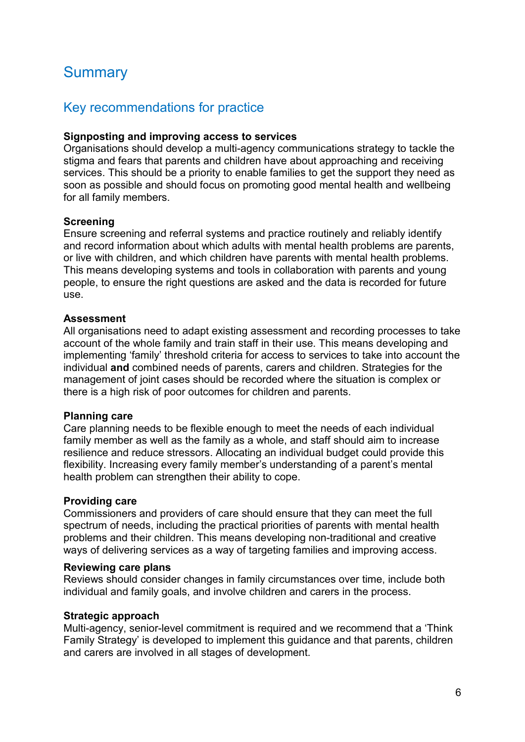# **Summary**

### Key recommendations for practice

#### **Signposting and improving access to services**

Organisations should develop a multi-agency communications strategy to tackle the stigma and fears that parents and children have about approaching and receiving services. This should be a priority to enable families to get the support they need as soon as possible and should focus on promoting good mental health and wellbeing for all family members.

#### **Screening**

Ensure screening and referral systems and practice routinely and reliably identify and record information about which adults with mental health problems are parents, or live with children, and which children have parents with mental health problems. This means developing systems and tools in collaboration with parents and young people, to ensure the right questions are asked and the data is recorded for future use.

#### **Assessment**

All organisations need to adapt existing assessment and recording processes to take account of the whole family and train staff in their use. This means developing and implementing 'family' threshold criteria for access to services to take into account the individual **and** combined needs of parents, carers and children. Strategies for the management of joint cases should be recorded where the situation is complex or there is a high risk of poor outcomes for children and parents.

#### **Planning care**

Care planning needs to be flexible enough to meet the needs of each individual family member as well as the family as a whole, and staff should aim to increase resilience and reduce stressors. Allocating an individual budget could provide this flexibility. Increasing every family member's understanding of a parent's mental health problem can strengthen their ability to cope.

#### **Providing care**

Commissioners and providers of care should ensure that they can meet the full spectrum of needs, including the practical priorities of parents with mental health problems and their children. This means developing non-traditional and creative ways of delivering services as a way of targeting families and improving access.

#### **Reviewing care plans**

Reviews should consider changes in family circumstances over time, include both individual and family goals, and involve children and carers in the process.

#### **Strategic approach**

Multi-agency, senior-level commitment is required and we recommend that a 'Think Family Strategy' is developed to implement this guidance and that parents, children and carers are involved in all stages of development.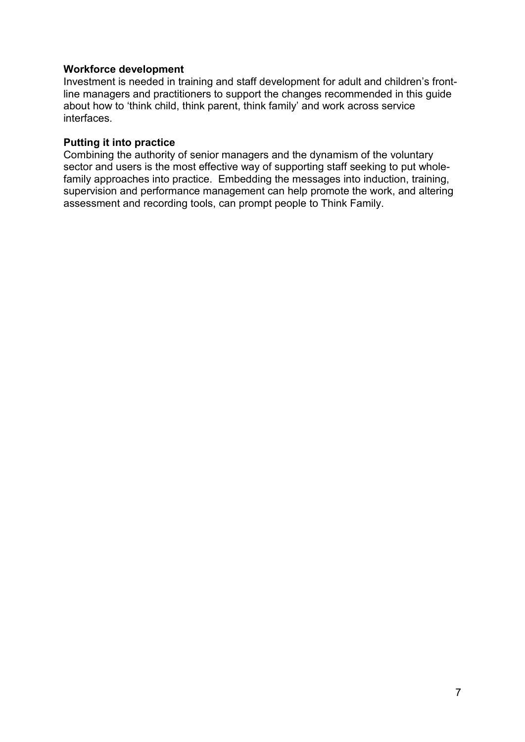#### **Workforce development**

Investment is needed in training and staff development for adult and children's frontline managers and practitioners to support the changes recommended in this guide about how to 'think child, think parent, think family' and work across service interfaces.

#### **Putting it into practice**

Combining the authority of senior managers and the dynamism of the voluntary sector and users is the most effective way of supporting staff seeking to put wholefamily approaches into practice. Embedding the messages into induction, training, supervision and performance management can help promote the work, and altering assessment and recording tools, can prompt people to Think Family.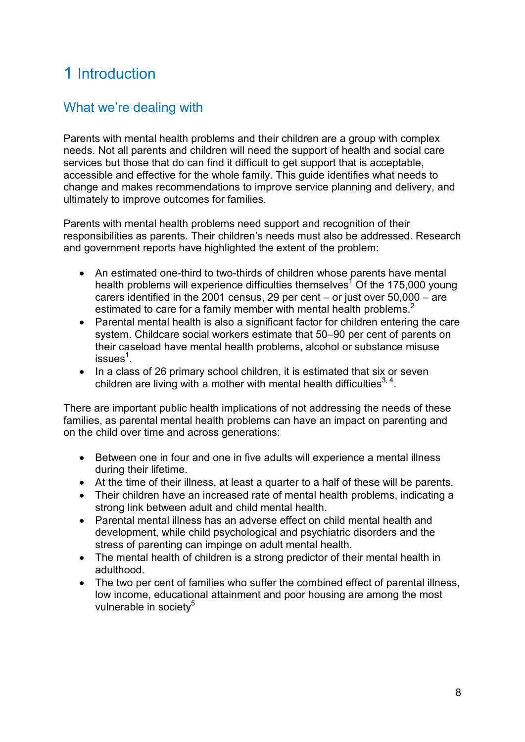# 1 Introduction

# What we're dealing with

Parents with mental health problems and their children are a group with complex needs. Not all parents and children will need the support of health and social care services but those that do can find it difficult to get support that is acceptable, accessible and effective for the whole family. This guide identifies what needs to change and makes recommendations to improve service planning and delivery, and ultimately to improve outcomes for families.

Parents with mental health problems need support and recognition of their responsibilities as parents. Their children's needs must also be addressed. Research and government reports have highlighted the extent of the problem:

- An estimated one-third to two-thirds of children whose parents have mental health problems will experience difficulties themselves<sup>1</sup> Of the 175,000 young carers identified in the 2001 census, 29 per cent – or just over 50,000 – are estimated to care for a family member with mental health problems. $2$
- Parental mental health is also a significant factor for children entering the care system. Childcare social workers estimate that 50–90 per cent of parents on their caseload have mental health problems, alcohol or substance misuse issues $^1$ .
- In a class of 26 primary school children, it is estimated that six or seven children are living with a mother with mental health difficulties<sup>3, 4</sup>.

There are important public health implications of not addressing the needs of these families, as parental mental health problems can have an impact on parenting and on the child over time and across generations:

- Between one in four and one in five adults will experience a mental illness during their lifetime.
- At the time of their illness, at least a quarter to a half of these will be parents.
- Their children have an increased rate of mental health problems, indicating a strong link between adult and child mental health.
- Parental mental illness has an adverse effect on child mental health and development, while child psychological and psychiatric disorders and the stress of parenting can impinge on adult mental health.
- The mental health of children is a strong predictor of their mental health in adulthood.
- The two per cent of families who suffer the combined effect of parental illness, low income, educational attainment and poor housing are among the most vulnerable in society<sup>5</sup>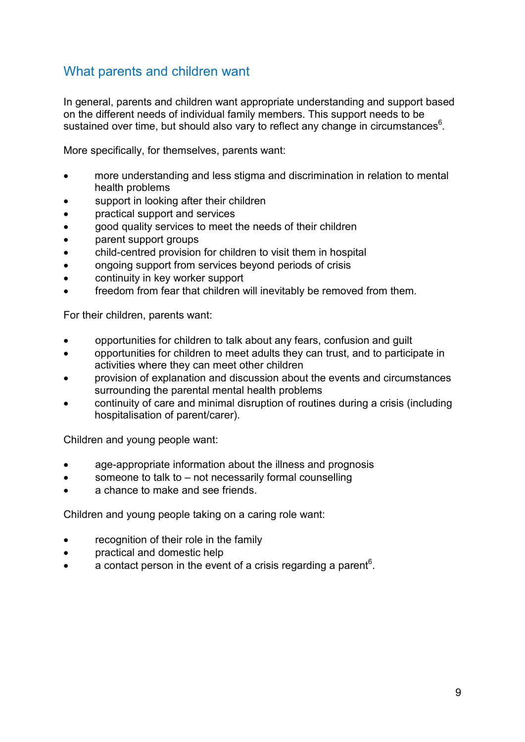# What parents and children want

In general, parents and children want appropriate understanding and support based on the different needs of individual family members. This support needs to be sustained over time, but should also vary to reflect any change in circumstances $6$ .

More specifically, for themselves, parents want:

- more understanding and less stigma and discrimination in relation to mental health problems
- support in looking after their children
- practical support and services
- good quality services to meet the needs of their children
- parent support groups
- child-centred provision for children to visit them in hospital
- ongoing support from services beyond periods of crisis
- continuity in key worker support
- freedom from fear that children will inevitably be removed from them.

For their children, parents want:

- opportunities for children to talk about any fears, confusion and guilt
- opportunities for children to meet adults they can trust, and to participate in activities where they can meet other children
- provision of explanation and discussion about the events and circumstances surrounding the parental mental health problems
- continuity of care and minimal disruption of routines during a crisis (including hospitalisation of parent/carer).

Children and young people want:

- age-appropriate information about the illness and prognosis
- someone to talk to  $-$  not necessarily formal counselling
- a chance to make and see friends.

Children and young people taking on a caring role want:

- recognition of their role in the family
- practical and domestic help
- a contact person in the event of a crisis regarding a parent<sup>6</sup>.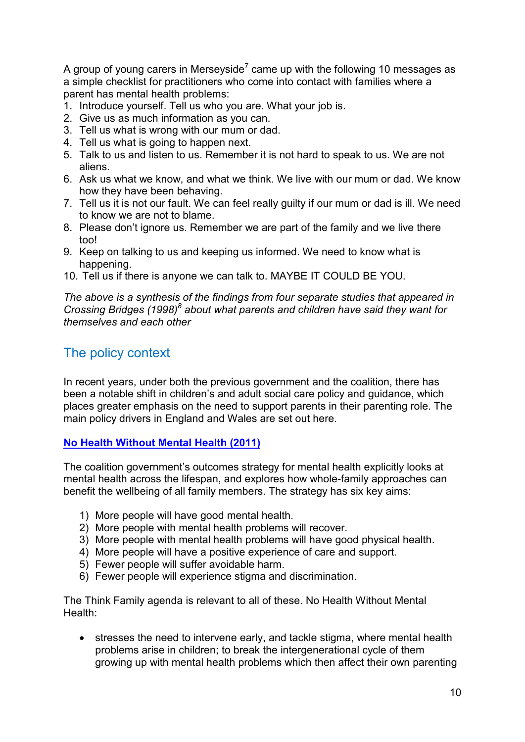A group of young carers in Merseyside<sup>7</sup> came up with the following 10 messages as a simple checklist for practitioners who come into contact with families where a parent has mental health problems:

- 1. Introduce yourself. Tell us who you are. What your job is.
- 2. Give us as much information as you can.
- 3. Tell us what is wrong with our mum or dad.
- 4. Tell us what is going to happen next.
- 5. Talk to us and listen to us. Remember it is not hard to speak to us. We are not aliens.
- 6. Ask us what we know, and what we think. We live with our mum or dad. We know how they have been behaving.
- 7. Tell us it is not our fault. We can feel really guilty if our mum or dad is ill. We need to know we are not to blame.
- 8. Please don't ignore us. Remember we are part of the family and we live there too!
- 9. Keep on talking to us and keeping us informed. We need to know what is happening.
- 10. Tell us if there is anyone we can talk to. MAYBE IT COULD BE YOU.

*The above is a synthesis of the findings from four separate studies that appeared in Crossing Bridges (1998)<sup>8</sup> about what parents and children have said they want for themselves and each other* 

### The policy context

In recent years, under both the previous government and the coalition, there has been a notable shift in children's and adult social care policy and guidance, which places greater emphasis on the need to support parents in their parenting role. The main policy drivers in England and Wales are set out here.

#### **[No Health Without Mental Health \(2011\)](http://www.dh.gov.uk/en/Publicationsandstatistics/Publications/PublicationsPolicyAndGuidance/DH_123766)**

The coalition government's outcomes strategy for mental health explicitly looks at mental health across the lifespan, and explores how whole-family approaches can benefit the wellbeing of all family members. The strategy has six key aims:

- 1) More people will have good mental health.
- 2) More people with mental health problems will recover.
- 3) More people with mental health problems will have good physical health.
- 4) More people will have a positive experience of care and support.
- 5) Fewer people will suffer avoidable harm.
- 6) Fewer people will experience stigma and discrimination.

The Think Family agenda is relevant to all of these. No Health Without Mental Health:

• stresses the need to intervene early, and tackle stigma, where mental health problems arise in children; to break the intergenerational cycle of them growing up with mental health problems which then affect their own parenting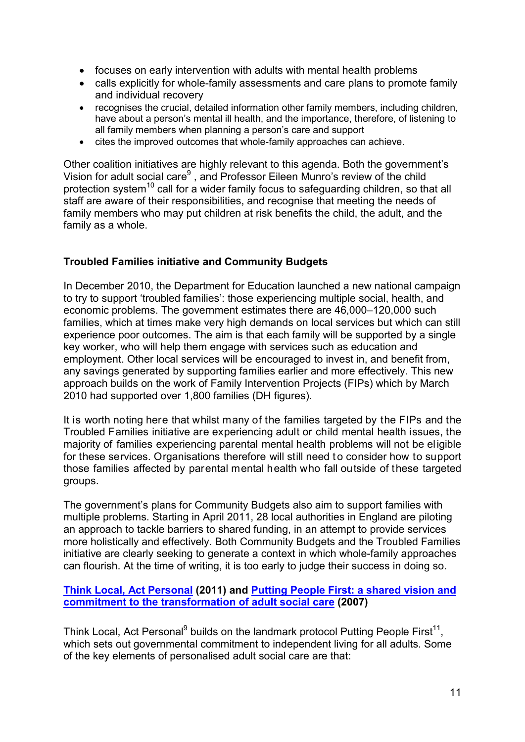- focuses on early intervention with adults with mental health problems
- calls explicitly for whole-family assessments and care plans to promote family and individual recovery
- recognises the crucial, detailed information other family members, including children, have about a person's mental ill health, and the importance, therefore, of listening to all family members when planning a person's care and support
- cites the improved outcomes that whole-family approaches can achieve.

Other coalition initiatives are highly relevant to this agenda. Both the government's Vision for adult social care<sup>9</sup>, and Professor Eileen Munro's review of the child protection system<sup>10</sup> call for a wider family focus to safeguarding children, so that all staff are aware of their responsibilities, and recognise that meeting the needs of family members who may put children at risk benefits the child, the adult, and the family as a whole.

#### **Troubled Families initiative and Community Budgets**

In December 2010, the Department for Education launched a new national campaign to try to support 'troubled families': those experiencing multiple social, health, and economic problems. The government estimates there are 46,000–120,000 such families, which at times make very high demands on local services but which can still experience poor outcomes. The aim is that each family will be supported by a single key worker, who will help them engage with services such as education and employment. Other local services will be encouraged to invest in, and benefit from, any savings generated by supporting families earlier and more effectively. This new approach builds on the work of Family Intervention Projects (FIPs) which by March 2010 had supported over 1,800 families (DH figures).

It is worth noting here that whilst many of the families targeted by the FIPs and the Troubled Families initiative are experiencing adult or child mental health issues, the majority of families experiencing parental mental health problems will not be eligible for these services. Organisations therefore will still need to consider how to support those families affected by parental mental health who fall outside of these targeted groups.

The government's plans for Community Budgets also aim to support families with multiple problems. Starting in April 2011, 28 local authorities in England are piloting an approach to tackle barriers to shared funding, in an attempt to provide services more holistically and effectively. Both Community Budgets and the Troubled Families initiative are clearly seeking to generate a context in which whole-family approaches can flourish. At the time of writing, it is too early to judge their success in doing so.

#### **[Think Local, Act Personal](http://www.thinklocalactpersonal.org.uk/) (2011) and [Putting People First: a shared vision and](http://www.dh.gov.uk/en/Publicationsandstatistics/Publications/PublicationsPolicyAndGuidance/DH_081118)  [commitment to the transformation of adult social care](http://www.dh.gov.uk/en/Publicationsandstatistics/Publications/PublicationsPolicyAndGuidance/DH_081118) (2007)**

Think Local, Act Personal<sup>9</sup> builds on the landmark protocol Putting People First<sup>11</sup>, which sets out governmental commitment to independent living for all adults. Some of the key elements of personalised adult social care are that: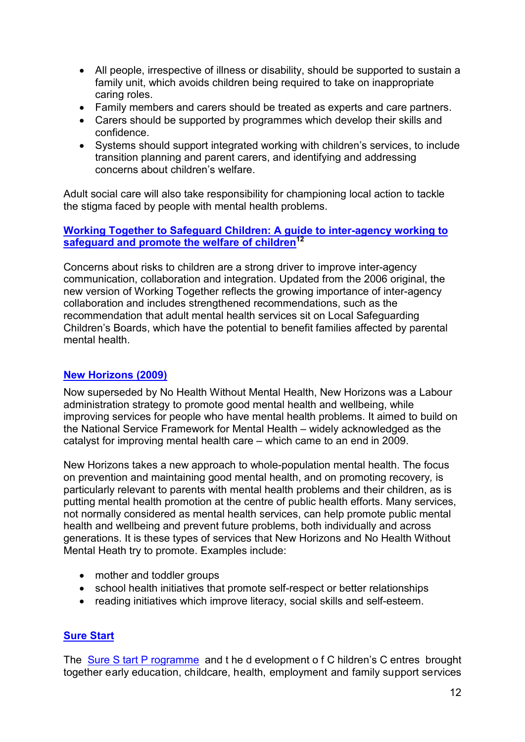- All people, irrespective of illness or disability, should be supported to sustain a family unit, which avoids children being required to take on inappropriate caring roles.
- Family members and carers should be treated as experts and care partners.
- Carers should be supported by programmes which develop their skills and confidence.
- Systems should support integrated working with children's services, to include transition planning and parent carers, and identifying and addressing concerns about children's welfare.

Adult social care will also take responsibility for championing local action to tackle the stigma faced by people with mental health problems.

#### **[Working Together to Safeguard Children: A guide to inter-agency working to](https://www.education.gov.uk/publications/standard/publicationDetail/Page1/DCSF-00305-2010)  [safeguard and promote the welfare of children1](https://www.education.gov.uk/publications/standard/publicationDetail/Page1/DCSF-00305-2010)2**

Concerns about risks to children are a strong driver to improve inter-agency communication, collaboration and integration. Updated from the 2006 original, the new version of Working Together reflects the growing importance of inter-agency collaboration and includes strengthened recommendations, such as the recommendation that adult mental health services sit on Local Safeguarding Children's Boards, which have the potential to benefit families affected by parental mental health.

#### **[New Horizons](http://www.dh.gov.uk/en/Publicationsandstatistics/Publications/PublicationsPolicyAndGuidance/DH_109705) (2009)**

Now superseded by No Health Without Mental Health, New Horizons was a Labour administration strategy to promote good mental health and wellbeing, while improving services for people who have mental health problems. It aimed to build on the National Service Framework for Mental Health – widely acknowledged as the catalyst for improving mental health care – which came to an end in 2009.

New Horizons takes a new approach to whole-population mental health. The focus on prevention and maintaining good mental health, and on promoting recovery*,* is particularly relevant to parents with mental health problems and their children, as is putting mental health promotion at the centre of public health efforts. Many services, not normally considered as mental health services, can help promote public mental health and wellbeing and prevent future problems, both individually and across generations. It is these types of services that New Horizons and No Health Without Mental Heath try to promote. Examples include:

- mother and toddler groups
- school health initiatives that promote self-respect or better relationships
- reading initiatives which improve literacy, social skills and self-esteem.

#### **[Sure Start](http://www.direct.gov.uk/en/Parents/Preschooldevelopmentandlearning/NurseriesPlaygroupsReceptionClasses/DG_173054)**

The [Sure S tart P rogramme](http://www.direct.gov.uk/en/Parents/Preschooldevelopmentandlearning/NurseriesPlaygroupsReceptionClasses/DG_173054) and t he d evelopment o f C hildren's C entres brought together early education, childcare, health, employment and family support services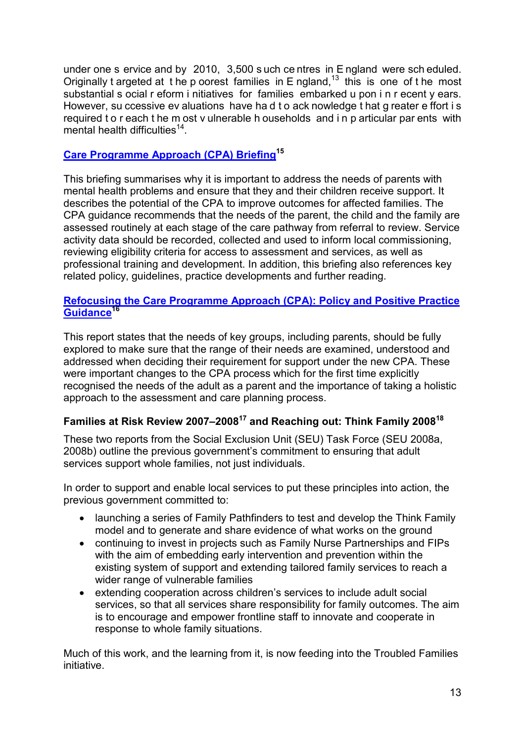under one s ervice and by 2010, 3,500 s uch ce ntres in E ngland were sch eduled. Originally t argeted at the p oorest families in  $E$  ngland,<sup>13</sup> this is one of the most substantial s ocial r eform i nitiatives for families embarked u pon i n r ecent y ears. However, su ccessive ev aluations have ha d t o ack nowledge t hat g reater e ffort i s required t o r each t he m ost v ulnerable h ouseholds and i n p articular par ents with mental health difficulties<sup>14</sup>.

#### **[Care Programme Approach \(CPA\) Briefing1](http://www.scie.org.uk/publications/guides/guide30/files/CPAbriefing.pdf)5**

This briefing summarises why it is important to address the needs of parents with mental health problems and ensure that they and their children receive support. It describes the potential of the CPA to improve outcomes for affected families. The CPA guidance recommends that the needs of the parent, the child and the family are assessed routinely at each stage of the care pathway from referral to review. Service activity data should be recorded, collected and used to inform local commissioning, reviewing eligibility criteria for access to assessment and services, as well as professional training and development. In addition, this briefing also references key related policy, guidelines, practice developments and further reading.

#### **[Refocusing the Care Programme Approach \(CPA\): Policy and Positive Practice](http://www.dh.gov.uk/en/Publicationsandstatistics/Publications/PublicationsPolicyAndGuidance/DH_083647)  [Guidance](http://www.dh.gov.uk/en/Publicationsandstatistics/Publications/PublicationsPolicyAndGuidance/DH_083647)16**

This report states that the needs of key groups, including parents, should be fully explored to make sure that the range of their needs are examined, understood and addressed when deciding their requirement for support under the new CPA. These were important changes to the CPA process which for the first time explicitly recognised the needs of the adult as a parent and the importance of taking a holistic approach to the assessment and care planning process.

### **Families at Risk Review 2007–2008<sup>17</sup> and Reaching out: Think Family 2008<sup>18</sup>**

These two reports from the Social Exclusion Unit (SEU) Task Force (SEU 2008a, 2008b) outline the previous government's commitment to ensuring that adult services support whole families, not just individuals.

In order to support and enable local services to put these principles into action, the previous government committed to:

- launching a series of Family Pathfinders to test and develop the Think Family model and to generate and share evidence of what works on the ground
- continuing to invest in projects such as Family Nurse Partnerships and FIPs with the aim of embedding early intervention and prevention within the existing system of support and extending tailored family services to reach a wider range of vulnerable families
- extending cooperation across children's services to include adult social services, so that all services share responsibility for family outcomes. The aim is to encourage and empower frontline staff to innovate and cooperate in response to whole family situations.

Much of this work, and the learning from it, is now feeding into the Troubled Families initiative.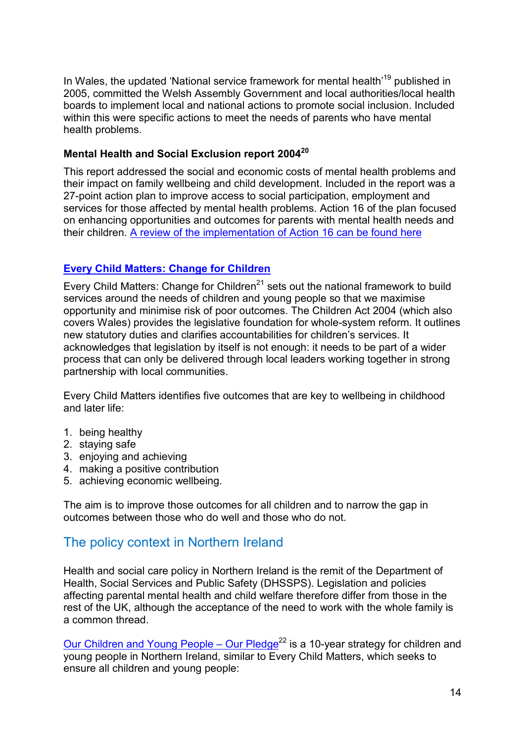In Wales, the updated 'National service framework for mental health'<sup>19</sup> published in 2005, committed the Welsh Assembly Government and local authorities/local health boards to implement local and national actions to promote social inclusion. Included within this were specific actions to meet the needs of parents who have mental health problems.

### **Mental Health and Social Exclusion report 2004<sup>20</sup>**

This report addressed the social and economic costs of mental health problems and their impact on family wellbeing and child development. Included in the report was a 27-point action plan to improve access to social participation, employment and services for those affected by mental health problems. Action 16 of the plan focused on enhancing opportunities and outcomes for parents with mental health needs and their children. [A review of the implementation of Action 16 can be found here](http://www.barnardos.org.uk/action16-2.pdf) 

#### **Every [Child Matters: Change for Children](https://www.education.gov.uk/publications/standard/publicationDetail/Page1/DfES/1081/2004)**

Every Child Matters: Change for Children $^{21}$  sets out the national framework to build services around the needs of children and young people so that we maximise opportunity and minimise risk of poor outcomes. The Children Act 2004 (which also covers Wales) provides the legislative foundation for whole-system reform. It outlines new statutory duties and clarifies accountabilities for children's services. It acknowledges that legislation by itself is not enough: it needs to be part of a wider process that can only be delivered through local leaders working together in strong partnership with local communities.

Every Child Matters identifies five outcomes that are key to wellbeing in childhood and later life:

- 1. being healthy
- 2. staying safe
- 3. enjoying and achieving
- 4. making a positive contribution
- 5. achieving economic wellbeing.

The aim is to improve those outcomes for all children and to narrow the gap in outcomes between those who do well and those who do not.

### The policy context in Northern Ireland

Health and social care policy in Northern Ireland is the remit of the Department of Health, Social Services and Public Safety (DHSSPS). Legislation and policies affecting parental mental health and child welfare therefore differ from those in the rest of the UK, although the acceptance of the need to work with the whole family is a common thread.

Our Children and Young People – Our Pledge<sup>22</sup> is a 10-year strategy for children and young people in Northern Ireland, similar to Every Child Matters, which seeks to ensure all children and young people: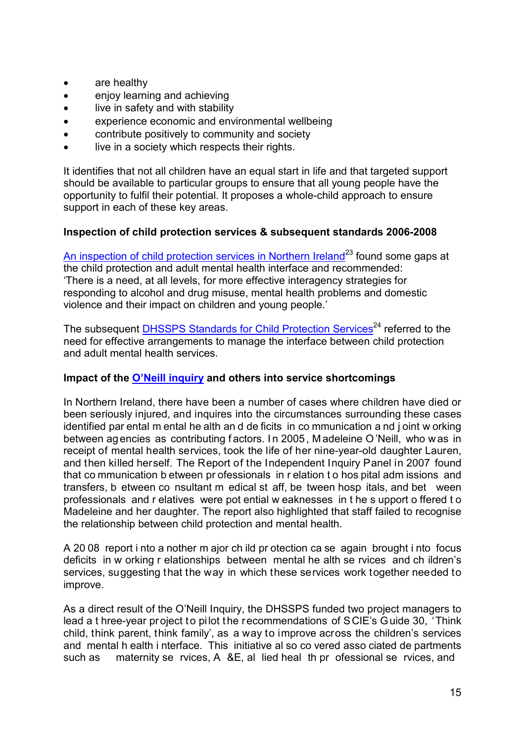- are healthy
- enjoy learning and achieving
- live in safety and with stability
- experience economic and environmental wellbeing
- contribute positively to community and society
- live in a society which respects their rights.

It identifies that not all children have an equal start in life and that targeted support should be available to particular groups to ensure that all young people have the opportunity to fulfil their potential. It proposes a whole-child approach to ensure support in each of these key areas.

#### **Inspection of child protection services & subsequent standards 2006-2008**

[An inspection of child protection services in Northern Ireland](http://www.dhsspsni.gov.uk/index/ssi/oss-child-protection.htm)<sup>23</sup> found some gaps at the child protection and adult mental health interface and recommended: 'There is a need, at all levels, for more effective interagency strategies for responding to alcohol and drug misuse, mental health problems and domestic violence and their impact on children and young people.'

The subsequent [DHSSPS Standards for Child Protection Services](http://www.dhsspsni.gov.uk/standards_for_child_protection_services.pdf)<sup>24</sup> referred to the need for effective arrangements to manage the interface between child protection and adult mental health services.

#### **Impact of the [O'Neill inquiry](http://www.whssb.n-i.nhs.uk/lnews/Executive%20Summary%20-%20of%20the%20Report%20of%20the%20Independent%20Inquiry%20Panel%20-%20PDF%2098Kb.pdf) and others into service shortcomings**

In Northern Ireland, there have been a number of cases where children have died or been seriously injured, and inquires into the circumstances surrounding these cases identified par ental m ental he alth an d de ficits in co mmunication a nd j oint w orking between ag encies as contributing f actors. I n 2005 , M adeleine O 'Neill, who was in receipt of mental health services, took the life of her nine-year-old daughter Lauren, and then killed herself. The Report of the Independent Inquiry Panel in 2007 found that co mmunication b etween pr ofessionals in r elation t o hos pital adm issions and transfers, b etween co nsultant m edical st aff, be tween hosp itals, and bet ween professionals and r elatives were pot ential w eaknesses in t he s upport o ffered t o Madeleine and her daughter. The report also highlighted that staff failed to recognise the relationship between child protection and mental health.

A 20 08 report i nto a nother m ajor ch ild pr otection ca se again brought i nto focus deficits in w orking r elationships between mental he alth se rvices and ch ildren's services, suggesting that the way in which these services work together needed to improve.

As a direct result of the O'Neill Inquiry, the DHSSPS funded two project managers to lead a t hree-year project to pilot the recommendations of SCIE's Guide 30, 'Think child, think parent, think family', as a way to improve across the children's services and mental h ealth i nterface. This initiative al so co vered asso ciated de partments such as maternity se rvices, A &E, al lied heal th pr ofessional se rvices, and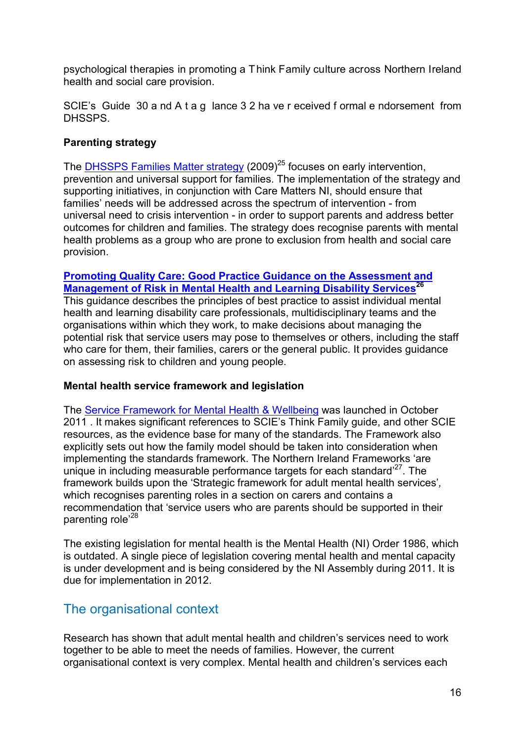psychological therapies in promoting a Think Family culture across Northern Ireland health and social care provision.

SCIE's Guide 30 a nd A t a g lance 3 2 ha ve r eceived f ormal e ndorsement from DHSSPS.

#### **Parenting strategy**

The **DHSSPS Families Matter strategy** (2009)<sup>25</sup> focuses on early intervention, prevention and universal support for families. The implementation of the strategy and supporting initiatives, in conjunction with Care Matters NI, should ensure that families' needs will be addressed across the spectrum of intervention - from universal need to crisis intervention - in order to support parents and address better outcomes for children and families. The strategy does recognise parents with mental health problems as a group who are prone to exclusion from health and social care provision.

#### **[Promoting Quality Care: Good Practice Guidance on the Assessment and](http://www.scie-socialcareonline.org.uk/profile.asp?guid=cf9731e3-9f97-40cb-acd7-9b1735ad429a)  [Management of Risk in Mental Health and Learning Disability Services](http://www.scie-socialcareonline.org.uk/profile.asp?guid=cf9731e3-9f97-40cb-acd7-9b1735ad429a)<sup>26</sup>**

This guidance describes the principles of best practice to assist individual mental health and learning disability care professionals, multidisciplinary teams and the organisations within which they work, to make decisions about managing the potential risk that service users may pose to themselves or others, including the staff who care for them, their families, carers or the general public. It provides guidance on assessing risk to children and young people.

#### **Mental health service framework and legislation**

The Service Framework for Mental Health & Wellbeing was launched in October 2011 . It makes significant references to SCIE's Think Family guide, and other SCIE resources, as the evidence base for many of the standards. The Framework also explicitly sets out how the family model should be taken into consideration when implementing the standards framework. The Northern Ireland Frameworks 'are unique in including measurable performance targets for each standard<sup> $27$ </sup>. The framework builds upon the 'Strategic framework for adult mental health services'*,*  which recognises parenting roles in a section on carers and contains a recommendation that 'service users who are parents should be supported in their parenting role'28

The existing legislation for mental health is the Mental Health (NI) Order 1986, which is outdated. A single piece of legislation covering mental health and mental capacity is under development and is being considered by the NI Assembly during 2011. It is due for implementation in 2012.

### The organisational context

Research has shown that adult mental health and children's services need to work together to be able to meet the needs of families. However, the current organisational context is very complex. Mental health and children's services each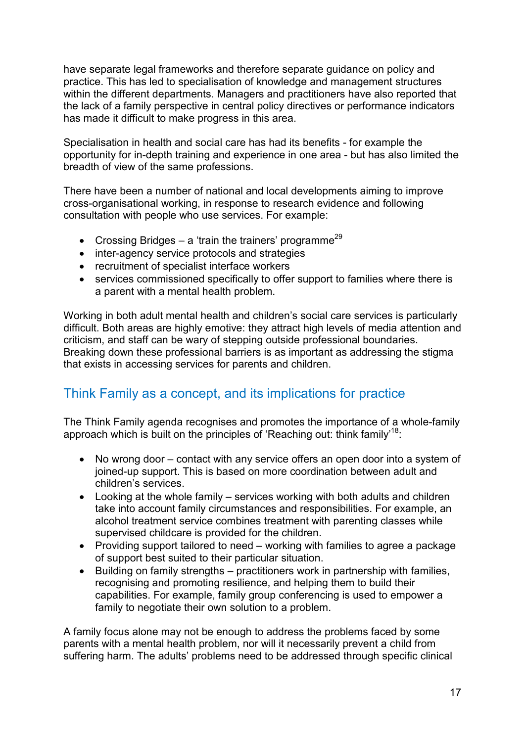have separate legal frameworks and therefore separate guidance on policy and practice. This has led to specialisation of knowledge and management structures within the different departments. Managers and practitioners have also reported that the lack of a family perspective in central policy directives or performance indicators has made it difficult to make progress in this area.

Specialisation in health and social care has had its benefits - for example the opportunity for in-depth training and experience in one area - but has also limited the breadth of view of the same professions.

There have been a number of national and local developments aiming to improve cross-organisational working, in response to research evidence and following consultation with people who use services. For example:

- Crossing Bridges a 'train the trainers' programme<sup>29</sup>
- inter-agency service protocols and strategies
- recruitment of specialist interface workers
- services commissioned specifically to offer support to families where there is a parent with a mental health problem.

Working in both adult mental health and children's social care services is particularly difficult. Both areas are highly emotive: they attract high levels of media attention and criticism, and staff can be wary of stepping outside professional boundaries. Breaking down these professional barriers is as important as addressing the stigma that exists in accessing services for parents and children.

# Think Family as a concept, and its implications for practice

The Think Family agenda recognises and promotes the importance of a whole-family approach which is built on the principles of 'Reaching out: think family<sup>18</sup>:

- No wrong door contact with any service offers an open door into a system of joined-up support. This is based on more coordination between adult and children's services.
- Looking at the whole family services working with both adults and children take into account family circumstances and responsibilities. For example, an alcohol treatment service combines treatment with parenting classes while supervised childcare is provided for the children.
- Providing support tailored to need working with families to agree a package of support best suited to their particular situation.
- Building on family strengths practitioners work in partnership with families, recognising and promoting resilience, and helping them to build their capabilities. For example, family group conferencing is used to empower a family to negotiate their own solution to a problem.

A family focus alone may not be enough to address the problems faced by some parents with a mental health problem, nor will it necessarily prevent a child from suffering harm. The adults' problems need to be addressed through specific clinical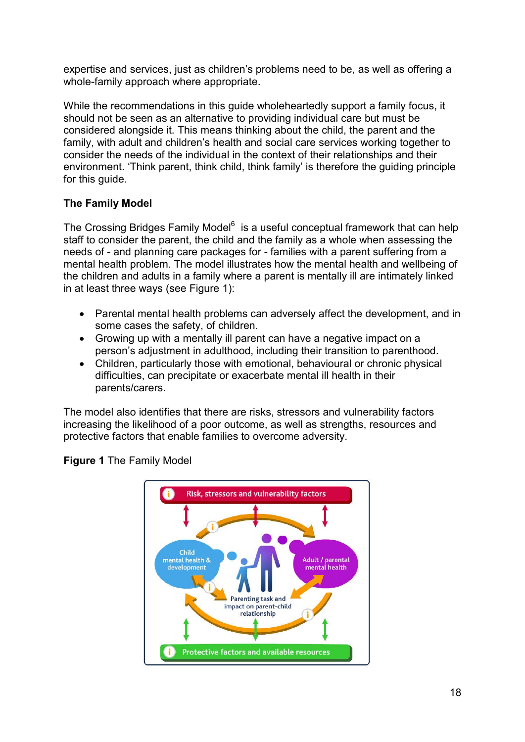expertise and services, just as children's problems need to be, as well as offering a whole-family approach where appropriate.

While the recommendations in this guide wholeheartedly support a family focus, it should not be seen as an alternative to providing individual care but must be considered alongside it. This means thinking about the child, the parent and the family, with adult and children's health and social care services working together to consider the needs of the individual in the context of their relationships and their environment. 'Think parent, think child, think family' is therefore the guiding principle for this quide.

#### **The Family Model**

The Crossing Bridges Family Model<sup>6</sup> is a useful conceptual framework that can help staff to consider the parent, the child and the family as a whole when assessing the needs of - and planning care packages for - families with a parent suffering from a mental health problem. The model illustrates how the mental health and wellbeing of the children and adults in a family where a parent is mentally ill are intimately linked in at least three ways (see Figure 1):

- Parental mental health problems can adversely affect the development, and in some cases the safety, of children.
- Growing up with a mentally ill parent can have a negative impact on a person's adjustment in adulthood, including their transition to parenthood.
- Children, particularly those with emotional, behavioural or chronic physical difficulties, can precipitate or exacerbate mental ill health in their parents/carers.

The model also identifies that there are risks, stressors and vulnerability factors increasing the likelihood of a poor outcome, as well as strengths, resources and protective factors that enable families to overcome adversity.



**Figure 1** The Family Model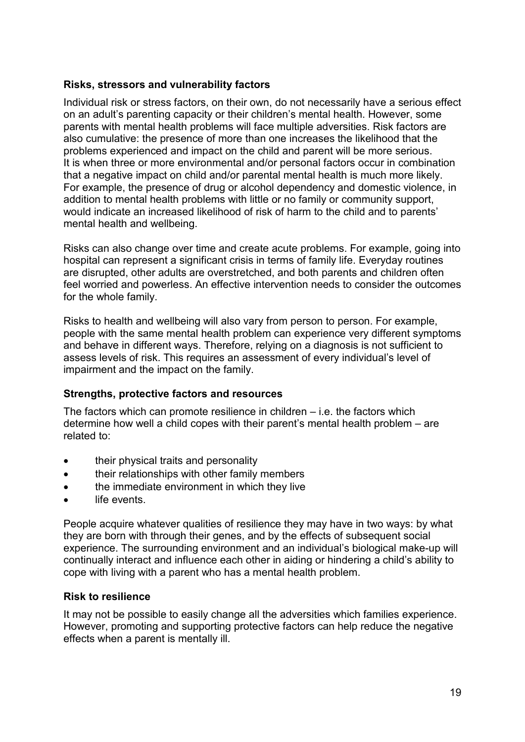#### **Risks, stressors and vulnerability factors**

Individual risk or stress factors, on their own, do not necessarily have a serious effect on an adult's parenting capacity or their children's mental health. However, some parents with mental health problems will face multiple adversities. Risk factors are also cumulative: the presence of more than one increases the likelihood that the problems experienced and impact on the child and parent will be more serious. It is when three or more environmental and/or personal factors occur in combination that a negative impact on child and/or parental mental health is much more likely. For example, the presence of drug or alcohol dependency and domestic violence, in addition to mental health problems with little or no family or community support, would indicate an increased likelihood of risk of harm to the child and to parents' mental health and wellbeing.

Risks can also change over time and create acute problems. For example, going into hospital can represent a significant crisis in terms of family life. Everyday routines are disrupted, other adults are overstretched, and both parents and children often feel worried and powerless. An effective intervention needs to consider the outcomes for the whole family.

Risks to health and wellbeing will also vary from person to person. For example, people with the same mental health problem can experience very different symptoms and behave in different ways. Therefore, relying on a diagnosis is not sufficient to assess levels of risk. This requires an assessment of every individual's level of impairment and the impact on the family.

#### **Strengths, protective factors and resources**

The factors which can promote resilience in children – i.e. the factors which determine how well a child copes with their parent's mental health problem – are related to:

- their physical traits and personality
- their relationships with other family members
- the immediate environment in which they live
- life events.

People acquire whatever qualities of resilience they may have in two ways: by what they are born with through their genes, and by the effects of subsequent social experience. The surrounding environment and an individual's biological make-up will continually interact and influence each other in aiding or hindering a child's ability to cope with living with a parent who has a mental health problem.

#### **Risk to resilience**

It may not be possible to easily change all the adversities which families experience. However, promoting and supporting protective factors can help reduce the negative effects when a parent is mentally ill.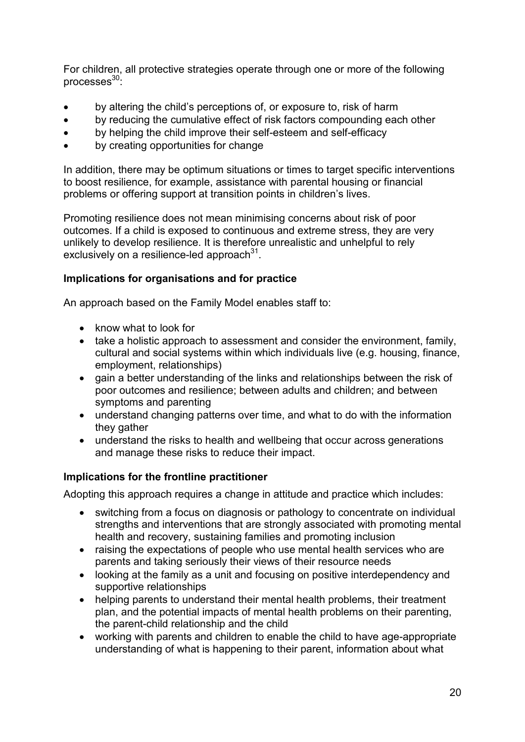For children, all protective strategies operate through one or more of the following processes $30$ :

- by altering the child's perceptions of, or exposure to, risk of harm
- by reducing the cumulative effect of risk factors compounding each other
- by helping the child improve their self-esteem and self-efficacy
- by creating opportunities for change

In addition, there may be optimum situations or times to target specific interventions to boost resilience, for example, assistance with parental housing or financial problems or offering support at transition points in children's lives.

Promoting resilience does not mean minimising concerns about risk of poor outcomes. If a child is exposed to continuous and extreme stress, they are very unlikely to develop resilience. It is therefore unrealistic and unhelpful to rely exclusively on a resilience-led approach $31$ .

#### **Implications for organisations and for practice**

An approach based on the Family Model enables staff to:

- know what to look for
- take a holistic approach to assessment and consider the environment, family, cultural and social systems within which individuals live (e.g. housing, finance, employment, relationships)
- gain a better understanding of the links and relationships between the risk of poor outcomes and resilience; between adults and children; and between symptoms and parenting
- understand changing patterns over time, and what to do with the information they gather
- understand the risks to health and wellbeing that occur across generations and manage these risks to reduce their impact.

#### **Implications for the frontline practitioner**

Adopting this approach requires a change in attitude and practice which includes:

- switching from a focus on diagnosis or pathology to concentrate on individual strengths and interventions that are strongly associated with promoting mental health and recovery, sustaining families and promoting inclusion
- raising the expectations of people who use mental health services who are parents and taking seriously their views of their resource needs
- looking at the family as a unit and focusing on positive interdependency and supportive relationships
- helping parents to understand their mental health problems, their treatment plan, and the potential impacts of mental health problems on their parenting, the parent-child relationship and the child
- working with parents and children to enable the child to have age-appropriate understanding of what is happening to their parent, information about what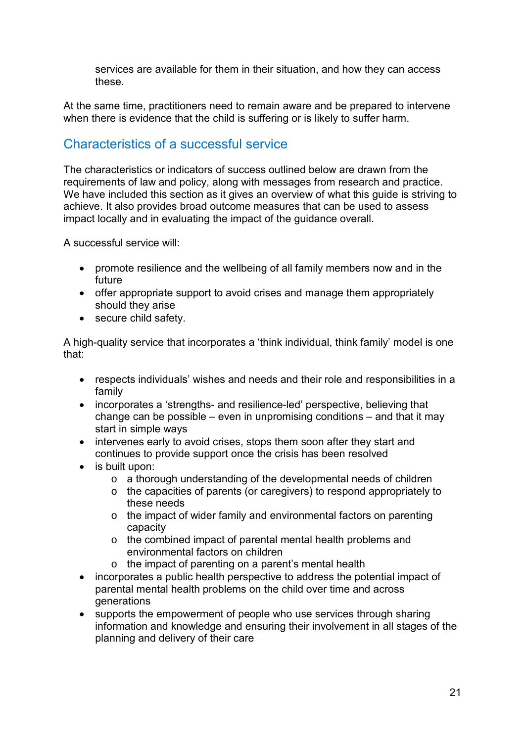services are available for them in their situation, and how they can access these.

At the same time, practitioners need to remain aware and be prepared to intervene when there is evidence that the child is suffering or is likely to suffer harm.

# Characteristics of a successful service

The characteristics or indicators of success outlined below are drawn from the requirements of law and policy, along with messages from research and practice. We have included this section as it gives an overview of what this guide is striving to achieve. It also provides broad outcome measures that can be used to assess impact locally and in evaluating the impact of the guidance overall.

A successful service will:

- promote resilience and the wellbeing of all family members now and in the future
- offer appropriate support to avoid crises and manage them appropriately should they arise
- secure child safety.

A high-quality service that incorporates a 'think individual, think family' model is one that:

- respects individuals' wishes and needs and their role and responsibilities in a family
- incorporates a 'strengths- and resilience-led' perspective, believing that change can be possible – even in unpromising conditions – and that it may start in simple ways
- intervenes early to avoid crises, stops them soon after they start and continues to provide support once the crisis has been resolved
- is built upon:
	- o a thorough understanding of the developmental needs of children
	- o the capacities of parents (or caregivers) to respond appropriately to these needs
	- o the impact of wider family and environmental factors on parenting capacity
	- o the combined impact of parental mental health problems and environmental factors on children
	- o the impact of parenting on a parent's mental health
- incorporates a public health perspective to address the potential impact of parental mental health problems on the child over time and across generations
- supports the empowerment of people who use services through sharing information and knowledge and ensuring their involvement in all stages of the planning and delivery of their care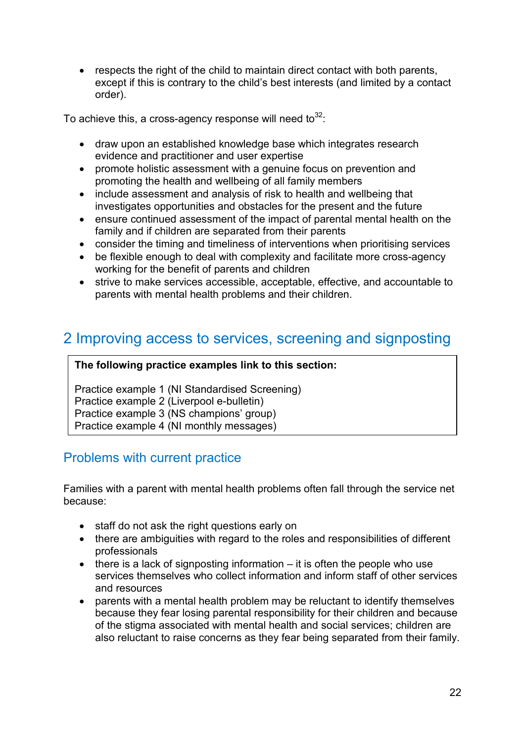• respects the right of the child to maintain direct contact with both parents, except if this is contrary to the child's best interests (and limited by a contact order).

To achieve this, a cross-agency response will need to $32$ :

- draw upon an established knowledge base which integrates research evidence and practitioner and user expertise
- promote holistic assessment with a genuine focus on prevention and promoting the health and wellbeing of all family members
- include assessment and analysis of risk to health and wellbeing that investigates opportunities and obstacles for the present and the future
- ensure continued assessment of the impact of parental mental health on the family and if children are separated from their parents
- consider the timing and timeliness of interventions when prioritising services
- be flexible enough to deal with complexity and facilitate more cross-agency working for the benefit of parents and children
- strive to make services accessible, acceptable, effective, and accountable to parents with mental health problems and their children.

# 2 Improving access to services, screening and signposting

#### **The following practice examples link to this section:**

Practice example 1 (NI Standardised Screening) Practice example 2 (Liverpool e-bulletin) Practice example 3 (NS champions' group) Practice example 4 (NI monthly messages)

# Problems with current practice

Families with a parent with mental health problems often fall through the service net because:

- staff do not ask the right questions early on
- there are ambiguities with regard to the roles and responsibilities of different professionals
- $\bullet$  there is a lack of signposting information it is often the people who use services themselves who collect information and inform staff of other services and resources
- parents with a mental health problem may be reluctant to identify themselves because they fear losing parental responsibility for their children and because of the stigma associated with mental health and social services; children are also reluctant to raise concerns as they fear being separated from their family.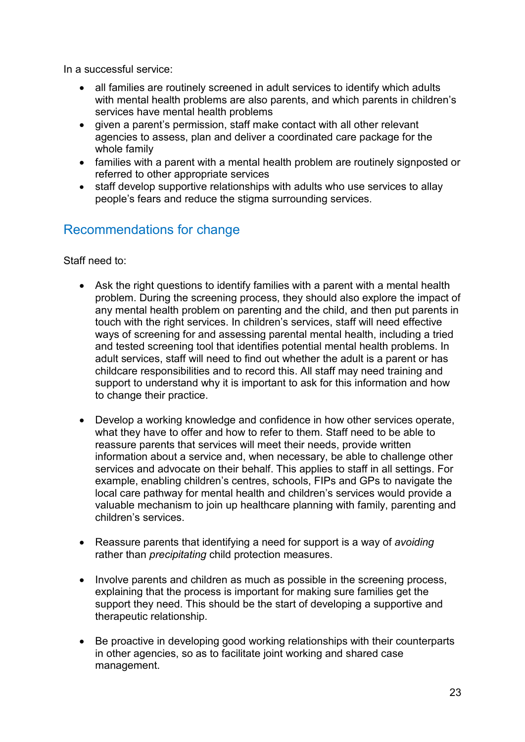In a successful service:

- all families are routinely screened in adult services to identify which adults with mental health problems are also parents, and which parents in children's services have mental health problems
- given a parent's permission, staff make contact with all other relevant agencies to assess, plan and deliver a coordinated care package for the whole family
- families with a parent with a mental health problem are routinely signposted or referred to other appropriate services
- staff develop supportive relationships with adults who use services to allay people's fears and reduce the stigma surrounding services.

# Recommendations for change

Staff need to:

- Ask the right questions to identify families with a parent with a mental health problem. During the screening process, they should also explore the impact of any mental health problem on parenting and the child, and then put parents in touch with the right services. In children's services, staff will need effective ways of screening for and assessing parental mental health, including a tried and tested screening tool that identifies potential mental health problems. In adult services, staff will need to find out whether the adult is a parent or has childcare responsibilities and to record this. All staff may need training and support to understand why it is important to ask for this information and how to change their practice.
- Develop a working knowledge and confidence in how other services operate, what they have to offer and how to refer to them. Staff need to be able to reassure parents that services will meet their needs, provide written information about a service and, when necessary, be able to challenge other services and advocate on their behalf. This applies to staff in all settings. For example, enabling children's centres, schools, FIPs and GPs to navigate the local care pathway for mental health and children's services would provide a valuable mechanism to join up healthcare planning with family, parenting and children's services.
- Reassure parents that identifying a need for support is a way of *avoiding*  rather than *precipitating* child protection measures.
- Involve parents and children as much as possible in the screening process, explaining that the process is important for making sure families get the support they need. This should be the start of developing a supportive and therapeutic relationship.
- Be proactive in developing good working relationships with their counterparts in other agencies, so as to facilitate joint working and shared case management.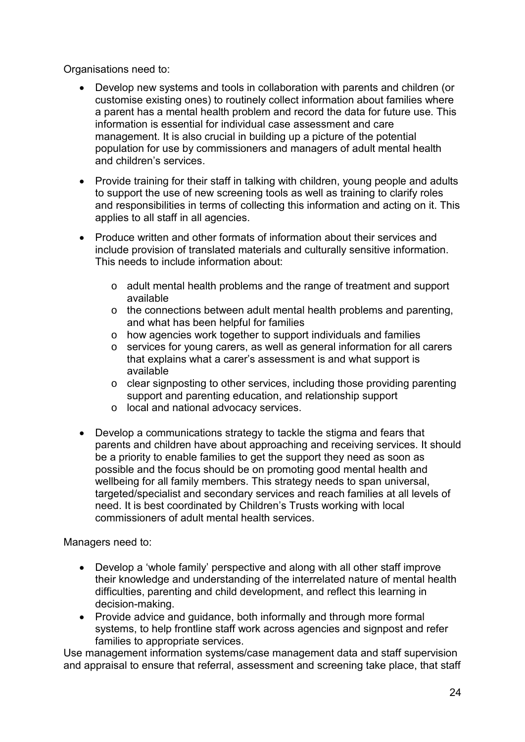Organisations need to:

- Develop new systems and tools in collaboration with parents and children (or customise existing ones) to routinely collect information about families where a parent has a mental health problem and record the data for future use. This information is essential for individual case assessment and care management. It is also crucial in building up a picture of the potential population for use by commissioners and managers of adult mental health and children's services.
- Provide training for their staff in talking with children, young people and adults to support the use of new screening tools as well as training to clarify roles and responsibilities in terms of collecting this information and acting on it. This applies to all staff in all agencies.
- Produce written and other formats of information about their services and include provision of translated materials and culturally sensitive information. This needs to include information about:
	- o adult mental health problems and the range of treatment and support available
	- o the connections between adult mental health problems and parenting, and what has been helpful for families
	- o how agencies work together to support individuals and families
	- o services for young carers, as well as general information for all carers that explains what a carer's assessment is and what support is available
	- o clear signposting to other services, including those providing parenting support and parenting education, and relationship support
	- o local and national advocacy services.
- Develop a communications strategy to tackle the stigma and fears that parents and children have about approaching and receiving services. It should be a priority to enable families to get the support they need as soon as possible and the focus should be on promoting good mental health and wellbeing for all family members. This strategy needs to span universal, targeted/specialist and secondary services and reach families at all levels of need. It is best coordinated by Children's Trusts working with local commissioners of adult mental health services.

Managers need to:

- Develop a 'whole family' perspective and along with all other staff improve their knowledge and understanding of the interrelated nature of mental health difficulties, parenting and child development, and reflect this learning in decision-making.
- Provide advice and guidance, both informally and through more formal systems, to help frontline staff work across agencies and signpost and refer families to appropriate services.

Use management information systems/case management data and staff supervision and appraisal to ensure that referral, assessment and screening take place, that staff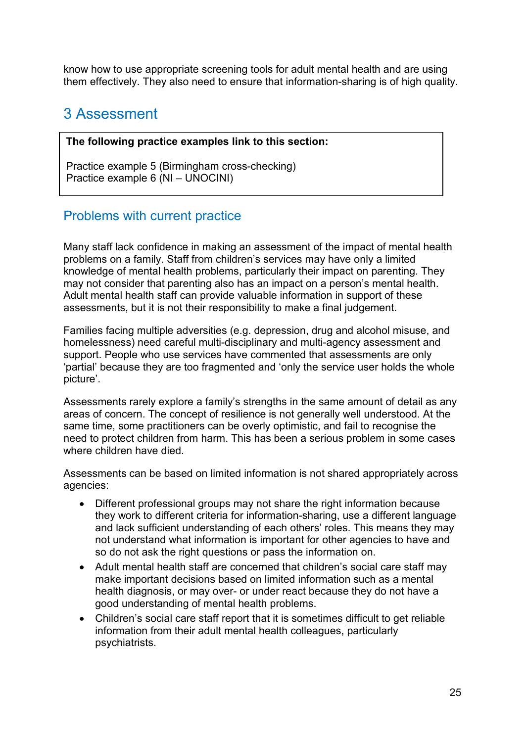know how to use appropriate screening tools for adult mental health and are using them effectively. They also need to ensure that information-sharing is of high quality.

# 3 Assessment

#### **The following practice examples link to this section:**

Practice example 5 (Birmingham cross-checking) Practice example 6 (NI – UNOCINI)

# Problems with current practice

Many staff lack confidence in making an assessment of the impact of mental health problems on a family. Staff from children's services may have only a limited knowledge of mental health problems, particularly their impact on parenting. They may not consider that parenting also has an impact on a person's mental health. Adult mental health staff can provide valuable information in support of these assessments, but it is not their responsibility to make a final judgement.

Families facing multiple adversities (e.g. depression, drug and alcohol misuse, and homelessness) need careful multi-disciplinary and multi-agency assessment and support. People who use services have commented that assessments are only 'partial' because they are too fragmented and 'only the service user holds the whole picture'.

Assessments rarely explore a family's strengths in the same amount of detail as any areas of concern. The concept of resilience is not generally well understood. At the same time, some practitioners can be overly optimistic, and fail to recognise the need to protect children from harm. This has been a serious problem in some cases where children have died.

Assessments can be based on limited information is not shared appropriately across agencies:

- Different professional groups may not share the right information because they work to different criteria for information-sharing, use a different language and lack sufficient understanding of each others' roles. This means they may not understand what information is important for other agencies to have and so do not ask the right questions or pass the information on.
- Adult mental health staff are concerned that children's social care staff may make important decisions based on limited information such as a mental health diagnosis, or may over- or under react because they do not have a good understanding of mental health problems.
- Children's social care staff report that it is sometimes difficult to get reliable information from their adult mental health colleagues, particularly psychiatrists.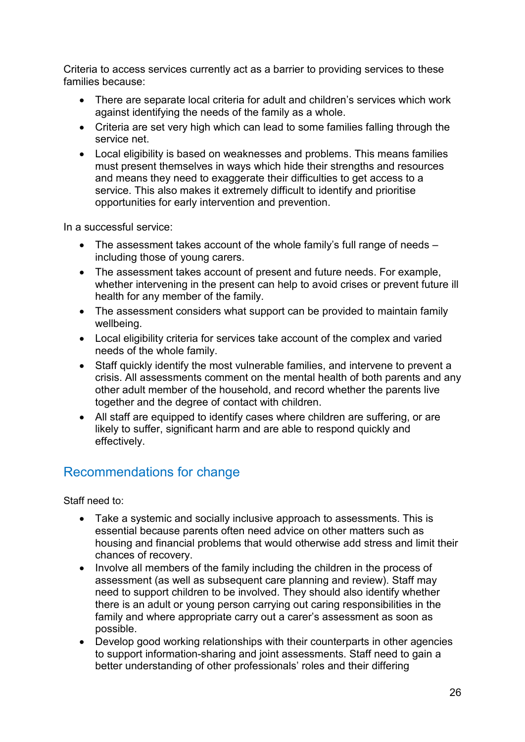Criteria to access services currently act as a barrier to providing services to these families because:

- There are separate local criteria for adult and children's services which work against identifying the needs of the family as a whole.
- Criteria are set very high which can lead to some families falling through the service net.
- Local eligibility is based on weaknesses and problems. This means families must present themselves in ways which hide their strengths and resources and means they need to exaggerate their difficulties to get access to a service. This also makes it extremely difficult to identify and prioritise opportunities for early intervention and prevention.

In a successful service:

- The assessment takes account of the whole family's full range of needs including those of young carers.
- The assessment takes account of present and future needs. For example, whether intervening in the present can help to avoid crises or prevent future ill health for any member of the family.
- The assessment considers what support can be provided to maintain family wellbeing.
- Local eligibility criteria for services take account of the complex and varied needs of the whole family.
- Staff quickly identify the most vulnerable families, and intervene to prevent a crisis. All assessments comment on the mental health of both parents and any other adult member of the household, and record whether the parents live together and the degree of contact with children.
- All staff are equipped to identify cases where children are suffering, or are likely to suffer, significant harm and are able to respond quickly and effectively.

# Recommendations for change

Staff need to:

- Take a systemic and socially inclusive approach to assessments. This is essential because parents often need advice on other matters such as housing and financial problems that would otherwise add stress and limit their chances of recovery.
- Involve all members of the family including the children in the process of assessment (as well as subsequent care planning and review). Staff may need to support children to be involved. They should also identify whether there is an adult or young person carrying out caring responsibilities in the family and where appropriate carry out a carer's assessment as soon as possible.
- Develop good working relationships with their counterparts in other agencies to support information-sharing and joint assessments. Staff need to gain a better understanding of other professionals' roles and their differing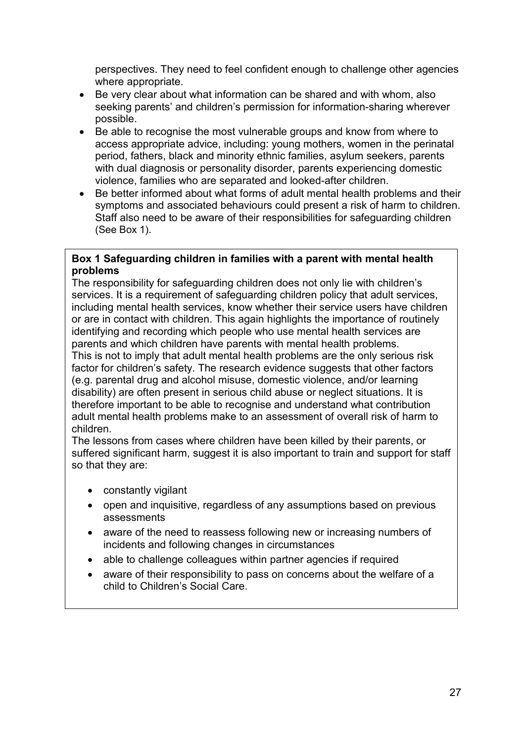perspectives. They need to feel confident enough to challenge other agencies where appropriate.

- Be very clear about what information can be shared and with whom, also seeking parents' and children's permission for information-sharing wherever possible.
- Be able to recognise the most vulnerable groups and know from where to access appropriate advice, including: young mothers, women in the perinatal period, fathers, black and minority ethnic families, asylum seekers, parents with dual diagnosis or personality disorder, parents experiencing domestic violence, families who are separated and looked-after children.
- Be better informed about what forms of adult mental health problems and their symptoms and associated behaviours could present a risk of harm to children. Staff also need to be aware of their responsibilities for safeguarding children (See Box 1).

#### **Box 1 Safeguarding children in families with a parent with mental health problems**

The responsibility for safeguarding children does not only lie with children's services. It is a requirement of safeguarding children policy that adult services, including mental health services, know whether their service users have children or are in contact with children. This again highlights the importance of routinely identifying and recording which people who use mental health services are parents and which children have parents with mental health problems. This is not to imply that adult mental health problems are the only serious risk factor for children's safety. The research evidence suggests that other factors (e.g. parental drug and alcohol misuse, domestic violence, and/or learning disability) are often present in serious child abuse or neglect situations. It is therefore important to be able to recognise and understand what contribution adult mental health problems make to an assessment of overall risk of harm to children.

The lessons from cases where children have been killed by their parents, or suffered significant harm, suggest it is also important to train and support for staff so that they are:

- constantly vigilant
- open and inquisitive, regardless of any assumptions based on previous assessments
- aware of the need to reassess following new or increasing numbers of incidents and following changes in circumstances
- able to challenge colleagues within partner agencies if required
- aware of their responsibility to pass on concerns about the welfare of a child to Children's Social Care.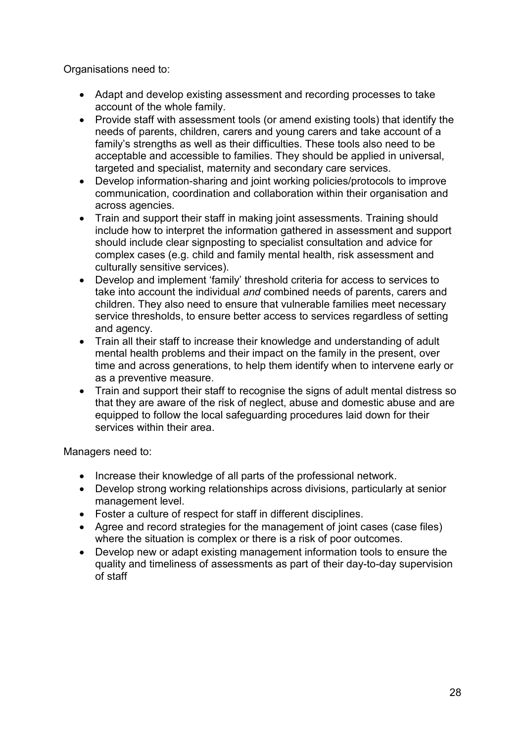Organisations need to:

- Adapt and develop existing assessment and recording processes to take account of the whole family.
- Provide staff with assessment tools (or amend existing tools) that identify the needs of parents, children, carers and young carers and take account of a family's strengths as well as their difficulties. These tools also need to be acceptable and accessible to families. They should be applied in universal, targeted and specialist, maternity and secondary care services.
- Develop information-sharing and joint working policies/protocols to improve communication, coordination and collaboration within their organisation and across agencies.
- Train and support their staff in making joint assessments. Training should include how to interpret the information gathered in assessment and support should include clear signposting to specialist consultation and advice for complex cases (e.g. child and family mental health, risk assessment and culturally sensitive services).
- Develop and implement 'family' threshold criteria for access to services to take into account the individual *and* combined needs of parents, carers and children. They also need to ensure that vulnerable families meet necessary service thresholds, to ensure better access to services regardless of setting and agency.
- Train all their staff to increase their knowledge and understanding of adult mental health problems and their impact on the family in the present, over time and across generations, to help them identify when to intervene early or as a preventive measure.
- Train and support their staff to recognise the signs of adult mental distress so that they are aware of the risk of neglect, abuse and domestic abuse and are equipped to follow the local safeguarding procedures laid down for their services within their area.

Managers need to:

- Increase their knowledge of all parts of the professional network.
- Develop strong working relationships across divisions, particularly at senior management level.
- Foster a culture of respect for staff in different disciplines.
- Agree and record strategies for the management of joint cases (case files) where the situation is complex or there is a risk of poor outcomes.
- Develop new or adapt existing management information tools to ensure the quality and timeliness of assessments as part of their day-to-day supervision of staff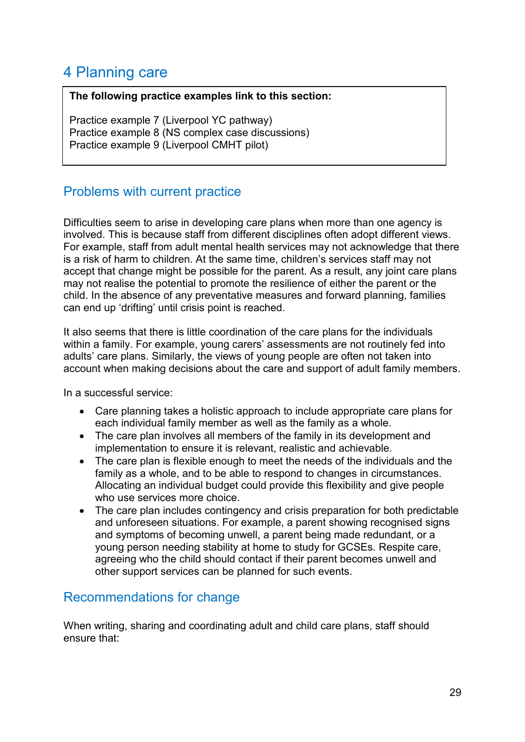# 4 Planning care

#### **The following practice examples link to this section:**

Practice example 7 (Liverpool YC pathway) Practice example 8 (NS complex case discussions) Practice example 9 (Liverpool CMHT pilot)

# Problems with current practice

Difficulties seem to arise in developing care plans when more than one agency is involved. This is because staff from different disciplines often adopt different views. For example, staff from adult mental health services may not acknowledge that there is a risk of harm to children. At the same time, children's services staff may not accept that change might be possible for the parent. As a result, any joint care plans may not realise the potential to promote the resilience of either the parent or the child. In the absence of any preventative measures and forward planning, families can end up 'drifting' until crisis point is reached.

It also seems that there is little coordination of the care plans for the individuals within a family. For example, young carers' assessments are not routinely fed into adults' care plans. Similarly, the views of young people are often not taken into account when making decisions about the care and support of adult family members.

In a successful service:

- Care planning takes a holistic approach to include appropriate care plans for each individual family member as well as the family as a whole.
- The care plan involves all members of the family in its development and implementation to ensure it is relevant, realistic and achievable.
- The care plan is flexible enough to meet the needs of the individuals and the family as a whole, and to be able to respond to changes in circumstances. Allocating an individual budget could provide this flexibility and give people who use services more choice.
- The care plan includes contingency and crisis preparation for both predictable and unforeseen situations. For example, a parent showing recognised signs and symptoms of becoming unwell, a parent being made redundant, or a young person needing stability at home to study for GCSEs. Respite care, agreeing who the child should contact if their parent becomes unwell and other support services can be planned for such events.

# Recommendations for change

When writing, sharing and coordinating adult and child care plans, staff should ensure that: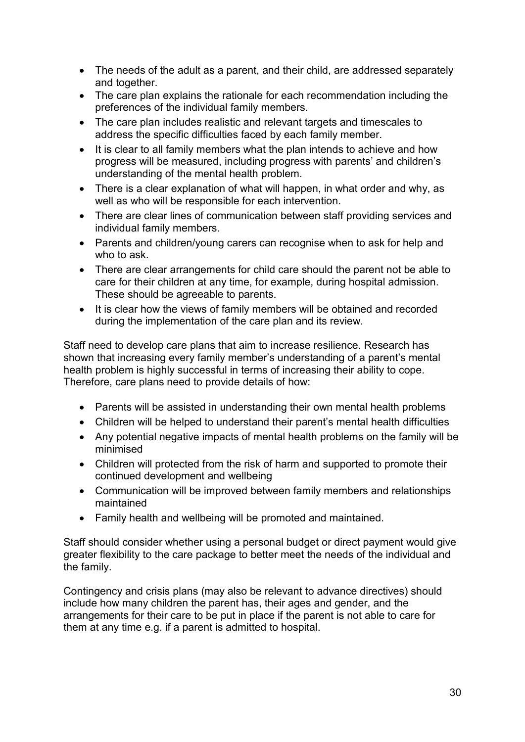- The needs of the adult as a parent, and their child, are addressed separately and together.
- The care plan explains the rationale for each recommendation including the preferences of the individual family members.
- The care plan includes realistic and relevant targets and timescales to address the specific difficulties faced by each family member.
- It is clear to all family members what the plan intends to achieve and how progress will be measured, including progress with parents' and children's understanding of the mental health problem.
- There is a clear explanation of what will happen, in what order and why, as well as who will be responsible for each intervention.
- There are clear lines of communication between staff providing services and individual family members.
- Parents and children/young carers can recognise when to ask for help and who to ask.
- There are clear arrangements for child care should the parent not be able to care for their children at any time, for example, during hospital admission. These should be agreeable to parents.
- It is clear how the views of family members will be obtained and recorded during the implementation of the care plan and its review.

Staff need to develop care plans that aim to increase resilience. Research has shown that increasing every family member's understanding of a parent's mental health problem is highly successful in terms of increasing their ability to cope. Therefore, care plans need to provide details of how:

- Parents will be assisted in understanding their own mental health problems
- Children will be helped to understand their parent's mental health difficulties
- Any potential negative impacts of mental health problems on the family will be minimised
- Children will protected from the risk of harm and supported to promote their continued development and wellbeing
- Communication will be improved between family members and relationships maintained
- Family health and wellbeing will be promoted and maintained.

Staff should consider whether using a personal budget or direct payment would give greater flexibility to the care package to better meet the needs of the individual and the family.

Contingency and crisis plans (may also be relevant to advance directives) should include how many children the parent has, their ages and gender, and the arrangements for their care to be put in place if the parent is not able to care for them at any time e.g. if a parent is admitted to hospital.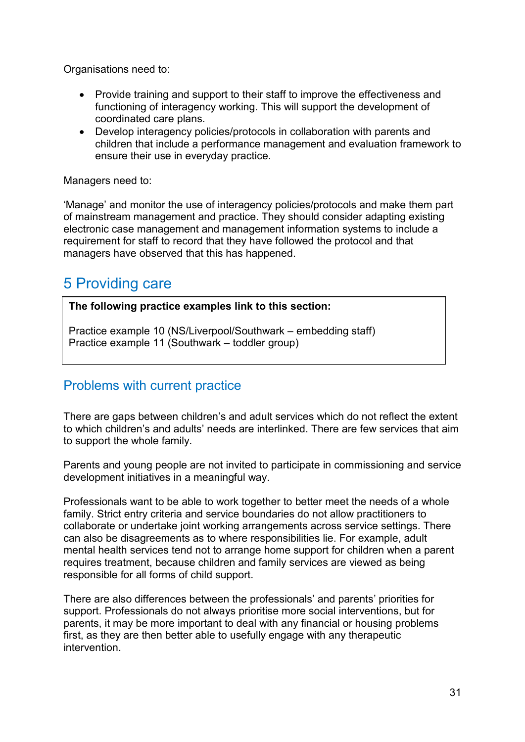Organisations need to:

- Provide training and support to their staff to improve the effectiveness and functioning of interagency working. This will support the development of coordinated care plans.
- Develop interagency policies/protocols in collaboration with parents and children that include a performance management and evaluation framework to ensure their use in everyday practice.

Managers need to:

'Manage' and monitor the use of interagency policies/protocols and make them part of mainstream management and practice. They should consider adapting existing electronic case management and management information systems to include a requirement for staff to record that they have followed the protocol and that managers have observed that this has happened.

# 5 Providing care

**The following practice examples link to this section:**

Practice example 10 (NS/Liverpool/Southwark – embedding staff) Practice example 11 (Southwark – toddler group)

# Problems with current practice

There are gaps between children's and adult services which do not reflect the extent to which children's and adults' needs are interlinked. There are few services that aim to support the whole family.

Parents and young people are not invited to participate in commissioning and service development initiatives in a meaningful way.

Professionals want to be able to work together to better meet the needs of a whole family. Strict entry criteria and service boundaries do not allow practitioners to collaborate or undertake joint working arrangements across service settings. There can also be disagreements as to where responsibilities lie. For example, adult mental health services tend not to arrange home support for children when a parent requires treatment, because children and family services are viewed as being responsible for all forms of child support.

There are also differences between the professionals' and parents' priorities for support. Professionals do not always prioritise more social interventions, but for parents, it may be more important to deal with any financial or housing problems first, as they are then better able to usefully engage with any therapeutic intervention.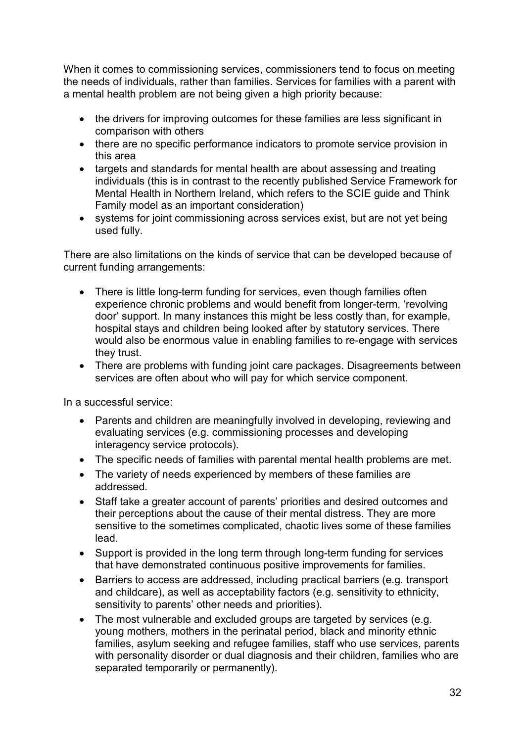When it comes to commissioning services, commissioners tend to focus on meeting the needs of individuals, rather than families. Services for families with a parent with a mental health problem are not being given a high priority because:

- the drivers for improving outcomes for these families are less significant in comparison with others
- there are no specific performance indicators to promote service provision in this area
- targets and standards for mental health are about assessing and treating individuals (this is in contrast to the recently published Service Framework for Mental Health in Northern Ireland, which refers to the SCIE guide and Think Family model as an important consideration)
- systems for joint commissioning across services exist, but are not yet being used fully.

There are also limitations on the kinds of service that can be developed because of current funding arrangements:

- There is little long-term funding for services, even though families often experience chronic problems and would benefit from longer-term, 'revolving door' support. In many instances this might be less costly than, for example, hospital stays and children being looked after by statutory services. There would also be enormous value in enabling families to re-engage with services they trust.
- There are problems with funding joint care packages. Disagreements between services are often about who will pay for which service component.

In a successful service:

- Parents and children are meaningfully involved in developing, reviewing and evaluating services (e.g. commissioning processes and developing interagency service protocols).
- The specific needs of families with parental mental health problems are met.
- The variety of needs experienced by members of these families are addressed.
- Staff take a greater account of parents' priorities and desired outcomes and their perceptions about the cause of their mental distress. They are more sensitive to the sometimes complicated, chaotic lives some of these families lead.
- Support is provided in the long term through long-term funding for services that have demonstrated continuous positive improvements for families.
- Barriers to access are addressed, including practical barriers (e.g. transport and childcare), as well as acceptability factors (e.g. sensitivity to ethnicity, sensitivity to parents' other needs and priorities).
- The most vulnerable and excluded groups are targeted by services (e.g. young mothers, mothers in the perinatal period, black and minority ethnic families, asylum seeking and refugee families, staff who use services, parents with personality disorder or dual diagnosis and their children, families who are separated temporarily or permanently).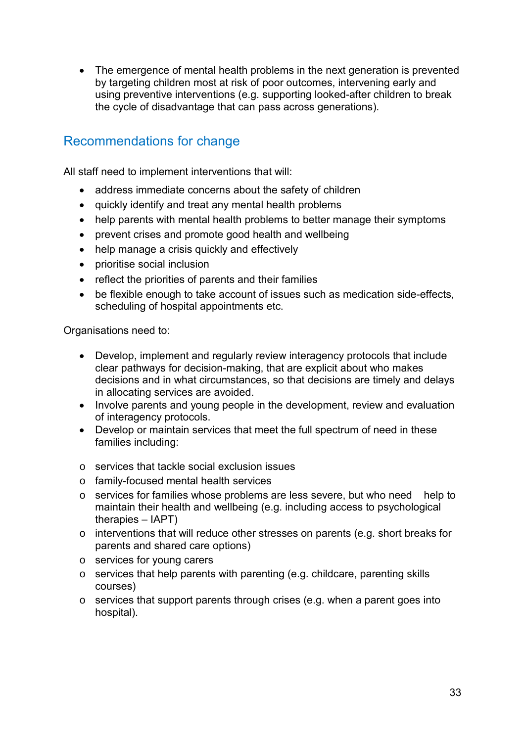• The emergence of mental health problems in the next generation is prevented by targeting children most at risk of poor outcomes, intervening early and using preventive interventions (e.g. supporting looked-after children to break the cycle of disadvantage that can pass across generations).

# Recommendations for change

All staff need to implement interventions that will:

- address immediate concerns about the safety of children
- quickly identify and treat any mental health problems
- help parents with mental health problems to better manage their symptoms
- prevent crises and promote good health and wellbeing
- help manage a crisis quickly and effectively
- prioritise social inclusion
- reflect the priorities of parents and their families
- be flexible enough to take account of issues such as medication side-effects, scheduling of hospital appointments etc.

Organisations need to:

- Develop, implement and regularly review interagency protocols that include clear pathways for decision-making, that are explicit about who makes decisions and in what circumstances, so that decisions are timely and delays in allocating services are avoided.
- Involve parents and young people in the development, review and evaluation of interagency protocols.
- Develop or maintain services that meet the full spectrum of need in these families including:
- o services that tackle social exclusion issues
- o family-focused mental health services
- o services for families whose problems are less severe, but who need help to maintain their health and wellbeing (e.g. including access to psychological therapies – IAPT)
- o interventions that will reduce other stresses on parents (e.g. short breaks for parents and shared care options)
- o services for young carers
- o services that help parents with parenting (e.g. childcare, parenting skills courses)
- o services that support parents through crises (e.g. when a parent goes into hospital).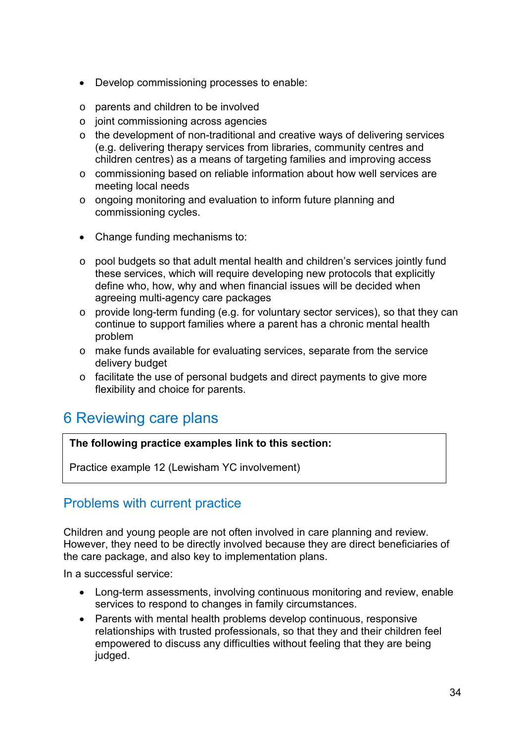- Develop commissioning processes to enable:
- o parents and children to be involved
- o joint commissioning across agencies
- o the development of non-traditional and creative ways of delivering services (e.g. delivering therapy services from libraries, community centres and children centres) as a means of targeting families and improving access
- o commissioning based on reliable information about how well services are meeting local needs
- o ongoing monitoring and evaluation to inform future planning and commissioning cycles.
- Change funding mechanisms to:
- o pool budgets so that adult mental health and children's services jointly fund these services, which will require developing new protocols that explicitly define who, how, why and when financial issues will be decided when agreeing multi-agency care packages
- o provide long-term funding (e.g. for voluntary sector services), so that they can continue to support families where a parent has a chronic mental health problem
- o make funds available for evaluating services, separate from the service delivery budget
- o facilitate the use of personal budgets and direct payments to give more flexibility and choice for parents.

# 6 Reviewing care plans

**The following practice examples link to this section:**

Practice example 12 (Lewisham YC involvement)

### Problems with current practice

Children and young people are not often involved in care planning and review. However, they need to be directly involved because they are direct beneficiaries of the care package, and also key to implementation plans.

In a successful service:

- Long-term assessments, involving continuous monitoring and review, enable services to respond to changes in family circumstances.
- Parents with mental health problems develop continuous, responsive relationships with trusted professionals, so that they and their children feel empowered to discuss any difficulties without feeling that they are being judged.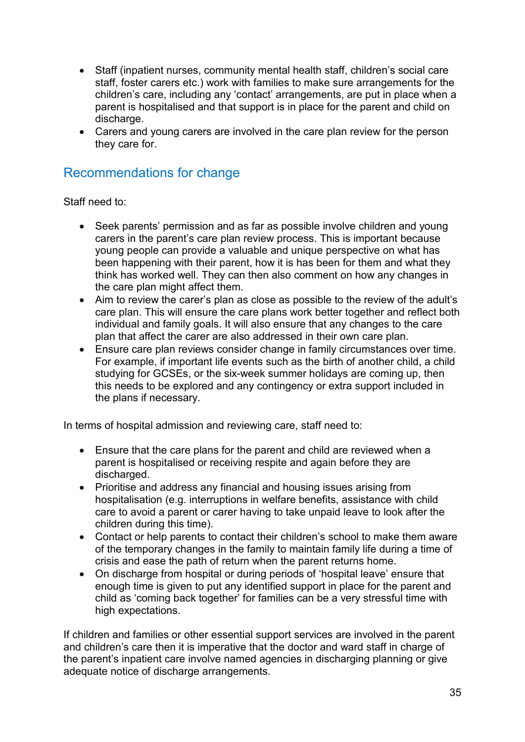- Staff (inpatient nurses, community mental health staff, children's social care staff, foster carers etc.) work with families to make sure arrangements for the children's care, including any 'contact' arrangements, are put in place when a parent is hospitalised and that support is in place for the parent and child on discharge.
- Carers and young carers are involved in the care plan review for the person they care for.

# Recommendations for change

Staff need to:

- Seek parents' permission and as far as possible involve children and young carers in the parent's care plan review process. This is important because young people can provide a valuable and unique perspective on what has been happening with their parent, how it is has been for them and what they think has worked well. They can then also comment on how any changes in the care plan might affect them.
- Aim to review the carer's plan as close as possible to the review of the adult's care plan. This will ensure the care plans work better together and reflect both individual and family goals. It will also ensure that any changes to the care plan that affect the carer are also addressed in their own care plan.
- Ensure care plan reviews consider change in family circumstances over time. For example, if important life events such as the birth of another child, a child studying for GCSEs, or the six-week summer holidays are coming up, then this needs to be explored and any contingency or extra support included in the plans if necessary.

In terms of hospital admission and reviewing care, staff need to:

- Ensure that the care plans for the parent and child are reviewed when a parent is hospitalised or receiving respite and again before they are discharged.
- Prioritise and address any financial and housing issues arising from hospitalisation (e.g. interruptions in welfare benefits, assistance with child care to avoid a parent or carer having to take unpaid leave to look after the children during this time).
- Contact or help parents to contact their children's school to make them aware of the temporary changes in the family to maintain family life during a time of crisis and ease the path of return when the parent returns home.
- On discharge from hospital or during periods of 'hospital leave' ensure that enough time is given to put any identified support in place for the parent and child as 'coming back together' for families can be a very stressful time with high expectations.

If children and families or other essential support services are involved in the parent and children's care then it is imperative that the doctor and ward staff in charge of the parent's inpatient care involve named agencies in discharging planning or give adequate notice of discharge arrangements.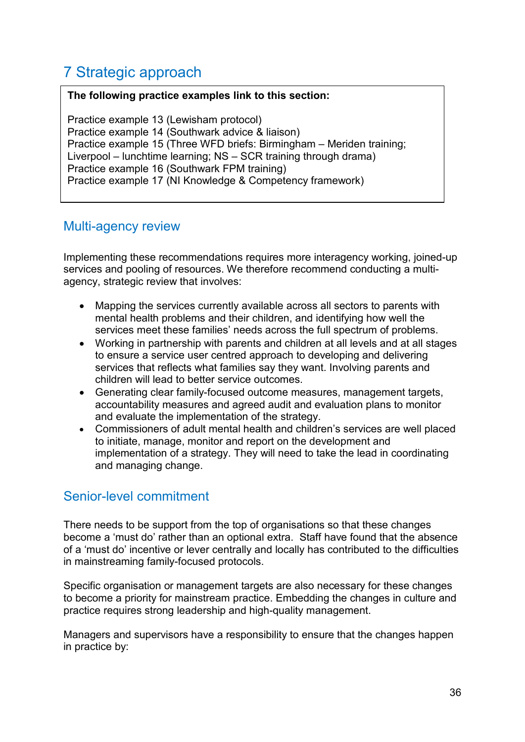# 7 Strategic approach

#### **The following practice examples link to this section:**

Practice example 13 (Lewisham protocol) Practice example 14 (Southwark advice & liaison) Practice example 15 (Three WFD briefs: Birmingham – Meriden training; Liverpool – lunchtime learning; NS – SCR training through drama) Practice example 16 (Southwark FPM training) Practice example 17 (NI Knowledge & Competency framework)

# Multi-agency review

Implementing these recommendations requires more interagency working, joined-up services and pooling of resources. We therefore recommend conducting a multiagency, strategic review that involves:

- Mapping the services currently available across all sectors to parents with mental health problems and their children, and identifying how well the services meet these families' needs across the full spectrum of problems.
- Working in partnership with parents and children at all levels and at all stages to ensure a service user centred approach to developing and delivering services that reflects what families say they want. Involving parents and children will lead to better service outcomes.
- Generating clear family-focused outcome measures, management targets, accountability measures and agreed audit and evaluation plans to monitor and evaluate the implementation of the strategy.
- Commissioners of adult mental health and children's services are well placed to initiate, manage, monitor and report on the development and implementation of a strategy. They will need to take the lead in coordinating and managing change.

# Senior-level commitment

There needs to be support from the top of organisations so that these changes become a 'must do' rather than an optional extra. Staff have found that the absence of a 'must do' incentive or lever centrally and locally has contributed to the difficulties in mainstreaming family-focused protocols.

Specific organisation or management targets are also necessary for these changes to become a priority for mainstream practice. Embedding the changes in culture and practice requires strong leadership and high-quality management.

Managers and supervisors have a responsibility to ensure that the changes happen in practice by: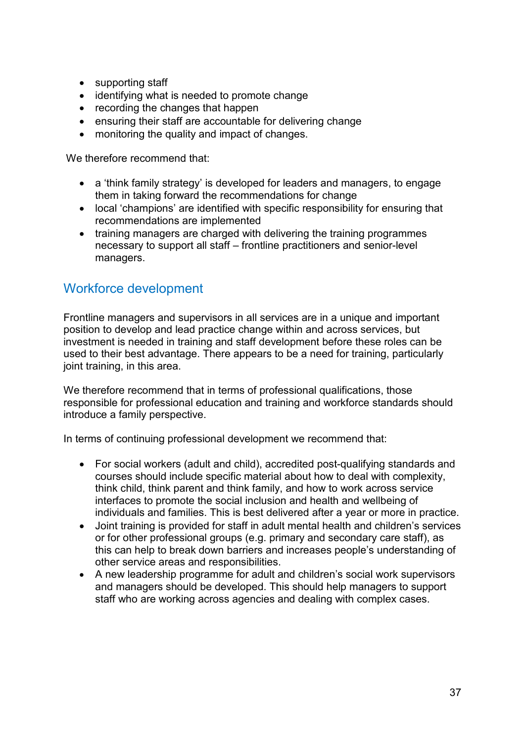- supporting staff
- identifying what is needed to promote change
- recording the changes that happen
- ensuring their staff are accountable for delivering change
- monitoring the quality and impact of changes.

We therefore recommend that:

- a 'think family strategy' is developed for leaders and managers, to engage them in taking forward the recommendations for change
- local 'champions' are identified with specific responsibility for ensuring that recommendations are implemented
- training managers are charged with delivering the training programmes necessary to support all staff – frontline practitioners and senior-level managers.

# Workforce development

Frontline managers and supervisors in all services are in a unique and important position to develop and lead practice change within and across services, but investment is needed in training and staff development before these roles can be used to their best advantage. There appears to be a need for training, particularly joint training, in this area.

We therefore recommend that in terms of professional qualifications, those responsible for professional education and training and workforce standards should introduce a family perspective.

In terms of continuing professional development we recommend that:

- For social workers (adult and child), accredited post-qualifying standards and courses should include specific material about how to deal with complexity, think child, think parent and think family, and how to work across service interfaces to promote the social inclusion and health and wellbeing of individuals and families. This is best delivered after a year or more in practice.
- Joint training is provided for staff in adult mental health and children's services or for other professional groups (e.g. primary and secondary care staff), as this can help to break down barriers and increases people's understanding of other service areas and responsibilities.
- A new leadership programme for adult and children's social work supervisors and managers should be developed. This should help managers to support staff who are working across agencies and dealing with complex cases.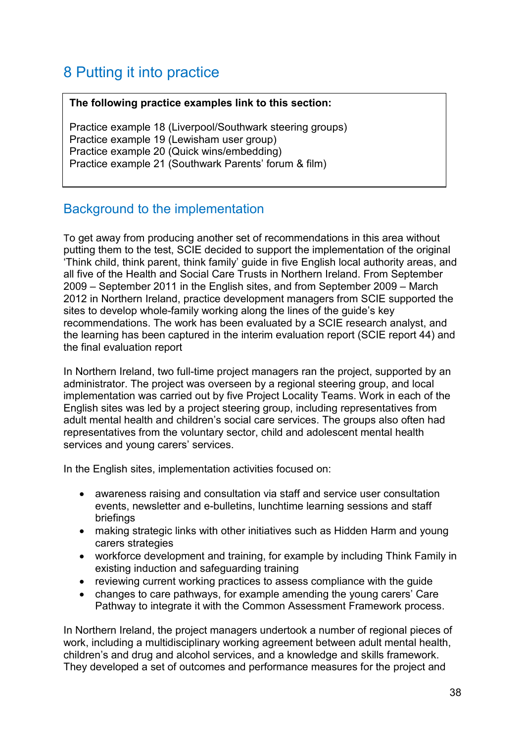# 8 Putting it into practice

#### **The following practice examples link to this section:**

Practice example 18 (Liverpool/Southwark steering groups) Practice example 19 (Lewisham user group) Practice example 20 (Quick wins/embedding) Practice example 21 (Southwark Parents' forum & film)

# Background to the implementation

To get away from producing another set of recommendations in this area without putting them to the test, SCIE decided to support the implementation of the original 'Think child, think parent, think family' guide in five English local authority areas, and all five of the Health and Social Care Trusts in Northern Ireland. From September 2009 – September 2011 in the English sites, and from September 2009 – March 2012 in Northern Ireland, practice development managers from SCIE supported the sites to develop whole-family working along the lines of the guide's key recommendations. The work has been evaluated by a SCIE research analyst, and the learning has been captured in the interim evaluation report (SCIE report 44) and the final evaluation report

In Northern Ireland, two full-time project managers ran the project, supported by an administrator. The project was overseen by a regional steering group, and local implementation was carried out by five Project Locality Teams. Work in each of the English sites was led by a project steering group, including representatives from adult mental health and children's social care services. The groups also often had representatives from the voluntary sector, child and adolescent mental health services and young carers' services.

In the English sites, implementation activities focused on:

- awareness raising and consultation via staff and service user consultation events, newsletter and e-bulletins, lunchtime learning sessions and staff briefings
- making strategic links with other initiatives such as Hidden Harm and young carers strategies
- workforce development and training, for example by including Think Family in existing induction and safeguarding training
- reviewing current working practices to assess compliance with the guide
- changes to care pathways, for example amending the young carers' Care Pathway to integrate it with the Common Assessment Framework process.

In Northern Ireland, the project managers undertook a number of regional pieces of work, including a multidisciplinary working agreement between adult mental health, children's and drug and alcohol services, and a knowledge and skills framework. They developed a set of outcomes and performance measures for the project and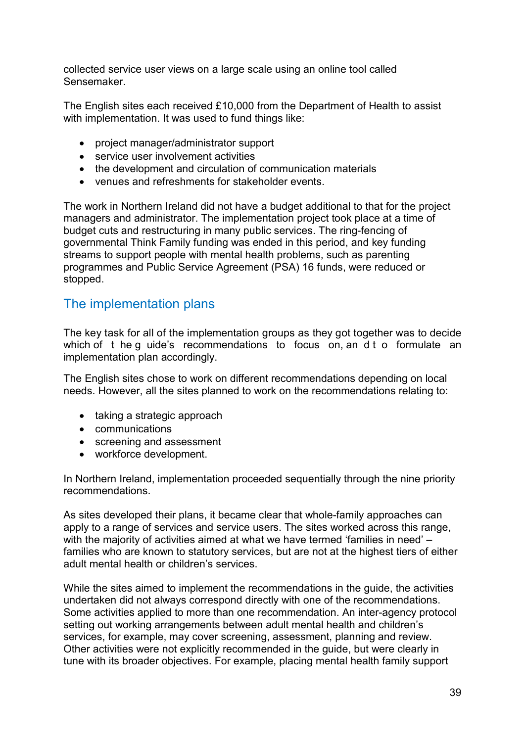collected service user views on a large scale using an online tool called Sensemaker.

The English sites each received £10,000 from the Department of Health to assist with implementation. It was used to fund things like:

- project manager/administrator support
- service user involvement activities
- the development and circulation of communication materials
- venues and refreshments for stakeholder events.

The work in Northern Ireland did not have a budget additional to that for the project managers and administrator. The implementation project took place at a time of budget cuts and restructuring in many public services. The ring-fencing of governmental Think Family funding was ended in this period, and key funding streams to support people with mental health problems, such as parenting programmes and Public Service Agreement (PSA) 16 funds, were reduced or stopped.

# The implementation plans

The key task for all of the implementation groups as they got together was to decide which of t he g uide's recommendations to focus on, an d t o formulate an implementation plan accordingly.

The English sites chose to work on different recommendations depending on local needs. However, all the sites planned to work on the recommendations relating to:

- taking a strategic approach
- communications
- screening and assessment
- workforce development.

In Northern Ireland, implementation proceeded sequentially through the nine priority recommendations.

As sites developed their plans, it became clear that whole-family approaches can apply to a range of services and service users. The sites worked across this range, with the majority of activities aimed at what we have termed 'families in need' – families who are known to statutory services, but are not at the highest tiers of either adult mental health or children's services.

While the sites aimed to implement the recommendations in the guide, the activities undertaken did not always correspond directly with one of the recommendations. Some activities applied to more than one recommendation. An inter-agency protocol setting out working arrangements between adult mental health and children's services, for example, may cover screening, assessment, planning and review. Other activities were not explicitly recommended in the guide, but were clearly in tune with its broader objectives. For example, placing mental health family support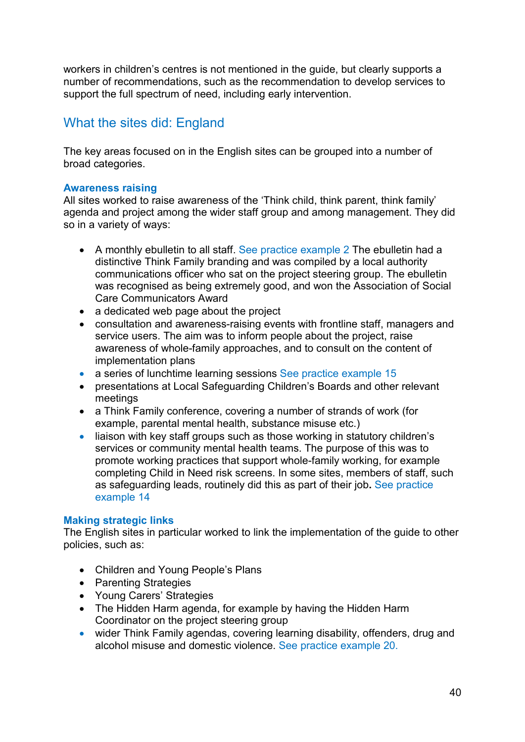workers in children's centres is not mentioned in the guide, but clearly supports a number of recommendations, such as the recommendation to develop services to support the full spectrum of need, including early intervention.

# What the sites did: England

The key areas focused on in the English sites can be grouped into a number of broad categories.

#### **Awareness raising**

All sites worked to raise awareness of the 'Think child, think parent, think family' agenda and project among the wider staff group and among management. They did so in a variety of ways:

- A monthly ebulletin to all staff. See practice example 2 The ebulletin had a distinctive Think Family branding and was compiled by a local authority communications officer who sat on the project steering group. The ebulletin was recognised as being extremely good, and won the Association of Social Care Communicators Award
- a dedicated web page about the project
- consultation and awareness-raising events with frontline staff, managers and service users. The aim was to inform people about the project, raise awareness of whole-family approaches, and to consult on the content of implementation plans
- a series of lunchtime learning sessions See practice example 15
- presentations at Local Safeguarding Children's Boards and other relevant meetings
- a Think Family conference, covering a number of strands of work (for example, parental mental health, substance misuse etc.)
- liaison with key staff groups such as those working in statutory children's services or community mental health teams. The purpose of this was to promote working practices that support whole-family working, for example completing Child in Need risk screens. In some sites, members of staff, such as safeguarding leads, routinely did this as part of their job**.** See practice example 14

#### **Making strategic links**

The English sites in particular worked to link the implementation of the guide to other policies, such as:

- Children and Young People's Plans
- Parenting Strategies
- Young Carers' Strategies
- The Hidden Harm agenda, for example by having the Hidden Harm Coordinator on the project steering group
- wider Think Family agendas, covering learning disability, offenders, drug and alcohol misuse and domestic violence. See practice example 20.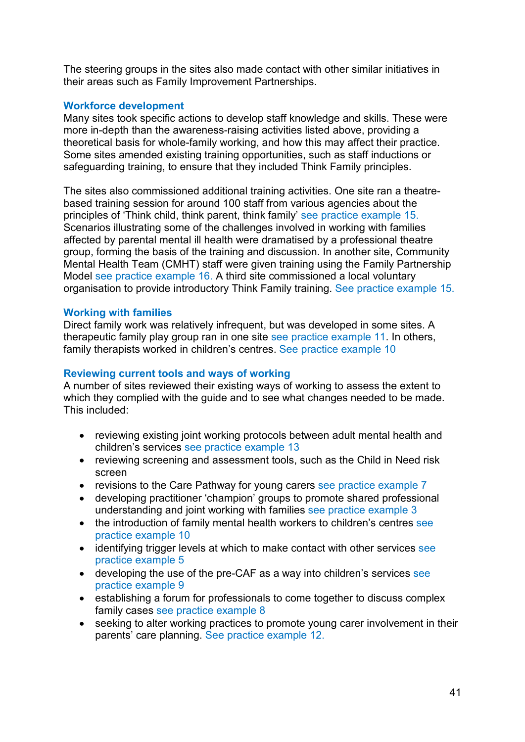The steering groups in the sites also made contact with other similar initiatives in their areas such as Family Improvement Partnerships.

#### **Workforce development**

Many sites took specific actions to develop staff knowledge and skills. These were more in-depth than the awareness-raising activities listed above, providing a theoretical basis for whole-family working, and how this may affect their practice. Some sites amended existing training opportunities, such as staff inductions or safeguarding training, to ensure that they included Think Family principles.

The sites also commissioned additional training activities. One site ran a theatrebased training session for around 100 staff from various agencies about the principles of 'Think child, think parent, think family' see practice example 15. Scenarios illustrating some of the challenges involved in working with families affected by parental mental ill health were dramatised by a professional theatre group, forming the basis of the training and discussion. In another site, Community Mental Health Team (CMHT) staff were given training using the Family Partnership Model see practice example 16. A third site commissioned a local voluntary organisation to provide introductory Think Family training. See practice example 15.

#### **Working with families**

Direct family work was relatively infrequent, but was developed in some sites. A therapeutic family play group ran in one site see practice example 11. In others, family therapists worked in children's centres. See practice example 10

#### **Reviewing current tools and ways of working**

A number of sites reviewed their existing ways of working to assess the extent to which they complied with the guide and to see what changes needed to be made. This included:

- reviewing existing joint working protocols between adult mental health and children's services see practice example 13
- reviewing screening and assessment tools, such as the Child in Need risk screen
- revisions to the Care Pathway for young carers see practice example 7
- developing practitioner 'champion' groups to promote shared professional understanding and joint working with families see practice example 3
- the introduction of family mental health workers to children's centres see practice example 10
- identifying trigger levels at which to make contact with other services see practice example 5
- developing the use of the pre-CAF as a way into children's services see practice example 9
- establishing a forum for professionals to come together to discuss complex family cases see practice example 8
- seeking to alter working practices to promote young carer involvement in their parents' care planning. See practice example 12.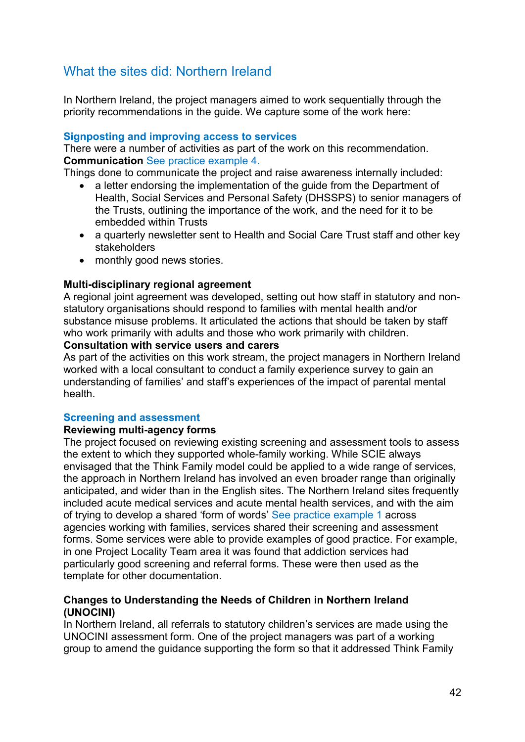# What the sites did: Northern Ireland

In Northern Ireland, the project managers aimed to work sequentially through the priority recommendations in the guide. We capture some of the work here:

#### **Signposting and improving access to services**

There were a number of activities as part of the work on this recommendation. **Communication** See practice example 4.

Things done to communicate the project and raise awareness internally included:

- a letter endorsing the implementation of the guide from the Department of Health, Social Services and Personal Safety (DHSSPS) to senior managers of the Trusts, outlining the importance of the work, and the need for it to be embedded within Trusts
- a quarterly newsletter sent to Health and Social Care Trust staff and other key stakeholders
- monthly good news stories.

#### **Multi-disciplinary regional agreement**

A regional joint agreement was developed, setting out how staff in statutory and nonstatutory organisations should respond to families with mental health and/or substance misuse problems. It articulated the actions that should be taken by staff who work primarily with adults and those who work primarily with children.

#### **Consultation with service users and carers**

As part of the activities on this work stream, the project managers in Northern Ireland worked with a local consultant to conduct a family experience survey to gain an understanding of families' and staff's experiences of the impact of parental mental health.

#### **Screening and assessment**

#### **Reviewing multi-agency forms**

The project focused on reviewing existing screening and assessment tools to assess the extent to which they supported whole-family working. While SCIE always envisaged that the Think Family model could be applied to a wide range of services, the approach in Northern Ireland has involved an even broader range than originally anticipated, and wider than in the English sites. The Northern Ireland sites frequently included acute medical services and acute mental health services, and with the aim of trying to develop a shared 'form of words' See practice example 1 across agencies working with families, services shared their screening and assessment forms. Some services were able to provide examples of good practice. For example, in one Project Locality Team area it was found that addiction services had particularly good screening and referral forms. These were then used as the template for other documentation.

#### **Changes to Understanding the Needs of Children in Northern Ireland (UNOCINI)**

In Northern Ireland, all referrals to statutory children's services are made using the UNOCINI assessment form. One of the project managers was part of a working group to amend the guidance supporting the form so that it addressed Think Family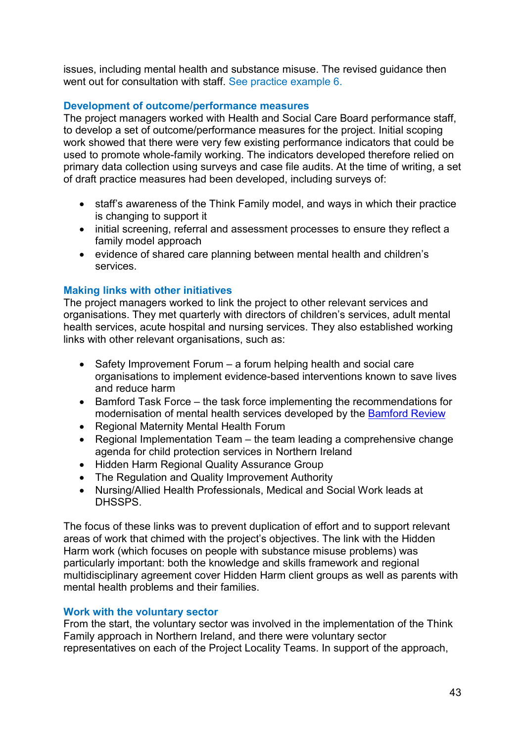issues, including mental health and substance misuse. The revised guidance then went out for consultation with staff. See practice example 6.

#### **Development of outcome/performance measures**

The project managers worked with Health and Social Care Board performance staff, to develop a set of outcome/performance measures for the project. Initial scoping work showed that there were very few existing performance indicators that could be used to promote whole-family working. The indicators developed therefore relied on primary data collection using surveys and case file audits. At the time of writing, a set of draft practice measures had been developed, including surveys of:

- staff's awareness of the Think Family model, and ways in which their practice is changing to support it
- initial screening, referral and assessment processes to ensure they reflect a family model approach
- evidence of shared care planning between mental health and children's services.

### **Making links with other initiatives**

The project managers worked to link the project to other relevant services and organisations. They met quarterly with directors of children's services, adult mental health services, acute hospital and nursing services. They also established working links with other relevant organisations, such as:

- Safety Improvement Forum a forum helping health and social care organisations to implement evidence-based interventions known to save lives and reduce harm
- Bamford Task Force the task force implementing the recommendations for modernisation of mental health services developed by the [Bamford Review](http://www.dhsspsni.gov.uk/bamford.htm/)
- Regional Maternity Mental Health Forum
- Regional Implementation Team the team leading a comprehensive change agenda for child protection services in Northern Ireland
- Hidden Harm Regional Quality Assurance Group
- The Regulation and Quality Improvement Authority
- Nursing/Allied Health Professionals, Medical and Social Work leads at DHSSPS.

The focus of these links was to prevent duplication of effort and to support relevant areas of work that chimed with the project's objectives. The link with the Hidden Harm work (which focuses on people with substance misuse problems) was particularly important: both the knowledge and skills framework and regional multidisciplinary agreement cover Hidden Harm client groups as well as parents with mental health problems and their families.

#### **Work with the voluntary sector**

From the start, the voluntary sector was involved in the implementation of the Think Family approach in Northern Ireland, and there were voluntary sector representatives on each of the Project Locality Teams. In support of the approach,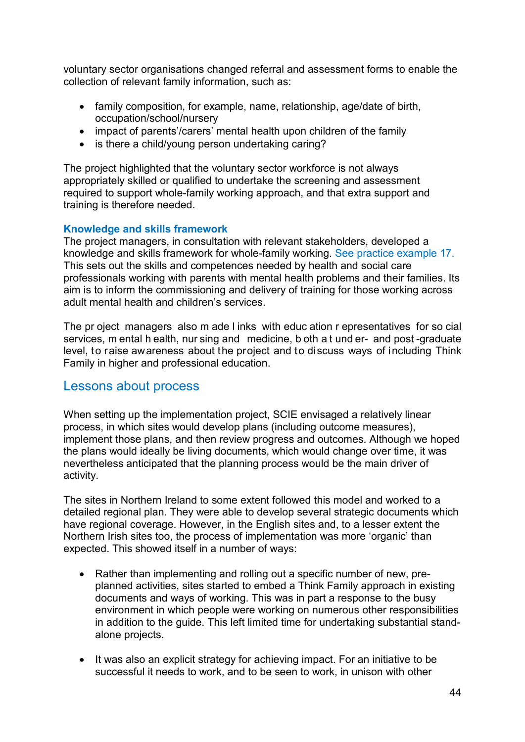voluntary sector organisations changed referral and assessment forms to enable the collection of relevant family information, such as:

- family composition, for example, name, relationship, age/date of birth, occupation/school/nursery
- impact of parents'/carers' mental health upon children of the family
- is there a child/young person undertaking caring?

The project highlighted that the voluntary sector workforce is not always appropriately skilled or qualified to undertake the screening and assessment required to support whole-family working approach, and that extra support and training is therefore needed.

#### **Knowledge and skills framework**

The project managers, in consultation with relevant stakeholders, developed a knowledge and skills framework for whole-family working. See practice example 17. This sets out the skills and competences needed by health and social care professionals working with parents with mental health problems and their families. Its aim is to inform the commissioning and delivery of training for those working across adult mental health and children's services.

The pr oject managers also m ade l inks with educ ation r epresentatives for so cial services, m ental h ealth, nur sing and medicine, b oth a t und er- and post -graduate level, to raise awareness about the project and to discuss ways of including Think Family in higher and professional education.

### Lessons about process

When setting up the implementation project, SCIE envisaged a relatively linear process, in which sites would develop plans (including outcome measures), implement those plans, and then review progress and outcomes. Although we hoped the plans would ideally be living documents, which would change over time, it was nevertheless anticipated that the planning process would be the main driver of activity.

The sites in Northern Ireland to some extent followed this model and worked to a detailed regional plan. They were able to develop several strategic documents which have regional coverage. However, in the English sites and, to a lesser extent the Northern Irish sites too, the process of implementation was more 'organic' than expected. This showed itself in a number of ways:

- Rather than implementing and rolling out a specific number of new, preplanned activities, sites started to embed a Think Family approach in existing documents and ways of working. This was in part a response to the busy environment in which people were working on numerous other responsibilities in addition to the guide. This left limited time for undertaking substantial standalone projects.
- It was also an explicit strategy for achieving impact. For an initiative to be successful it needs to work, and to be seen to work, in unison with other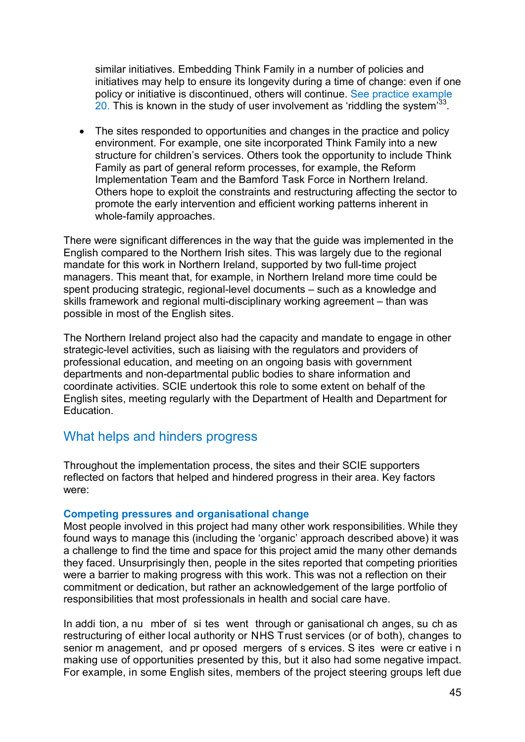similar initiatives. Embedding Think Family in a number of policies and initiatives may help to ensure its longevity during a time of change: even if one policy or initiative is discontinued, others will continue. See practice example 20. This is known in the study of user involvement as 'riddling the system $33$ .

• The sites responded to opportunities and changes in the practice and policy environment. For example, one site incorporated Think Family into a new structure for children's services. Others took the opportunity to include Think Family as part of general reform processes, for example, the Reform Implementation Team and the Bamford Task Force in Northern Ireland. Others hope to exploit the constraints and restructuring affecting the sector to promote the early intervention and efficient working patterns inherent in whole-family approaches.

There were significant differences in the way that the guide was implemented in the English compared to the Northern Irish sites. This was largely due to the regional mandate for this work in Northern Ireland, supported by two full-time project managers. This meant that, for example, in Northern Ireland more time could be spent producing strategic, regional-level documents – such as a knowledge and skills framework and regional multi-disciplinary working agreement – than was possible in most of the English sites.

The Northern Ireland project also had the capacity and mandate to engage in other strategic-level activities, such as liaising with the regulators and providers of professional education, and meeting on an ongoing basis with government departments and non-departmental public bodies to share information and coordinate activities. SCIE undertook this role to some extent on behalf of the English sites, meeting regularly with the Department of Health and Department for Education.

# What helps and hinders progress

Throughout the implementation process, the sites and their SCIE supporters reflected on factors that helped and hindered progress in their area. Key factors were:

#### **Competing pressures and organisational change**

Most people involved in this project had many other work responsibilities. While they found ways to manage this (including the 'organic' approach described above) it was a challenge to find the time and space for this project amid the many other demands they faced. Unsurprisingly then, people in the sites reported that competing priorities were a barrier to making progress with this work. This was not a reflection on their commitment or dedication, but rather an acknowledgement of the large portfolio of responsibilities that most professionals in health and social care have.

In addi tion, a nu mber of si tes went through or ganisational ch anges, su ch as restructuring of either local authority or NHS Trust services (or of both), changes to senior m anagement, and pr oposed mergers of s ervices. S ites were cr eative i n making use of opportunities presented by this, but it also had some negative impact. For example, in some English sites, members of the project steering groups left due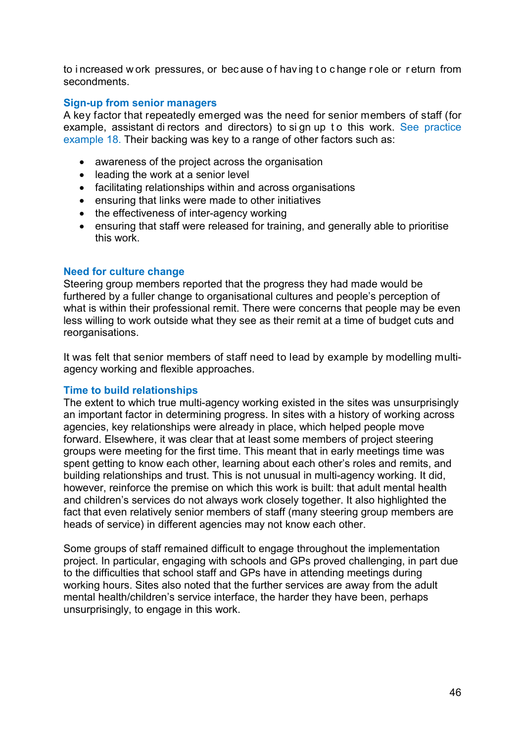to i ncreased w ork pressures, or bec ause o f hav ing t o c hange r ole or r eturn from secondments.

#### **Sign-up from senior managers**

A key factor that repeatedly emerged was the need for senior members of staff (for example, assistant di rectors and directors) to si gn up t o this work. See practice example 18. Their backing was key to a range of other factors such as:

- awareness of the project across the organisation
- leading the work at a senior level
- facilitating relationships within and across organisations
- ensuring that links were made to other initiatives
- the effectiveness of inter-agency working
- ensuring that staff were released for training, and generally able to prioritise this work.

#### **Need for culture change**

Steering group members reported that the progress they had made would be furthered by a fuller change to organisational cultures and people's perception of what is within their professional remit. There were concerns that people may be even less willing to work outside what they see as their remit at a time of budget cuts and reorganisations.

It was felt that senior members of staff need to lead by example by modelling multiagency working and flexible approaches.

#### **Time to build relationships**

The extent to which true multi-agency working existed in the sites was unsurprisingly an important factor in determining progress. In sites with a history of working across agencies, key relationships were already in place, which helped people move forward. Elsewhere, it was clear that at least some members of project steering groups were meeting for the first time. This meant that in early meetings time was spent getting to know each other, learning about each other's roles and remits, and building relationships and trust. This is not unusual in multi-agency working. It did, however, reinforce the premise on which this work is built: that adult mental health and children's services do not always work closely together. It also highlighted the fact that even relatively senior members of staff (many steering group members are heads of service) in different agencies may not know each other.

Some groups of staff remained difficult to engage throughout the implementation project. In particular, engaging with schools and GPs proved challenging, in part due to the difficulties that school staff and GPs have in attending meetings during working hours. Sites also noted that the further services are away from the adult mental health/children's service interface, the harder they have been, perhaps unsurprisingly, to engage in this work.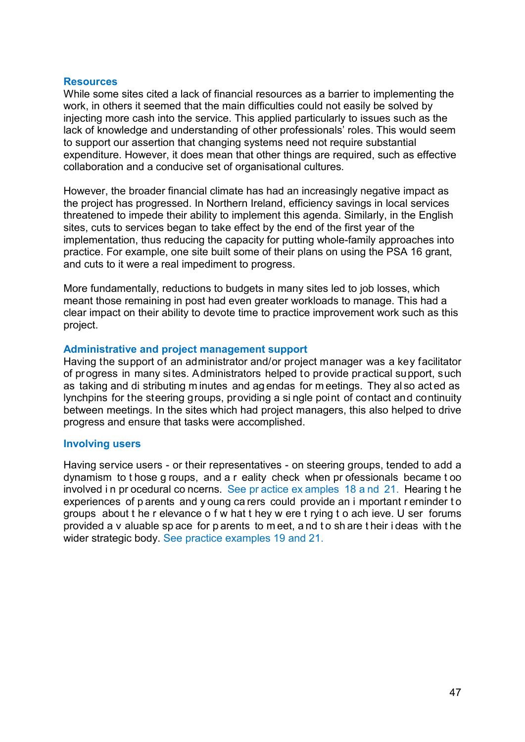#### **Resources**

While some sites cited a lack of financial resources as a barrier to implementing the work, in others it seemed that the main difficulties could not easily be solved by injecting more cash into the service. This applied particularly to issues such as the lack of knowledge and understanding of other professionals' roles. This would seem to support our assertion that changing systems need not require substantial expenditure. However, it does mean that other things are required, such as effective collaboration and a conducive set of organisational cultures.

However, the broader financial climate has had an increasingly negative impact as the project has progressed. In Northern Ireland, efficiency savings in local services threatened to impede their ability to implement this agenda. Similarly, in the English sites, cuts to services began to take effect by the end of the first year of the implementation, thus reducing the capacity for putting whole-family approaches into practice. For example, one site built some of their plans on using the PSA 16 grant, and cuts to it were a real impediment to progress.

More fundamentally, reductions to budgets in many sites led to job losses, which meant those remaining in post had even greater workloads to manage. This had a clear impact on their ability to devote time to practice improvement work such as this project.

#### **Administrative and project management support**

Having the support of an administrator and/or project manager was a key facilitator of progress in many sites. Administrators helped to provide practical support, such as taking and di stributing m inutes and ag endas for m eetings. They al so act ed as lynchpins for the steering groups, providing a si ngle point of contact and continuity between meetings. In the sites which had project managers, this also helped to drive progress and ensure that tasks were accomplished.

#### **Involving users**

Having service users - or their representatives - on steering groups, tended to add a dynamism to t hose g roups, and a r eality check when pr ofessionals became t oo involved i n pr ocedural co ncerns. See pr actice ex amples 18 a nd 21. Hearing t he experiences of p arents and y oung ca rers could provide an i mportant r eminder t o groups about t he r elevance o f w hat t hey w ere t rying t o ach ieve. U ser forums provided a v aluable sp ace for p arents to m eet, a nd t o sh are t heir i deas with t he wider strategic body. See practice examples 19 and 21.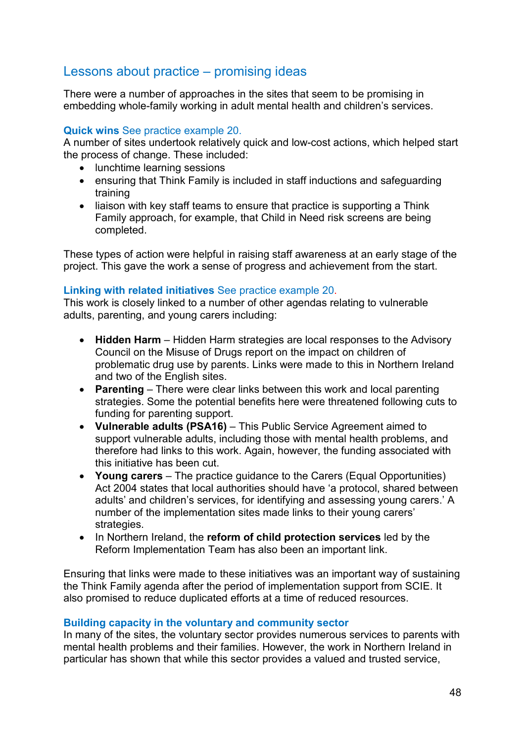# Lessons about practice – promising ideas

There were a number of approaches in the sites that seem to be promising in embedding whole-family working in adult mental health and children's services.

#### **Quick wins** See practice example 20.

A number of sites undertook relatively quick and low-cost actions, which helped start the process of change. These included:

- lunchtime learning sessions
- ensuring that Think Family is included in staff inductions and safeguarding training
- liaison with key staff teams to ensure that practice is supporting a Think Family approach, for example, that Child in Need risk screens are being completed.

These types of action were helpful in raising staff awareness at an early stage of the project. This gave the work a sense of progress and achievement from the start.

#### **Linking with related initiatives** See practice example 20.

This work is closely linked to a number of other agendas relating to vulnerable adults, parenting, and young carers including:

- **Hidden Harm** Hidden Harm strategies are local responses to the Advisory Council on the Misuse of Drugs report on the impact on children of problematic drug use by parents. Links were made to this in Northern Ireland and two of the English sites.
- **Parenting**  There were clear links between this work and local parenting strategies. Some the potential benefits here were threatened following cuts to funding for parenting support.
- **Vulnerable adults (PSA16)**  This Public Service Agreement aimed to support vulnerable adults, including those with mental health problems, and therefore had links to this work. Again, however, the funding associated with this initiative has been cut.
- **Young carers**  The practice guidance to the Carers (Equal Opportunities) Act 2004 states that local authorities should have 'a protocol, shared between adults' and children's services, for identifying and assessing young carers.' A number of the implementation sites made links to their young carers' strategies.
- In Northern Ireland, the **reform of child protection services** led by the Reform Implementation Team has also been an important link.

Ensuring that links were made to these initiatives was an important way of sustaining the Think Family agenda after the period of implementation support from SCIE. It also promised to reduce duplicated efforts at a time of reduced resources.

#### **Building capacity in the voluntary and community sector**

In many of the sites, the voluntary sector provides numerous services to parents with mental health problems and their families. However, the work in Northern Ireland in particular has shown that while this sector provides a valued and trusted service,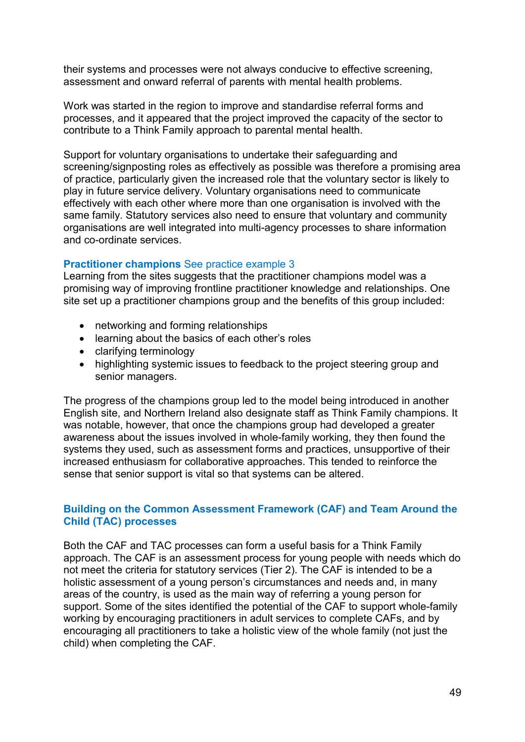their systems and processes were not always conducive to effective screening, assessment and onward referral of parents with mental health problems.

Work was started in the region to improve and standardise referral forms and processes, and it appeared that the project improved the capacity of the sector to contribute to a Think Family approach to parental mental health.

Support for voluntary organisations to undertake their safeguarding and screening/signposting roles as effectively as possible was therefore a promising area of practice, particularly given the increased role that the voluntary sector is likely to play in future service delivery. Voluntary organisations need to communicate effectively with each other where more than one organisation is involved with the same family. Statutory services also need to ensure that voluntary and community organisations are well integrated into multi-agency processes to share information and co-ordinate services.

#### **Practitioner champions** See practice example 3

Learning from the sites suggests that the practitioner champions model was a promising way of improving frontline practitioner knowledge and relationships. One site set up a practitioner champions group and the benefits of this group included:

- networking and forming relationships
- learning about the basics of each other's roles
- clarifying terminology
- highlighting systemic issues to feedback to the project steering group and senior managers.

The progress of the champions group led to the model being introduced in another English site, and Northern Ireland also designate staff as Think Family champions. It was notable, however, that once the champions group had developed a greater awareness about the issues involved in whole-family working, they then found the systems they used, such as assessment forms and practices, unsupportive of their increased enthusiasm for collaborative approaches. This tended to reinforce the sense that senior support is vital so that systems can be altered.

#### **Building on the Common Assessment Framework (CAF) and Team Around the Child (TAC) processes**

Both the CAF and TAC processes can form a useful basis for a Think Family approach. The CAF is an assessment process for young people with needs which do not meet the criteria for statutory services (Tier 2). The CAF is intended to be a holistic assessment of a young person's circumstances and needs and, in many areas of the country, is used as the main way of referring a young person for support. Some of the sites identified the potential of the CAF to support whole-family working by encouraging practitioners in adult services to complete CAFs, and by encouraging all practitioners to take a holistic view of the whole family (not just the child) when completing the CAF.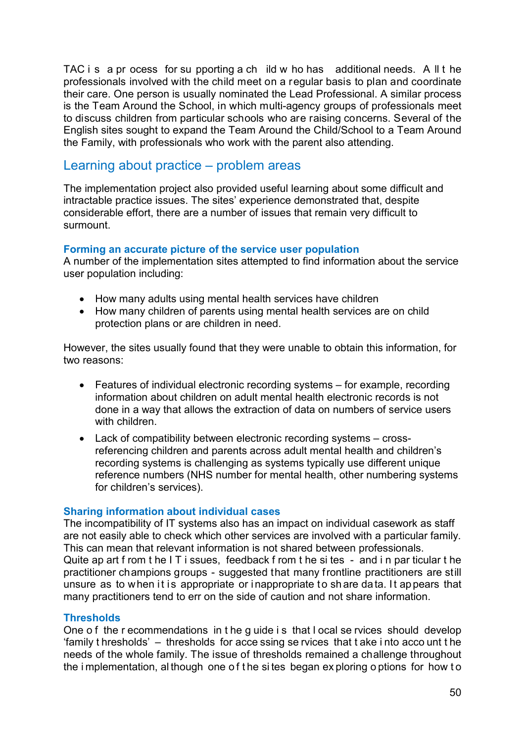TAC i s a pr ocess for su pporting a ch ild w ho has additional needs. A ll t he professionals involved with the child meet on a regular basis to plan and coordinate their care. One person is usually nominated the Lead Professional. A similar process is the Team Around the School, in which multi-agency groups of professionals meet to discuss children from particular schools who are raising concerns. Several of the English sites sought to expand the Team Around the Child/School to a Team Around the Family, with professionals who work with the parent also attending.

# Learning about practice – problem areas

The implementation project also provided useful learning about some difficult and intractable practice issues. The sites' experience demonstrated that, despite considerable effort, there are a number of issues that remain very difficult to surmount.

#### **Forming an accurate picture of the service user population**

A number of the implementation sites attempted to find information about the service user population including:

- How many adults using mental health services have children
- How many children of parents using mental health services are on child protection plans or are children in need.

However, the sites usually found that they were unable to obtain this information, for two reasons:

- Features of individual electronic recording systems for example, recording information about children on adult mental health electronic records is not done in a way that allows the extraction of data on numbers of service users with children.
- Lack of compatibility between electronic recording systems crossreferencing children and parents across adult mental health and children's recording systems is challenging as systems typically use different unique reference numbers (NHS number for mental health, other numbering systems for children's services).

#### **Sharing information about individual cases**

The incompatibility of IT systems also has an impact on individual casework as staff are not easily able to check which other services are involved with a particular family. This can mean that relevant information is not shared between professionals. Quite ap art f rom t he I T i ssues, feedback f rom t he si tes - and i n par ticular t he practitioner champions groups - suggested that many frontline practitioners are still unsure as to when it is appropriate or inappropriate to share data. It appears that many practitioners tend to err on the side of caution and not share information.

#### **Thresholds**

One o f the r ecommendations in t he g uide i s that l ocal se rvices should develop 'family t hresholds' – thresholds for acce ssing se rvices that t ake i nto acco unt t he needs of the whole family. The issue of thresholds remained a challenge throughout the i mplementation, al though one o f t he si tes began ex ploring o ptions for how t o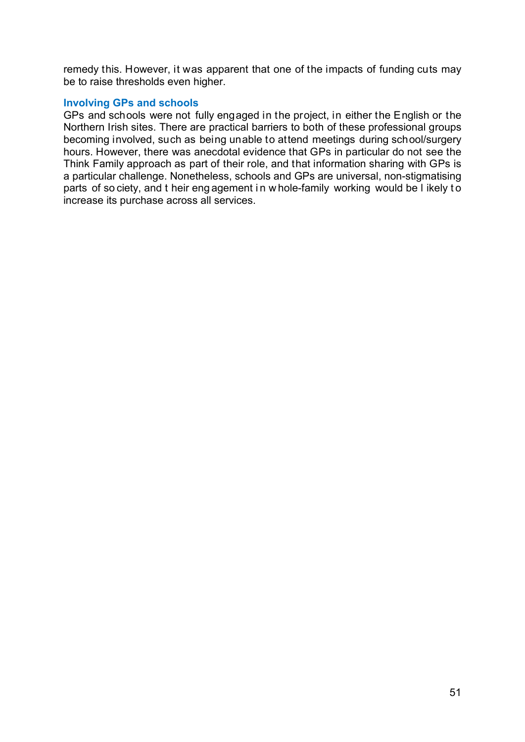remedy this. However, it was apparent that one of the impacts of funding cuts may be to raise thresholds even higher.

#### **Involving GPs and schools**

GPs and schools were not fully engaged in the project, in either the English or the Northern Irish sites. There are practical barriers to both of these professional groups becoming involved, such as being unable to attend meetings during school/surgery hours. However, there was anecdotal evidence that GPs in particular do not see the Think Family approach as part of their role, and that information sharing with GPs is a particular challenge. Nonetheless, schools and GPs are universal, non-stigmatising parts of so ciety, and t heir eng agement i n w hole-family working would be l ikely t o increase its purchase across all services.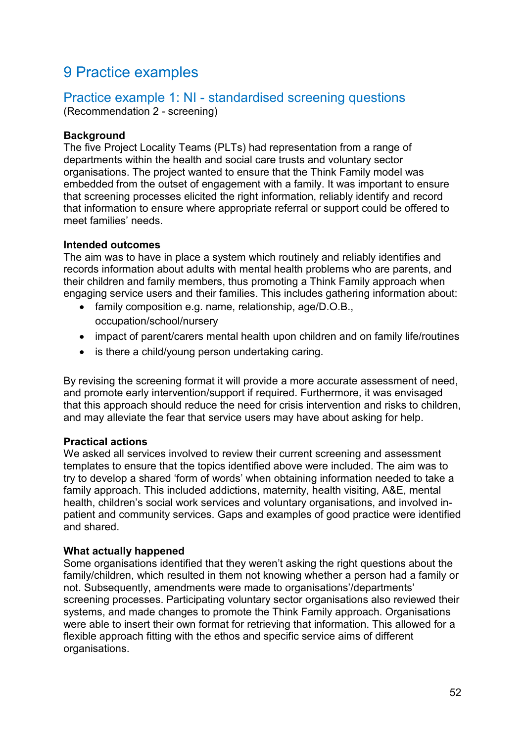# 9 Practice examples

### Practice example 1: NI - standardised screening questions (Recommendation 2 - screening)

#### **Background**

The five Project Locality Teams (PLTs) had representation from a range of departments within the health and social care trusts and voluntary sector organisations. The project wanted to ensure that the Think Family model was embedded from the outset of engagement with a family. It was important to ensure that screening processes elicited the right information, reliably identify and record that information to ensure where appropriate referral or support could be offered to meet families' needs.

#### **Intended outcomes**

The aim was to have in place a system which routinely and reliably identifies and records information about adults with mental health problems who are parents, and their children and family members, thus promoting a Think Family approach when engaging service users and their families. This includes gathering information about:

- family composition e.g. name, relationship, age/D.O.B., occupation/school/nursery
- impact of parent/carers mental health upon children and on family life/routines
- is there a child/young person undertaking caring.

By revising the screening format it will provide a more accurate assessment of need, and promote early intervention/support if required. Furthermore, it was envisaged that this approach should reduce the need for crisis intervention and risks to children, and may alleviate the fear that service users may have about asking for help.

#### **Practical actions**

We asked all services involved to review their current screening and assessment templates to ensure that the topics identified above were included. The aim was to try to develop a shared 'form of words' when obtaining information needed to take a family approach. This included addictions, maternity, health visiting, A&E, mental health, children's social work services and voluntary organisations, and involved inpatient and community services. Gaps and examples of good practice were identified and shared.

#### **What actually happened**

Some organisations identified that they weren't asking the right questions about the family/children, which resulted in them not knowing whether a person had a family or not. Subsequently, amendments were made to organisations'/departments' screening processes. Participating voluntary sector organisations also reviewed their systems, and made changes to promote the Think Family approach. Organisations were able to insert their own format for retrieving that information. This allowed for a flexible approach fitting with the ethos and specific service aims of different organisations.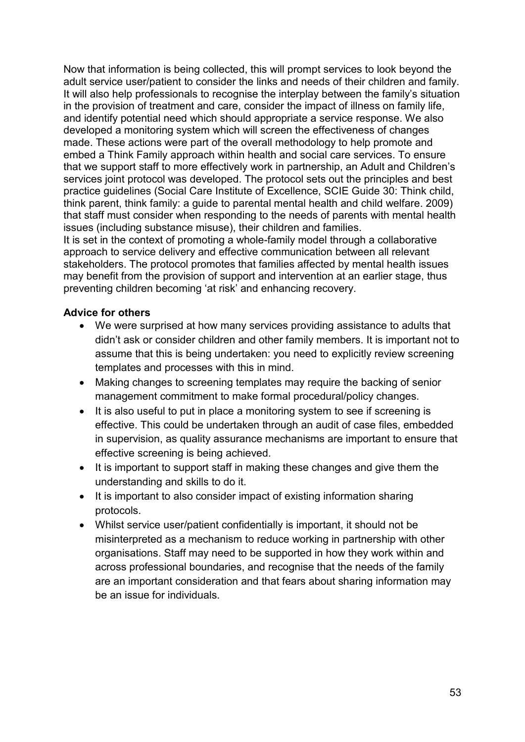Now that information is being collected, this will prompt services to look beyond the adult service user/patient to consider the links and needs of their children and family. It will also help professionals to recognise the interplay between the family's situation in the provision of treatment and care, consider the impact of illness on family life, and identify potential need which should appropriate a service response. We also developed a monitoring system which will screen the effectiveness of changes made. These actions were part of the overall methodology to help promote and embed a Think Family approach within health and social care services. To ensure that we support staff to more effectively work in partnership, an Adult and Children's services joint protocol was developed. The protocol sets out the principles and best practice guidelines (Social Care Institute of Excellence, SCIE Guide 30: Think child, think parent, think family: a guide to parental mental health and child welfare. 2009) that staff must consider when responding to the needs of parents with mental health issues (including substance misuse), their children and families. It is set in the context of promoting a whole-family model through a collaborative

approach to service delivery and effective communication between all relevant stakeholders. The protocol promotes that families affected by mental health issues may benefit from the provision of support and intervention at an earlier stage, thus preventing children becoming 'at risk' and enhancing recovery.

#### **Advice for others**

- We were surprised at how many services providing assistance to adults that didn't ask or consider children and other family members. It is important not to assume that this is being undertaken: you need to explicitly review screening templates and processes with this in mind.
- Making changes to screening templates may require the backing of senior management commitment to make formal procedural/policy changes.
- It is also useful to put in place a monitoring system to see if screening is effective. This could be undertaken through an audit of case files, embedded in supervision, as quality assurance mechanisms are important to ensure that effective screening is being achieved.
- It is important to support staff in making these changes and give them the understanding and skills to do it.
- It is important to also consider impact of existing information sharing protocols.
- Whilst service user/patient confidentially is important, it should not be misinterpreted as a mechanism to reduce working in partnership with other organisations. Staff may need to be supported in how they work within and across professional boundaries, and recognise that the needs of the family are an important consideration and that fears about sharing information may be an issue for individuals.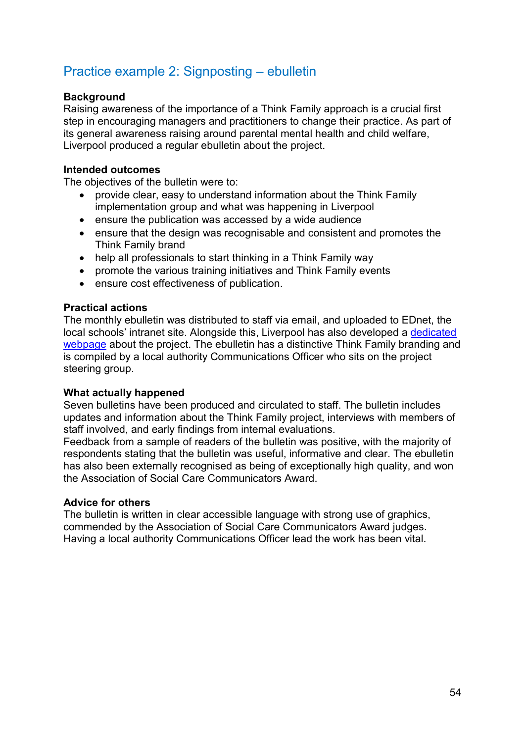# Practice example 2: Signposting – ebulletin

#### **Background**

Raising awareness of the importance of a Think Family approach is a crucial first step in encouraging managers and practitioners to change their practice. As part of its general awareness raising around parental mental health and child welfare, Liverpool produced a regular ebulletin about the project.

#### **Intended outcomes**

The objectives of the bulletin were to:

- provide clear, easy to understand information about the Think Family implementation group and what was happening in Liverpool
- ensure the publication was accessed by a wide audience
- ensure that the design was recognisable and consistent and promotes the Think Family brand
- help all professionals to start thinking in a Think Family way
- promote the various training initiatives and Think Family events
- ensure cost effectiveness of publication.

#### **Practical actions**

The monthly ebulletin was distributed to staff via email, and uploaded to EDnet, the local schools' intranet site. Alongside this, Liverpool has also developed a [dedicated](http://www.scie.org.uk/topic/people/peoplewithmentalhealthproblems/familieschildrenwhohavementalhealthproblems/parentalmentalhealthchildwelfare)  [webpage](http://www.scie.org.uk/topic/people/peoplewithmentalhealthproblems/familieschildrenwhohavementalhealthproblems/parentalmentalhealthchildwelfare) about the project. The ebulletin has a distinctive Think Family branding and is compiled by a local authority Communications Officer who sits on the project steering group.

#### **What actually happened**

Seven bulletins have been produced and circulated to staff. The bulletin includes updates and information about the Think Family project, interviews with members of staff involved, and early findings from internal evaluations.

Feedback from a sample of readers of the bulletin was positive, with the majority of respondents stating that the bulletin was useful, informative and clear. The ebulletin has also been externally recognised as being of exceptionally high quality, and won the Association of Social Care Communicators Award.

#### **Advice for others**

The bulletin is written in clear accessible language with strong use of graphics, commended by the Association of Social Care Communicators Award judges. Having a local authority Communications Officer lead the work has been vital.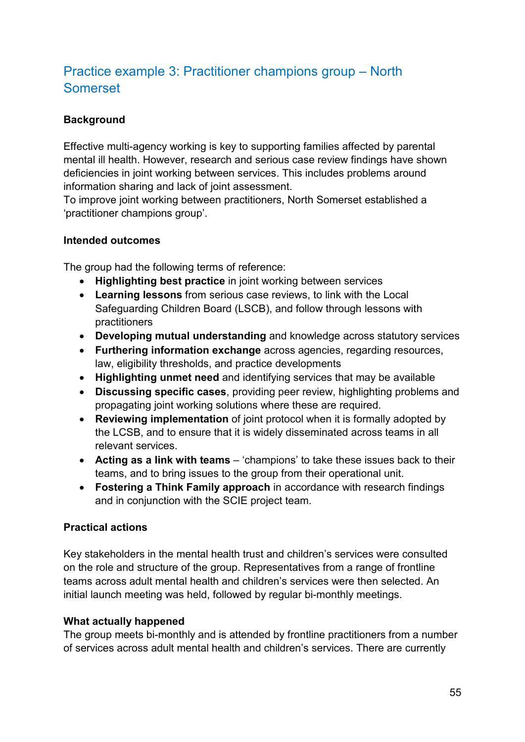# Practice example 3: Practitioner champions group – North Somerset

## **Background**

Effective multi-agency working is key to supporting families affected by parental mental ill health. However, research and serious case review findings have shown deficiencies in joint working between services. This includes problems around information sharing and lack of joint assessment.

To improve joint working between practitioners, North Somerset established a 'practitioner champions group'.

#### **Intended outcomes**

The group had the following terms of reference:

- **Highlighting best practice** in joint working between services
- **Learning lessons** from serious case reviews, to link with the Local Safeguarding Children Board (LSCB), and follow through lessons with practitioners
- **Developing mutual understanding** and knowledge across statutory services
- **Furthering information exchange** across agencies, regarding resources, law, eligibility thresholds, and practice developments
- **Highlighting unmet need** and identifying services that may be available
- **Discussing specific cases**, providing peer review, highlighting problems and propagating joint working solutions where these are required.
- **Reviewing implementation** of joint protocol when it is formally adopted by the LCSB, and to ensure that it is widely disseminated across teams in all relevant services.
- **Acting as a link with teams**  'champions' to take these issues back to their teams, and to bring issues to the group from their operational unit.
- **Fostering a Think Family approach** in accordance with research findings and in conjunction with the SCIE project team.

### **Practical actions**

Key stakeholders in the mental health trust and children's services were consulted on the role and structure of the group. Representatives from a range of frontline teams across adult mental health and children's services were then selected. An initial launch meeting was held, followed by regular bi-monthly meetings.

### **What actually happened**

The group meets bi-monthly and is attended by frontline practitioners from a number of services across adult mental health and children's services. There are currently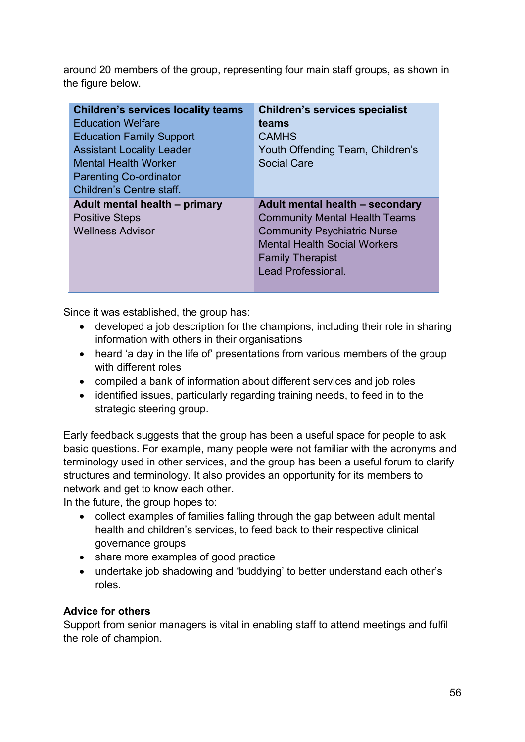around 20 members of the group, representing four main staff groups, as shown in the figure below.

| <b>Children's services locality teams</b> | <b>Children's services specialist</b> |
|-------------------------------------------|---------------------------------------|
| <b>Education Welfare</b>                  | teams                                 |
| <b>Education Family Support</b>           | <b>CAMHS</b>                          |
| <b>Assistant Locality Leader</b>          | Youth Offending Team, Children's      |
| <b>Mental Health Worker</b>               | <b>Social Care</b>                    |
| <b>Parenting Co-ordinator</b>             |                                       |
| Children's Centre staff.                  |                                       |
|                                           |                                       |
| Adult mental health - primary             | Adult mental health - secondary       |
| <b>Positive Steps</b>                     | <b>Community Mental Health Teams</b>  |
| <b>Wellness Advisor</b>                   | <b>Community Psychiatric Nurse</b>    |
|                                           | <b>Mental Health Social Workers</b>   |
|                                           | <b>Family Therapist</b>               |
|                                           | Lead Professional.                    |

Since it was established, the group has:

- developed a job description for the champions, including their role in sharing information with others in their organisations
- heard 'a day in the life of' presentations from various members of the group with different roles
- compiled a bank of information about different services and job roles
- identified issues, particularly regarding training needs, to feed in to the strategic steering group.

Early feedback suggests that the group has been a useful space for people to ask basic questions. For example, many people were not familiar with the acronyms and terminology used in other services, and the group has been a useful forum to clarify structures and terminology. It also provides an opportunity for its members to network and get to know each other.

In the future, the group hopes to:

- collect examples of families falling through the gap between adult mental health and children's services, to feed back to their respective clinical governance groups
- share more examples of good practice
- undertake job shadowing and 'buddying' to better understand each other's roles.

### **Advice for others**

Support from senior managers is vital in enabling staff to attend meetings and fulfil the role of champion.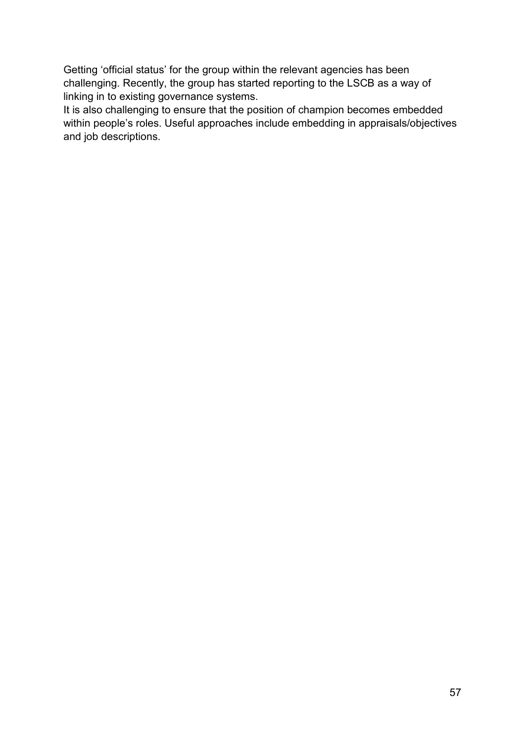Getting 'official status' for the group within the relevant agencies has been challenging. Recently, the group has started reporting to the LSCB as a way of linking in to existing governance systems.

It is also challenging to ensure that the position of champion becomes embedded within people's roles. Useful approaches include embedding in appraisals/objectives and job descriptions.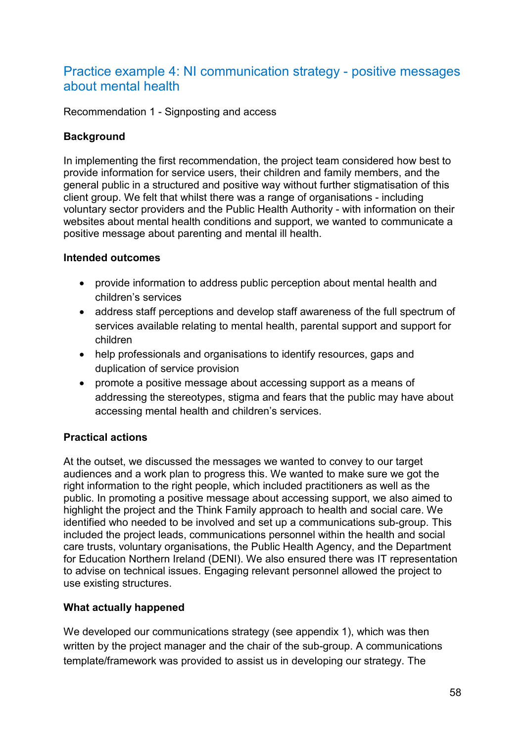# Practice example 4: NI communication strategy - positive messages about mental health

Recommendation 1 - Signposting and access

### **Background**

In implementing the first recommendation, the project team considered how best to provide information for service users, their children and family members, and the general public in a structured and positive way without further stigmatisation of this client group. We felt that whilst there was a range of organisations - including voluntary sector providers and the Public Health Authority - with information on their websites about mental health conditions and support, we wanted to communicate a positive message about parenting and mental ill health.

#### **Intended outcomes**

- provide information to address public perception about mental health and children's services
- address staff perceptions and develop staff awareness of the full spectrum of services available relating to mental health, parental support and support for children
- help professionals and organisations to identify resources, gaps and duplication of service provision
- promote a positive message about accessing support as a means of addressing the stereotypes, stigma and fears that the public may have about accessing mental health and children's services.

### **Practical actions**

At the outset, we discussed the messages we wanted to convey to our target audiences and a work plan to progress this. We wanted to make sure we got the right information to the right people, which included practitioners as well as the public. In promoting a positive message about accessing support, we also aimed to highlight the project and the Think Family approach to health and social care. We identified who needed to be involved and set up a communications sub-group. This included the project leads, communications personnel within the health and social care trusts, voluntary organisations, the Public Health Agency, and the Department for Education Northern Ireland (DENI). We also ensured there was IT representation to advise on technical issues. Engaging relevant personnel allowed the project to use existing structures.

### **What actually happened**

We developed our communications strategy (see appendix 1), which was then written by the project manager and the chair of the sub-group. A communications template/framework was provided to assist us in developing our strategy. The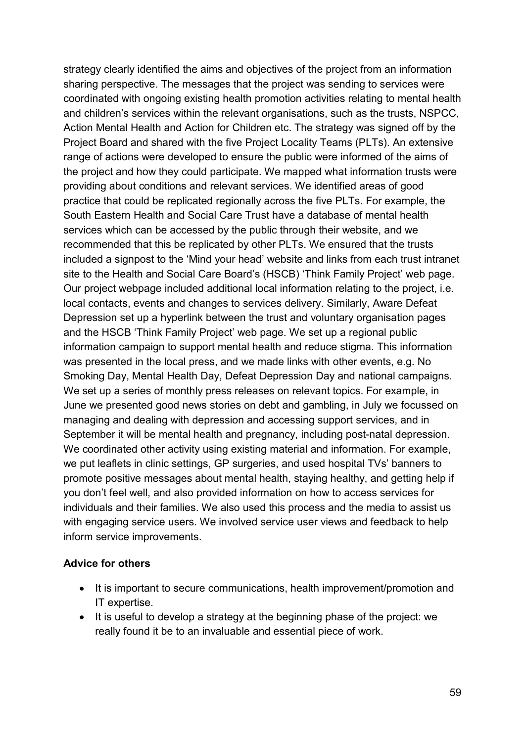strategy clearly identified the aims and objectives of the project from an information sharing perspective. The messages that the project was sending to services were coordinated with ongoing existing health promotion activities relating to mental health and children's services within the relevant organisations, such as the trusts, NSPCC, Action Mental Health and Action for Children etc. The strategy was signed off by the Project Board and shared with the five Project Locality Teams (PLTs). An extensive range of actions were developed to ensure the public were informed of the aims of the project and how they could participate. We mapped what information trusts were providing about conditions and relevant services. We identified areas of good practice that could be replicated regionally across the five PLTs. For example, the South Eastern Health and Social Care Trust have a database of mental health services which can be accessed by the public through their website, and we recommended that this be replicated by other PLTs. We ensured that the trusts included a signpost to the 'Mind your head' website and links from each trust intranet site to the Health and Social Care Board's (HSCB) 'Think Family Project' web page. Our project webpage included additional local information relating to the project, i.e. local contacts, events and changes to services delivery. Similarly, Aware Defeat Depression set up a hyperlink between the trust and voluntary organisation pages and the HSCB 'Think Family Project' web page. We set up a regional public information campaign to support mental health and reduce stigma. This information was presented in the local press, and we made links with other events, e.g. No Smoking Day, Mental Health Day, Defeat Depression Day and national campaigns. We set up a series of monthly press releases on relevant topics. For example, in June we presented good news stories on debt and gambling, in July we focussed on managing and dealing with depression and accessing support services, and in September it will be mental health and pregnancy, including post-natal depression. We coordinated other activity using existing material and information. For example, we put leaflets in clinic settings, GP surgeries, and used hospital TVs' banners to promote positive messages about mental health, staying healthy, and getting help if you don't feel well, and also provided information on how to access services for individuals and their families. We also used this process and the media to assist us with engaging service users. We involved service user views and feedback to help inform service improvements.

#### **Advice for others**

- It is important to secure communications, health improvement/promotion and IT expertise.
- It is useful to develop a strategy at the beginning phase of the project: we really found it be to an invaluable and essential piece of work.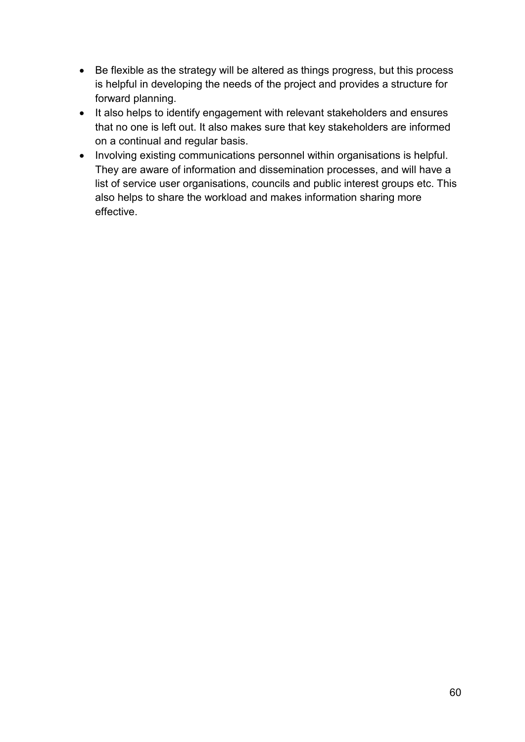- Be flexible as the strategy will be altered as things progress, but this process is helpful in developing the needs of the project and provides a structure for forward planning.
- It also helps to identify engagement with relevant stakeholders and ensures that no one is left out. It also makes sure that key stakeholders are informed on a continual and regular basis.
- Involving existing communications personnel within organisations is helpful. They are aware of information and dissemination processes, and will have a list of service user organisations, councils and public interest groups etc. This also helps to share the workload and makes information sharing more effective.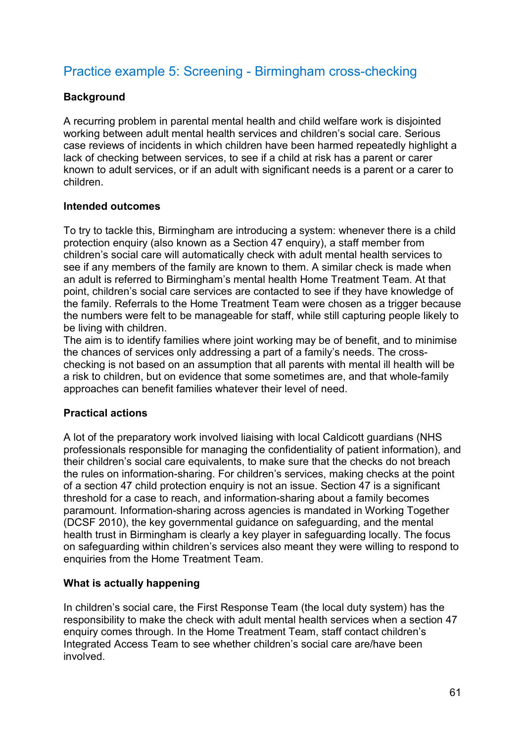# Practice example 5: Screening - Birmingham cross-checking

### **Background**

A recurring problem in parental mental health and child welfare work is disjointed working between adult mental health services and children's social care. Serious case reviews of incidents in which children have been harmed repeatedly highlight a lack of checking between services, to see if a child at risk has a parent or carer known to adult services, or if an adult with significant needs is a parent or a carer to children.

#### **Intended outcomes**

To try to tackle this, Birmingham are introducing a system: whenever there is a child protection enquiry (also known as a Section 47 enquiry), a staff member from children's social care will automatically check with adult mental health services to see if any members of the family are known to them. A similar check is made when an adult is referred to Birmingham's mental health Home Treatment Team. At that point, children's social care services are contacted to see if they have knowledge of the family. Referrals to the Home Treatment Team were chosen as a trigger because the numbers were felt to be manageable for staff, while still capturing people likely to be living with children.

The aim is to identify families where joint working may be of benefit, and to minimise the chances of services only addressing a part of a family's needs. The crosschecking is not based on an assumption that all parents with mental ill health will be a risk to children, but on evidence that some sometimes are, and that whole-family approaches can benefit families whatever their level of need.

#### **Practical actions**

A lot of the preparatory work involved liaising with local Caldicott guardians (NHS professionals responsible for managing the confidentiality of patient information), and their children's social care equivalents, to make sure that the checks do not breach the rules on information-sharing. For children's services, making checks at the point of a section 47 child protection enquiry is not an issue. Section 47 is a significant threshold for a case to reach, and information-sharing about a family becomes paramount. Information-sharing across agencies is mandated in Working Together (DCSF 2010), the key governmental guidance on safeguarding, and the mental health trust in Birmingham is clearly a key player in safeguarding locally. The focus on safeguarding within children's services also meant they were willing to respond to enquiries from the Home Treatment Team.

#### **What is actually happening**

In children's social care, the First Response Team (the local duty system) has the responsibility to make the check with adult mental health services when a section 47 enquiry comes through. In the Home Treatment Team, staff contact children's Integrated Access Team to see whether children's social care are/have been involved.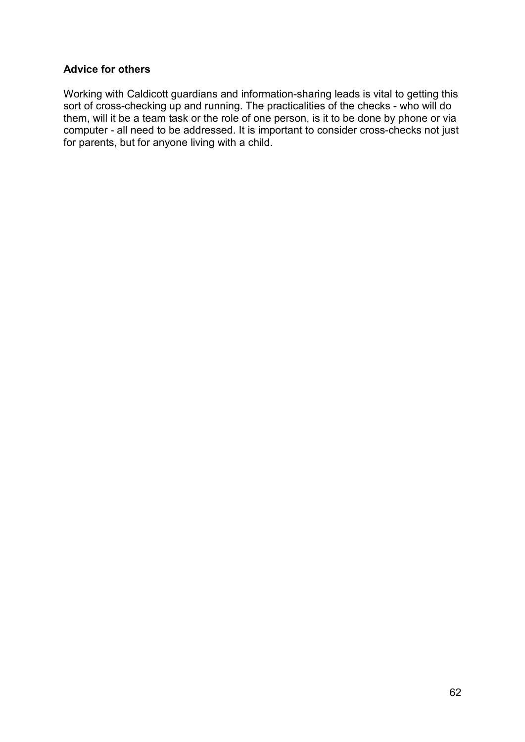#### **Advice for others**

Working with Caldicott guardians and information-sharing leads is vital to getting this sort of cross-checking up and running. The practicalities of the checks - who will do them, will it be a team task or the role of one person, is it to be done by phone or via computer - all need to be addressed. It is important to consider cross-checks not just for parents, but for anyone living with a child.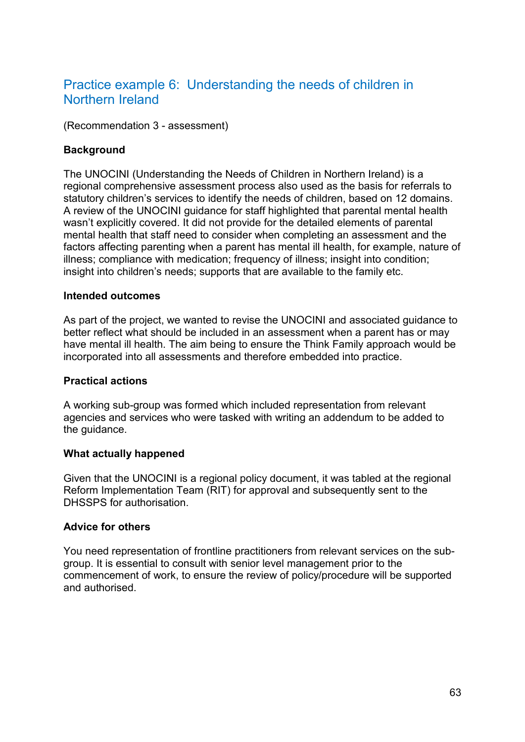# Practice example 6: Understanding the needs of children in Northern Ireland

(Recommendation 3 - assessment)

### **Background**

The UNOCINI (Understanding the Needs of Children in Northern Ireland) is a regional comprehensive assessment process also used as the basis for referrals to statutory children's services to identify the needs of children, based on 12 domains. A review of the UNOCINI guidance for staff highlighted that parental mental health wasn't explicitly covered. It did not provide for the detailed elements of parental mental health that staff need to consider when completing an assessment and the factors affecting parenting when a parent has mental ill health, for example, nature of illness; compliance with medication; frequency of illness; insight into condition; insight into children's needs; supports that are available to the family etc.

#### **Intended outcomes**

As part of the project, we wanted to revise the UNOCINI and associated guidance to better reflect what should be included in an assessment when a parent has or may have mental ill health. The aim being to ensure the Think Family approach would be incorporated into all assessments and therefore embedded into practice.

### **Practical actions**

A working sub-group was formed which included representation from relevant agencies and services who were tasked with writing an addendum to be added to the guidance.

#### **What actually happened**

Given that the UNOCINI is a regional policy document, it was tabled at the regional Reform Implementation Team (RIT) for approval and subsequently sent to the DHSSPS for authorisation.

### **Advice for others**

You need representation of frontline practitioners from relevant services on the subgroup. It is essential to consult with senior level management prior to the commencement of work, to ensure the review of policy/procedure will be supported and authorised.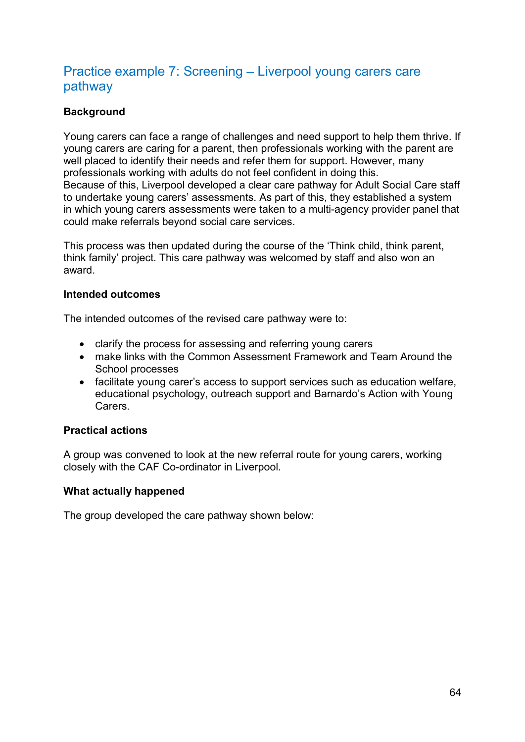# Practice example 7: Screening – Liverpool young carers care pathway

### **Background**

Young carers can face a range of challenges and need support to help them thrive. If young carers are caring for a parent, then professionals working with the parent are well placed to identify their needs and refer them for support. However, many professionals working with adults do not feel confident in doing this. Because of this, Liverpool developed a clear care pathway for Adult Social Care staff to undertake young carers' assessments. As part of this, they established a system in which young carers assessments were taken to a multi-agency provider panel that could make referrals beyond social care services.

This process was then updated during the course of the 'Think child, think parent, think family' project. This care pathway was welcomed by staff and also won an award.

#### **Intended outcomes**

The intended outcomes of the revised care pathway were to:

- clarify the process for assessing and referring young carers
- make links with the Common Assessment Framework and Team Around the School processes
- facilitate young carer's access to support services such as education welfare, educational psychology, outreach support and Barnardo's Action with Young **Carers**

#### **Practical actions**

A group was convened to look at the new referral route for young carers, working closely with the CAF Co-ordinator in Liverpool.

#### **What actually happened**

The group developed the care pathway shown below: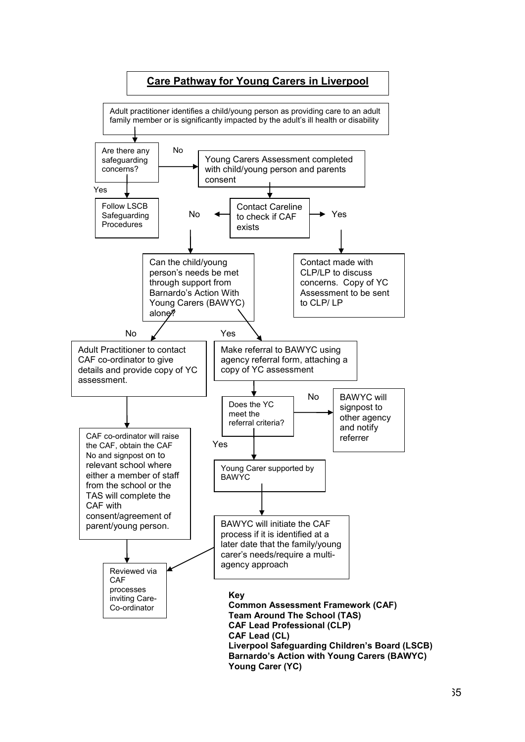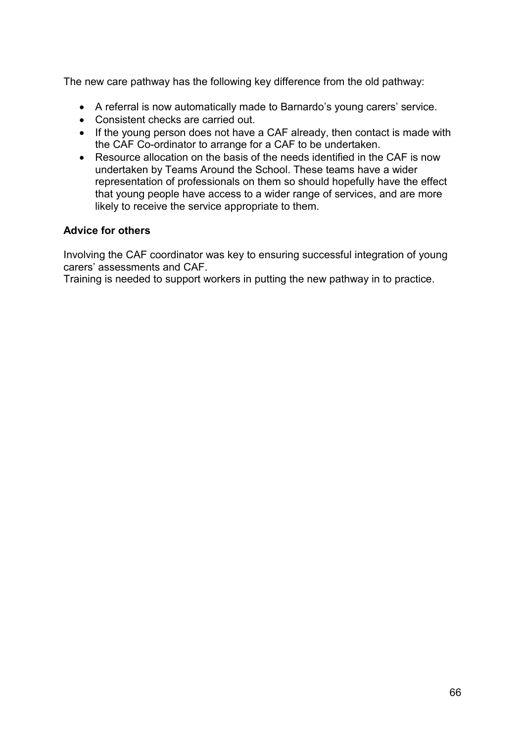The new care pathway has the following key difference from the old pathway:

- A referral is now automatically made to Barnardo's young carers' service.
- Consistent checks are carried out.
- If the young person does not have a CAF already, then contact is made with the CAF Co-ordinator to arrange for a CAF to be undertaken.
- Resource allocation on the basis of the needs identified in the CAF is now undertaken by Teams Around the School. These teams have a wider representation of professionals on them so should hopefully have the effect that young people have access to a wider range of services, and are more likely to receive the service appropriate to them.

#### **Advice for others**

Involving the CAF coordinator was key to ensuring successful integration of young carers' assessments and CAF.

Training is needed to support workers in putting the new pathway in to practice.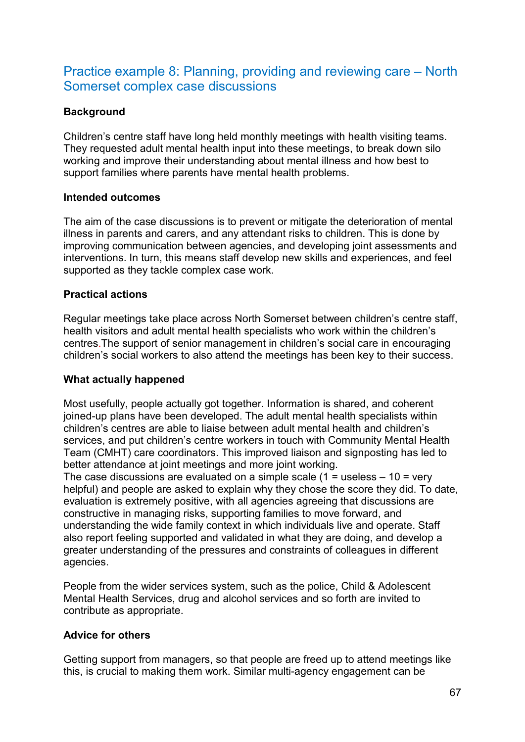# Practice example 8: Planning, providing and reviewing care – North Somerset complex case discussions

### **Background**

Children's centre staff have long held monthly meetings with health visiting teams. They requested adult mental health input into these meetings, to break down silo working and improve their understanding about mental illness and how best to support families where parents have mental health problems.

#### **Intended outcomes**

The aim of the case discussions is to prevent or mitigate the deterioration of mental illness in parents and carers, and any attendant risks to children. This is done by improving communication between agencies, and developing joint assessments and interventions. In turn, this means staff develop new skills and experiences, and feel supported as they tackle complex case work.

#### **Practical actions**

Regular meetings take place across North Somerset between children's centre staff, health visitors and adult mental health specialists who work within the children's centres.The support of senior management in children's social care in encouraging children's social workers to also attend the meetings has been key to their success.

### **What actually happened**

Most usefully, people actually got together. Information is shared, and coherent joined-up plans have been developed. The adult mental health specialists within children's centres are able to liaise between adult mental health and children's services, and put children's centre workers in touch with Community Mental Health Team (CMHT) care coordinators. This improved liaison and signposting has led to better attendance at joint meetings and more joint working.

The case discussions are evaluated on a simple scale  $(1 =$  useless  $-10 =$  very helpful) and people are asked to explain why they chose the score they did. To date, evaluation is extremely positive, with all agencies agreeing that discussions are constructive in managing risks, supporting families to move forward, and understanding the wide family context in which individuals live and operate. Staff also report feeling supported and validated in what they are doing, and develop a greater understanding of the pressures and constraints of colleagues in different agencies.

People from the wider services system, such as the police, Child & Adolescent Mental Health Services, drug and alcohol services and so forth are invited to contribute as appropriate.

### **Advice for others**

Getting support from managers, so that people are freed up to attend meetings like this, is crucial to making them work. Similar multi-agency engagement can be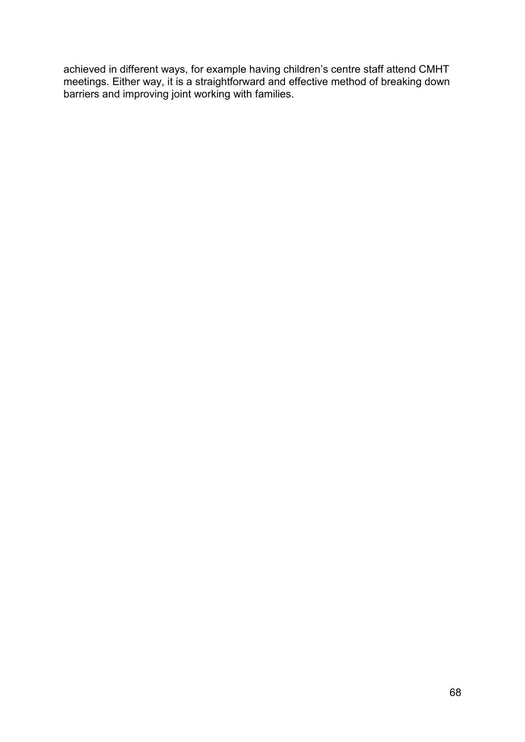achieved in different ways, for example having children's centre staff attend CMHT meetings. Either way, it is a straightforward and effective method of breaking down barriers and improving joint working with families.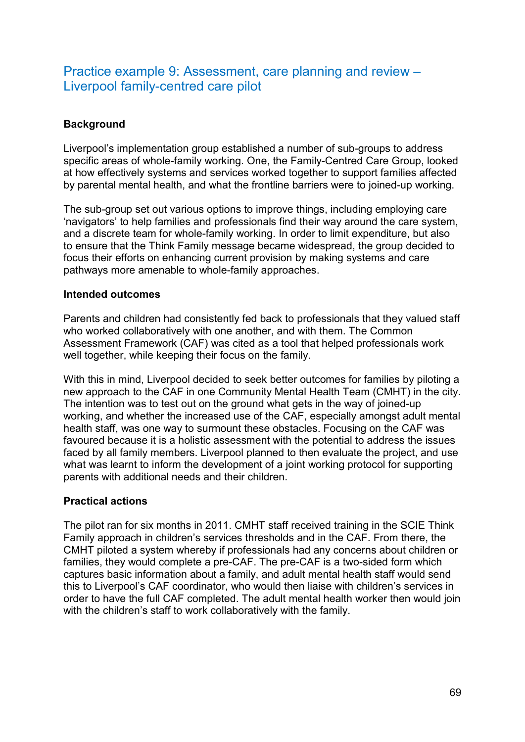# Practice example 9: Assessment, care planning and review – Liverpool family-centred care pilot

### **Background**

Liverpool's implementation group established a number of sub-groups to address specific areas of whole-family working. One, the Family-Centred Care Group, looked at how effectively systems and services worked together to support families affected by parental mental health, and what the frontline barriers were to joined-up working.

The sub-group set out various options to improve things, including employing care 'navigators' to help families and professionals find their way around the care system, and a discrete team for whole-family working. In order to limit expenditure, but also to ensure that the Think Family message became widespread, the group decided to focus their efforts on enhancing current provision by making systems and care pathways more amenable to whole-family approaches.

#### **Intended outcomes**

Parents and children had consistently fed back to professionals that they valued staff who worked collaboratively with one another, and with them. The Common Assessment Framework (CAF) was cited as a tool that helped professionals work well together, while keeping their focus on the family.

With this in mind, Liverpool decided to seek better outcomes for families by piloting a new approach to the CAF in one Community Mental Health Team (CMHT) in the city. The intention was to test out on the ground what gets in the way of joined-up working, and whether the increased use of the CAF, especially amongst adult mental health staff, was one way to surmount these obstacles. Focusing on the CAF was favoured because it is a holistic assessment with the potential to address the issues faced by all family members. Liverpool planned to then evaluate the project, and use what was learnt to inform the development of a joint working protocol for supporting parents with additional needs and their children.

### **Practical actions**

The pilot ran for six months in 2011. CMHT staff received training in the SCIE Think Family approach in children's services thresholds and in the CAF. From there, the CMHT piloted a system whereby if professionals had any concerns about children or families, they would complete a pre-CAF. The pre-CAF is a two-sided form which captures basic information about a family, and adult mental health staff would send this to Liverpool's CAF coordinator, who would then liaise with children's services in order to have the full CAF completed. The adult mental health worker then would join with the children's staff to work collaboratively with the family.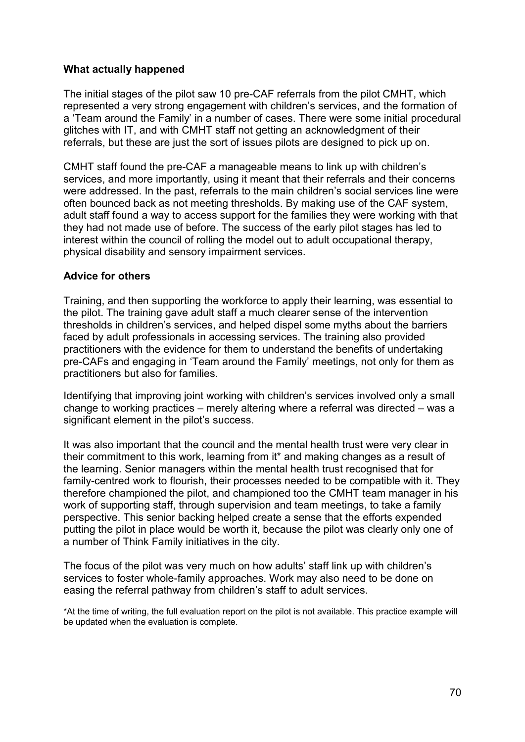#### **What actually happened**

The initial stages of the pilot saw 10 pre-CAF referrals from the pilot CMHT, which represented a very strong engagement with children's services, and the formation of a 'Team around the Family' in a number of cases. There were some initial procedural glitches with IT, and with CMHT staff not getting an acknowledgment of their referrals, but these are just the sort of issues pilots are designed to pick up on.

CMHT staff found the pre-CAF a manageable means to link up with children's services, and more importantly, using it meant that their referrals and their concerns were addressed. In the past, referrals to the main children's social services line were often bounced back as not meeting thresholds. By making use of the CAF system, adult staff found a way to access support for the families they were working with that they had not made use of before. The success of the early pilot stages has led to interest within the council of rolling the model out to adult occupational therapy, physical disability and sensory impairment services.

#### **Advice for others**

Training, and then supporting the workforce to apply their learning, was essential to the pilot. The training gave adult staff a much clearer sense of the intervention thresholds in children's services, and helped dispel some myths about the barriers faced by adult professionals in accessing services. The training also provided practitioners with the evidence for them to understand the benefits of undertaking pre-CAFs and engaging in 'Team around the Family' meetings, not only for them as practitioners but also for families.

Identifying that improving joint working with children's services involved only a small change to working practices – merely altering where a referral was directed – was a significant element in the pilot's success.

It was also important that the council and the mental health trust were very clear in their commitment to this work, learning from it\* and making changes as a result of the learning. Senior managers within the mental health trust recognised that for family-centred work to flourish, their processes needed to be compatible with it. They therefore championed the pilot, and championed too the CMHT team manager in his work of supporting staff, through supervision and team meetings, to take a family perspective. This senior backing helped create a sense that the efforts expended putting the pilot in place would be worth it, because the pilot was clearly only one of a number of Think Family initiatives in the city.

The focus of the pilot was very much on how adults' staff link up with children's services to foster whole-family approaches. Work may also need to be done on easing the referral pathway from children's staff to adult services.

\*At the time of writing, the full evaluation report on the pilot is not available. This practice example will be updated when the evaluation is complete.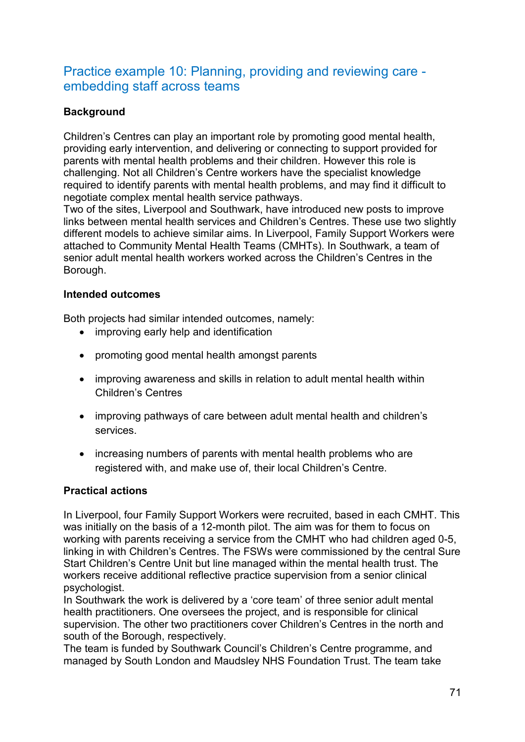# Practice example 10: Planning, providing and reviewing care embedding staff across teams

## **Background**

Children's Centres can play an important role by promoting good mental health, providing early intervention, and delivering or connecting to support provided for parents with mental health problems and their children. However this role is challenging. Not all Children's Centre workers have the specialist knowledge required to identify parents with mental health problems, and may find it difficult to negotiate complex mental health service pathways.

Two of the sites, Liverpool and Southwark, have introduced new posts to improve links between mental health services and Children's Centres. These use two slightly different models to achieve similar aims. In Liverpool, Family Support Workers were attached to Community Mental Health Teams (CMHTs). In Southwark, a team of senior adult mental health workers worked across the Children's Centres in the Borough.

### **Intended outcomes**

Both projects had similar intended outcomes, namely:

- improving early help and identification
- promoting good mental health amongst parents
- improving awareness and skills in relation to adult mental health within Children's Centres
- improving pathways of care between adult mental health and children's services.
- increasing numbers of parents with mental health problems who are registered with, and make use of, their local Children's Centre.

### **Practical actions**

In Liverpool, four Family Support Workers were recruited, based in each CMHT. This was initially on the basis of a 12-month pilot. The aim was for them to focus on working with parents receiving a service from the CMHT who had children aged 0-5, linking in with Children's Centres. The FSWs were commissioned by the central Sure Start Children's Centre Unit but line managed within the mental health trust. The workers receive additional reflective practice supervision from a senior clinical psychologist.

In Southwark the work is delivered by a 'core team' of three senior adult mental health practitioners. One oversees the project, and is responsible for clinical supervision. The other two practitioners cover Children's Centres in the north and south of the Borough, respectively.

The team is funded by Southwark Council's Children's Centre programme, and managed by South London and Maudsley NHS Foundation Trust. The team take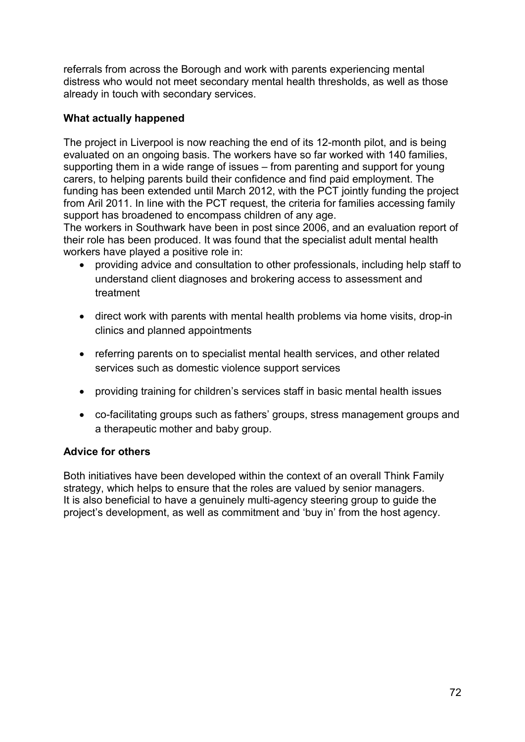referrals from across the Borough and work with parents experiencing mental distress who would not meet secondary mental health thresholds, as well as those already in touch with secondary services.

### **What actually happened**

The project in Liverpool is now reaching the end of its 12-month pilot, and is being evaluated on an ongoing basis. The workers have so far worked with 140 families, supporting them in a wide range of issues – from parenting and support for young carers, to helping parents build their confidence and find paid employment. The funding has been extended until March 2012, with the PCT jointly funding the project from Aril 2011. In line with the PCT request, the criteria for families accessing family support has broadened to encompass children of any age.

The workers in Southwark have been in post since 2006, and an evaluation report of their role has been produced. It was found that the specialist adult mental health workers have played a positive role in:

- providing advice and consultation to other professionals, including help staff to understand client diagnoses and brokering access to assessment and treatment
- direct work with parents with mental health problems via home visits, drop-in clinics and planned appointments
- referring parents on to specialist mental health services, and other related services such as domestic violence support services
- providing training for children's services staff in basic mental health issues
- co-facilitating groups such as fathers' groups, stress management groups and a therapeutic mother and baby group.

### **Advice for others**

Both initiatives have been developed within the context of an overall Think Family strategy, which helps to ensure that the roles are valued by senior managers. It is also beneficial to have a genuinely multi-agency steering group to guide the project's development, as well as commitment and 'buy in' from the host agency.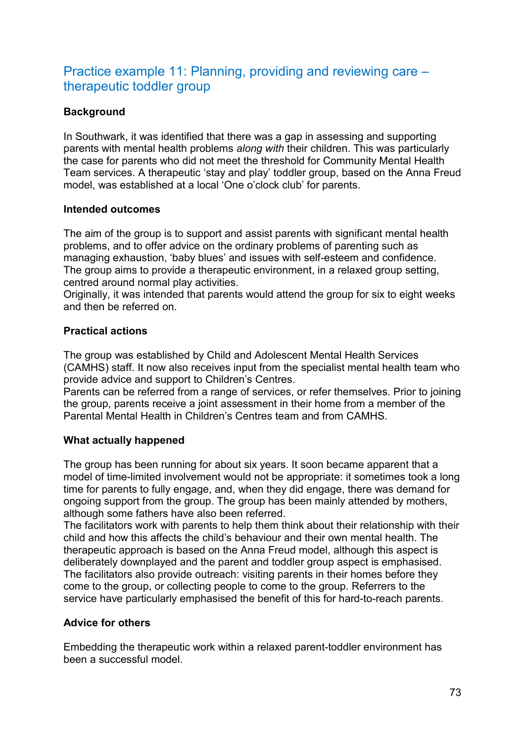# Practice example 11: Planning, providing and reviewing care – therapeutic toddler group

### **Background**

In Southwark, it was identified that there was a gap in assessing and supporting parents with mental health problems *along with* their children. This was particularly the case for parents who did not meet the threshold for Community Mental Health Team services. A therapeutic 'stay and play' toddler group, based on the Anna Freud model, was established at a local 'One o'clock club' for parents.

### **Intended outcomes**

The aim of the group is to support and assist parents with significant mental health problems, and to offer advice on the ordinary problems of parenting such as managing exhaustion, 'baby blues' and issues with self-esteem and confidence. The group aims to provide a therapeutic environment, in a relaxed group setting, centred around normal play activities.

Originally, it was intended that parents would attend the group for six to eight weeks and then be referred on.

### **Practical actions**

The group was established by Child and Adolescent Mental Health Services (CAMHS) staff. It now also receives input from the specialist mental health team who provide advice and support to Children's Centres.

Parents can be referred from a range of services, or refer themselves. Prior to joining the group, parents receive a joint assessment in their home from a member of the Parental Mental Health in Children's Centres team and from CAMHS.

### **What actually happened**

The group has been running for about six years. It soon became apparent that a model of time-limited involvement would not be appropriate: it sometimes took a long time for parents to fully engage, and, when they did engage, there was demand for ongoing support from the group. The group has been mainly attended by mothers, although some fathers have also been referred.

The facilitators work with parents to help them think about their relationship with their child and how this affects the child's behaviour and their own mental health. The therapeutic approach is based on the Anna Freud model, although this aspect is deliberately downplayed and the parent and toddler group aspect is emphasised. The facilitators also provide outreach: visiting parents in their homes before they come to the group, or collecting people to come to the group. Referrers to the service have particularly emphasised the benefit of this for hard-to-reach parents.

### **Advice for others**

Embedding the therapeutic work within a relaxed parent-toddler environment has been a successful model.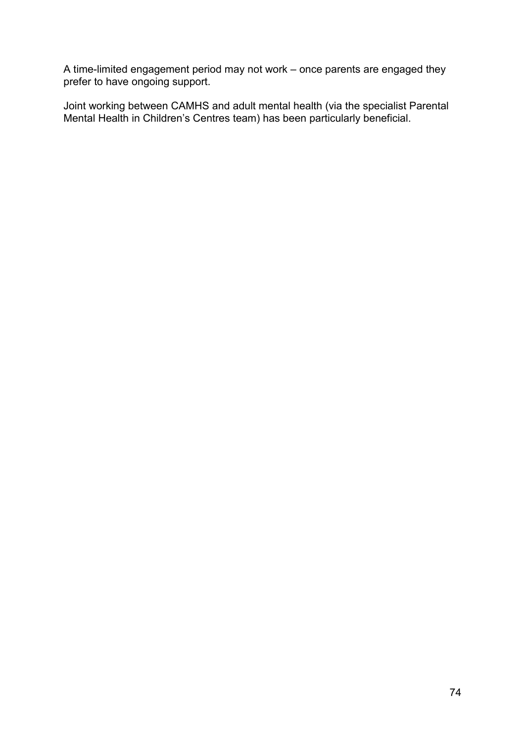A time-limited engagement period may not work – once parents are engaged they prefer to have ongoing support.

Joint working between CAMHS and adult mental health (via the specialist Parental Mental Health in Children's Centres team) has been particularly beneficial.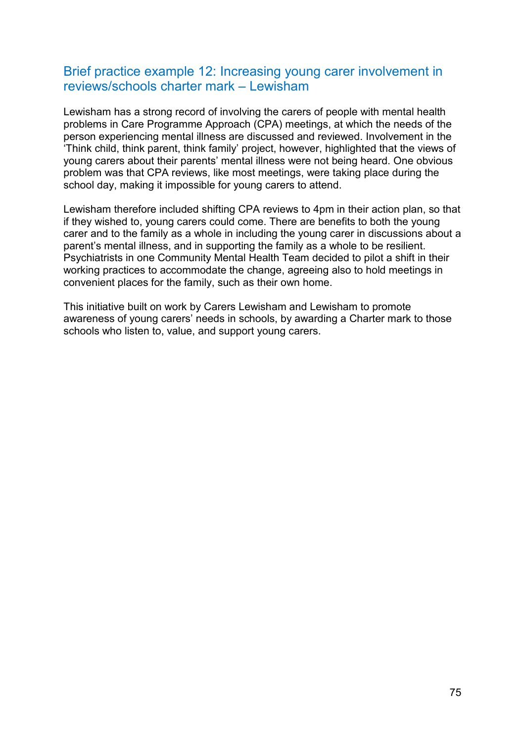## Brief practice example 12: Increasing young carer involvement in reviews/schools charter mark – Lewisham

Lewisham has a strong record of involving the carers of people with mental health problems in Care Programme Approach (CPA) meetings, at which the needs of the person experiencing mental illness are discussed and reviewed. Involvement in the 'Think child, think parent, think family' project, however, highlighted that the views of young carers about their parents' mental illness were not being heard. One obvious problem was that CPA reviews, like most meetings, were taking place during the school day, making it impossible for young carers to attend.

Lewisham therefore included shifting CPA reviews to 4pm in their action plan, so that if they wished to, young carers could come. There are benefits to both the young carer and to the family as a whole in including the young carer in discussions about a parent's mental illness, and in supporting the family as a whole to be resilient. Psychiatrists in one Community Mental Health Team decided to pilot a shift in their working practices to accommodate the change, agreeing also to hold meetings in convenient places for the family, such as their own home.

This initiative built on work by Carers Lewisham and Lewisham to promote awareness of young carers' needs in schools, by awarding a Charter mark to those schools who listen to, value, and support young carers.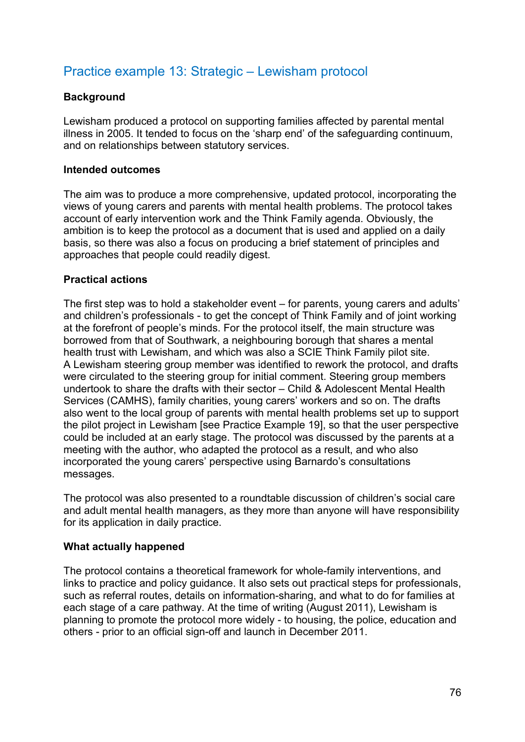# Practice example 13: Strategic – Lewisham protocol

### **Background**

Lewisham produced a protocol on supporting families affected by parental mental illness in 2005. It tended to focus on the 'sharp end' of the safeguarding continuum, and on relationships between statutory services.

### **Intended outcomes**

The aim was to produce a more comprehensive, updated protocol, incorporating the views of young carers and parents with mental health problems. The protocol takes account of early intervention work and the Think Family agenda. Obviously, the ambition is to keep the protocol as a document that is used and applied on a daily basis, so there was also a focus on producing a brief statement of principles and approaches that people could readily digest.

### **Practical actions**

The first step was to hold a stakeholder event – for parents, young carers and adults' and children's professionals - to get the concept of Think Family and of joint working at the forefront of people's minds. For the protocol itself, the main structure was borrowed from that of Southwark, a neighbouring borough that shares a mental health trust with Lewisham, and which was also a SCIE Think Family pilot site. A Lewisham steering group member was identified to rework the protocol, and drafts were circulated to the steering group for initial comment. Steering group members undertook to share the drafts with their sector – Child & Adolescent Mental Health Services (CAMHS), family charities, young carers' workers and so on. The drafts also went to the local group of parents with mental health problems set up to support the pilot project in Lewisham [see Practice Example 19], so that the user perspective could be included at an early stage. The protocol was discussed by the parents at a meeting with the author, who adapted the protocol as a result, and who also incorporated the young carers' perspective using Barnardo's consultations messages.

The protocol was also presented to a roundtable discussion of children's social care and adult mental health managers, as they more than anyone will have responsibility for its application in daily practice.

### **What actually happened**

The protocol contains a theoretical framework for whole-family interventions, and links to practice and policy guidance. It also sets out practical steps for professionals, such as referral routes, details on information-sharing, and what to do for families at each stage of a care pathway. At the time of writing (August 2011), Lewisham is planning to promote the protocol more widely - to housing, the police, education and others - prior to an official sign-off and launch in December 2011.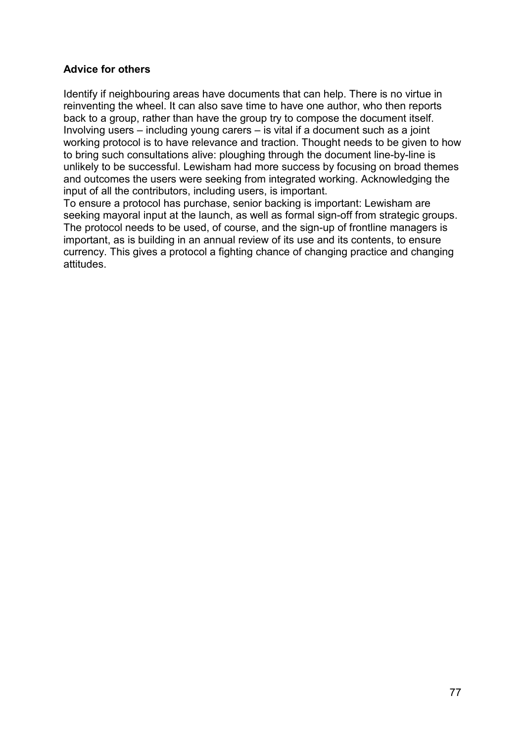### **Advice for others**

Identify if neighbouring areas have documents that can help. There is no virtue in reinventing the wheel. It can also save time to have one author, who then reports back to a group, rather than have the group try to compose the document itself. Involving users – including young carers – is vital if a document such as a joint working protocol is to have relevance and traction. Thought needs to be given to how to bring such consultations alive: ploughing through the document line-by-line is unlikely to be successful. Lewisham had more success by focusing on broad themes and outcomes the users were seeking from integrated working. Acknowledging the input of all the contributors, including users, is important.

To ensure a protocol has purchase, senior backing is important: Lewisham are seeking mayoral input at the launch, as well as formal sign-off from strategic groups. The protocol needs to be used, of course, and the sign-up of frontline managers is important, as is building in an annual review of its use and its contents, to ensure currency. This gives a protocol a fighting chance of changing practice and changing attitudes.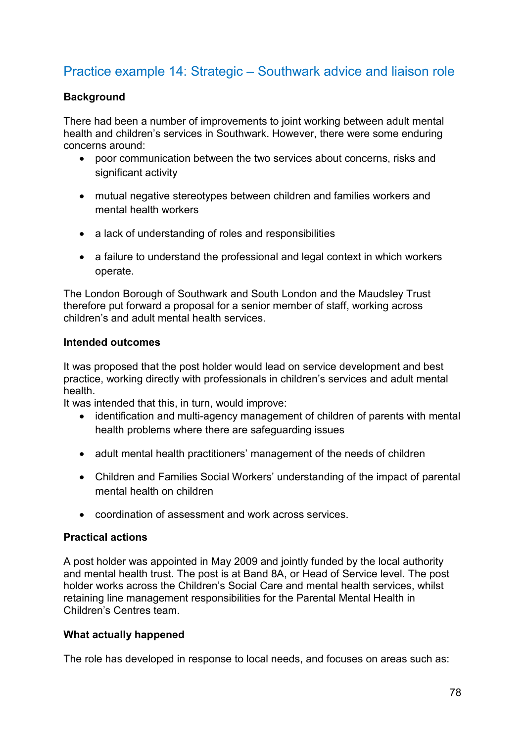# Practice example 14: Strategic – Southwark advice and liaison role

### **Background**

There had been a number of improvements to joint working between adult mental health and children's services in Southwark. However, there were some enduring concerns around:

- poor communication between the two services about concerns, risks and significant activity
- mutual negative stereotypes between children and families workers and mental health workers
- a lack of understanding of roles and responsibilities
- a failure to understand the professional and legal context in which workers operate.

The London Borough of Southwark and South London and the Maudsley Trust therefore put forward a proposal for a senior member of staff, working across children's and adult mental health services.

### **Intended outcomes**

It was proposed that the post holder would lead on service development and best practice, working directly with professionals in children's services and adult mental health.

It was intended that this, in turn, would improve:

- identification and multi-agency management of children of parents with mental health problems where there are safeguarding issues
- adult mental health practitioners' management of the needs of children
- Children and Families Social Workers' understanding of the impact of parental mental health on children
- coordination of assessment and work across services.

### **Practical actions**

A post holder was appointed in May 2009 and jointly funded by the local authority and mental health trust. The post is at Band 8A, or Head of Service level. The post holder works across the Children's Social Care and mental health services, whilst retaining line management responsibilities for the Parental Mental Health in Children's Centres team.

### **What actually happened**

The role has developed in response to local needs, and focuses on areas such as: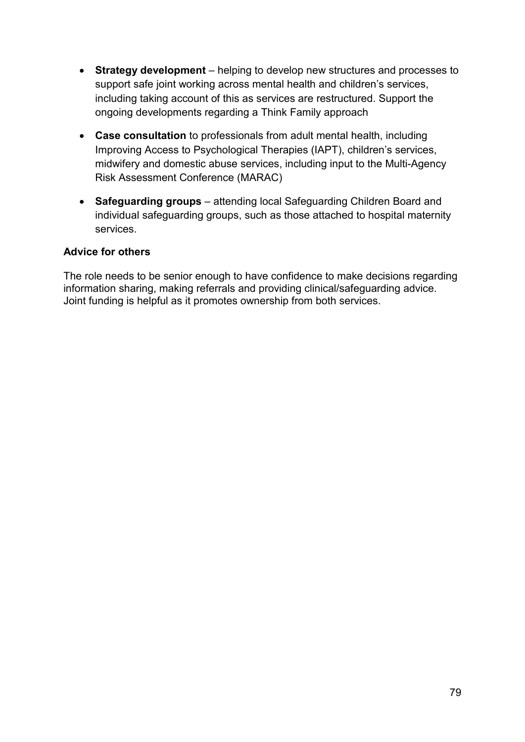- **Strategy development**  helping to develop new structures and processes to support safe joint working across mental health and children's services, including taking account of this as services are restructured. Support the ongoing developments regarding a Think Family approach
- **Case consultation** to professionals from adult mental health, including Improving Access to Psychological Therapies (IAPT), children's services, midwifery and domestic abuse services, including input to the Multi-Agency Risk Assessment Conference (MARAC)
- **Safeguarding groups**  attending local Safeguarding Children Board and individual safeguarding groups, such as those attached to hospital maternity services.

### **Advice for others**

The role needs to be senior enough to have confidence to make decisions regarding information sharing, making referrals and providing clinical/safeguarding advice. Joint funding is helpful as it promotes ownership from both services.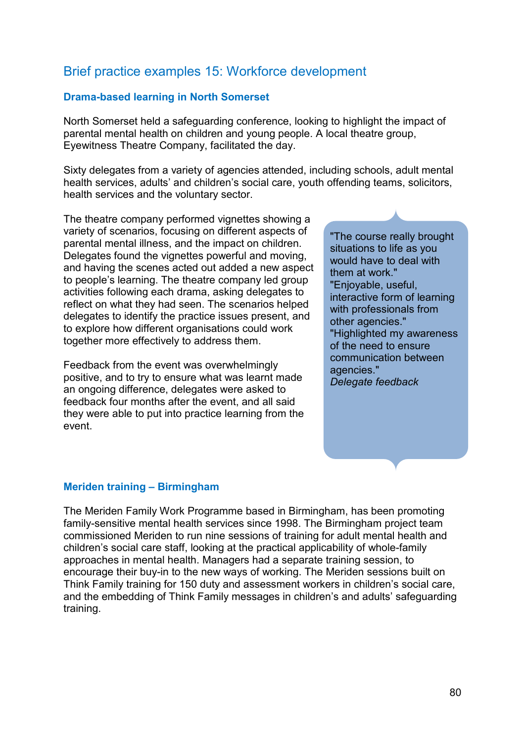# Brief practice examples 15: Workforce development

### **Drama-based learning in North Somerset**

North Somerset held a safeguarding conference, looking to highlight the impact of parental mental health on children and young people. A local theatre group, Eyewitness Theatre Company, facilitated the day.

Sixty delegates from a variety of agencies attended, including schools, adult mental health services, adults' and children's social care, youth offending teams, solicitors, health services and the voluntary sector.

The theatre company performed vignettes showing a variety of scenarios, focusing on different aspects of parental mental illness, and the impact on children. Delegates found the vignettes powerful and moving, and having the scenes acted out added a new aspect to people's learning. The theatre company led group activities following each drama, asking delegates to reflect on what they had seen. The scenarios helped delegates to identify the practice issues present, and to explore how different organisations could work together more effectively to address them.

Feedback from the event was overwhelmingly positive, and to try to ensure what was learnt made an ongoing difference, delegates were asked to feedback four months after the event, and all said they were able to put into practice learning from the event.

"The course really brought situations to life as you would have to deal with them at work." "Enjoyable, useful, interactive form of learning with professionals from other agencies." "Highlighted my awareness of the need to ensure communication between agencies." *Delegate feedback*

#### **Meriden training – Birmingham**

The Meriden Family Work Programme based in Birmingham, has been promoting family-sensitive mental health services since 1998. The Birmingham project team commissioned Meriden to run nine sessions of training for adult mental health and children's social care staff, looking at the practical applicability of whole-family approaches in mental health. Managers had a separate training session, to encourage their buy-in to the new ways of working. The Meriden sessions built on Think Family training for 150 duty and assessment workers in children's social care, and the embedding of Think Family messages in children's and adults' safeguarding training.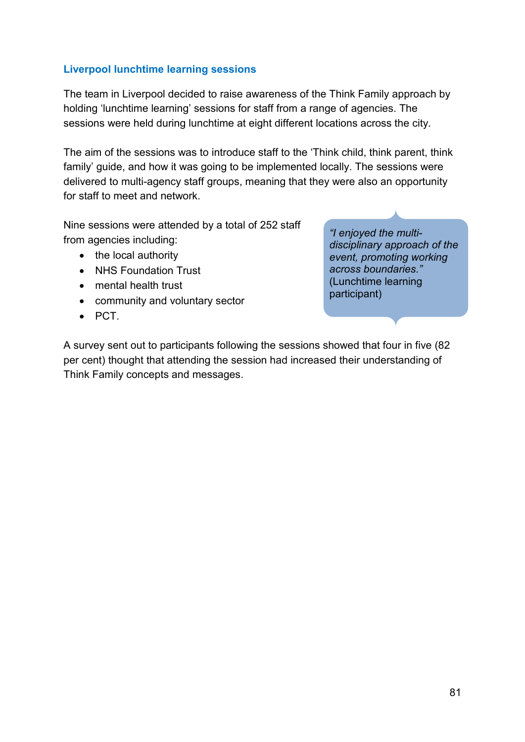### **Liverpool lunchtime learning sessions**

The team in Liverpool decided to raise awareness of the Think Family approach by holding 'lunchtime learning' sessions for staff from a range of agencies. The sessions were held during lunchtime at eight different locations across the city.

The aim of the sessions was to introduce staff to the 'Think child, think parent, think family' guide, and how it was going to be implemented locally. The sessions were delivered to multi-agency staff groups, meaning that they were also an opportunity for staff to meet and network.

Nine sessions were attended by a total of 252 staff from agencies including:

- the local authority
- NHS Foundation Trust
- mental health trust
- community and voluntary sector
- PCT.

*"I enjoyed the multidisciplinary approach of the event, promoting working across boundaries."*  (Lunchtime learning participant)

A survey sent out to participants following the sessions showed that four in five (82 per cent) thought that attending the session had increased their understanding of Think Family concepts and messages.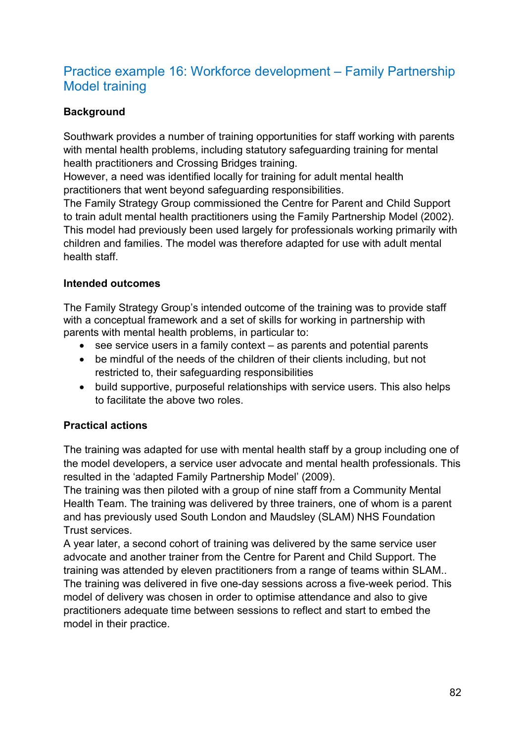# Practice example 16: Workforce development – Family Partnership Model training

## **Background**

Southwark provides a number of training opportunities for staff working with parents with mental health problems, including statutory safeguarding training for mental health practitioners and Crossing Bridges training.

However, a need was identified locally for training for adult mental health practitioners that went beyond safeguarding responsibilities.

The Family Strategy Group commissioned the Centre for Parent and Child Support to train adult mental health practitioners using the Family Partnership Model (2002). This model had previously been used largely for professionals working primarily with children and families. The model was therefore adapted for use with adult mental health staff.

### **Intended outcomes**

The Family Strategy Group's intended outcome of the training was to provide staff with a conceptual framework and a set of skills for working in partnership with parents with mental health problems, in particular to:

- see service users in a family context as parents and potential parents
- be mindful of the needs of the children of their clients including, but not restricted to, their safeguarding responsibilities
- build supportive, purposeful relationships with service users. This also helps to facilitate the above two roles.

### **Practical actions**

The training was adapted for use with mental health staff by a group including one of the model developers, a service user advocate and mental health professionals. This resulted in the 'adapted Family Partnership Model' (2009).

The training was then piloted with a group of nine staff from a Community Mental Health Team. The training was delivered by three trainers, one of whom is a parent and has previously used South London and Maudsley (SLAM) NHS Foundation Trust services.

A year later, a second cohort of training was delivered by the same service user advocate and another trainer from the Centre for Parent and Child Support. The training was attended by eleven practitioners from a range of teams within SLAM.. The training was delivered in five one-day sessions across a five-week period. This model of delivery was chosen in order to optimise attendance and also to give practitioners adequate time between sessions to reflect and start to embed the model in their practice.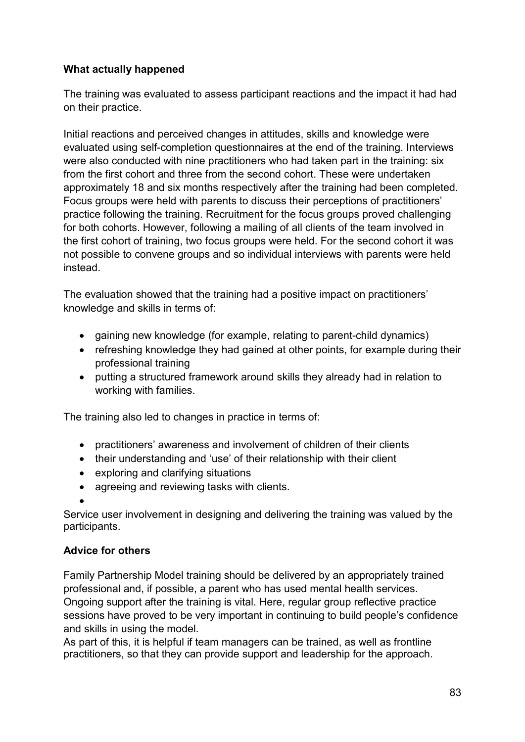## **What actually happened**

The training was evaluated to assess participant reactions and the impact it had had on their practice.

Initial reactions and perceived changes in attitudes, skills and knowledge were evaluated using self-completion questionnaires at the end of the training. Interviews were also conducted with nine practitioners who had taken part in the training: six from the first cohort and three from the second cohort. These were undertaken approximately 18 and six months respectively after the training had been completed. Focus groups were held with parents to discuss their perceptions of practitioners' practice following the training. Recruitment for the focus groups proved challenging for both cohorts. However, following a mailing of all clients of the team involved in the first cohort of training, two focus groups were held. For the second cohort it was not possible to convene groups and so individual interviews with parents were held instead.

The evaluation showed that the training had a positive impact on practitioners' knowledge and skills in terms of:

- gaining new knowledge (for example, relating to parent-child dynamics)
- refreshing knowledge they had gained at other points, for example during their professional training
- putting a structured framework around skills they already had in relation to working with families.

The training also led to changes in practice in terms of:

- practitioners' awareness and involvement of children of their clients
- their understanding and 'use' of their relationship with their client
- exploring and clarifying situations
- agreeing and reviewing tasks with clients.
- •

Service user involvement in designing and delivering the training was valued by the participants.

### **Advice for others**

Family Partnership Model training should be delivered by an appropriately trained professional and, if possible, a parent who has used mental health services. Ongoing support after the training is vital. Here, regular group reflective practice sessions have proved to be very important in continuing to build people's confidence and skills in using the model.

As part of this, it is helpful if team managers can be trained, as well as frontline practitioners, so that they can provide support and leadership for the approach.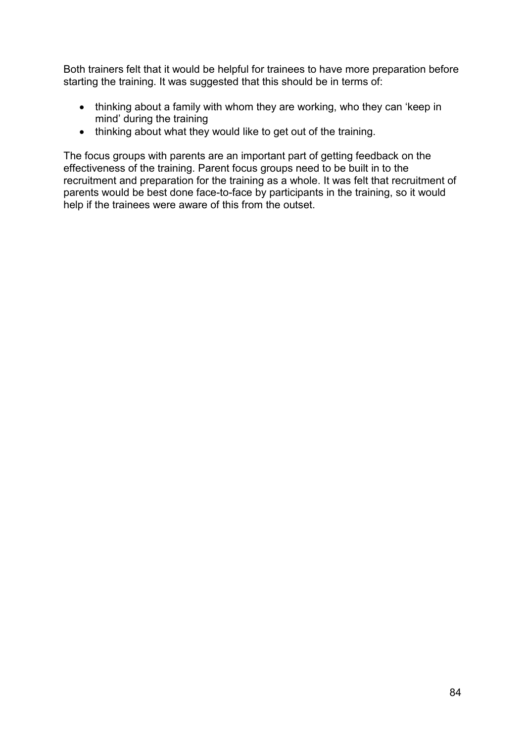Both trainers felt that it would be helpful for trainees to have more preparation before starting the training. It was suggested that this should be in terms of:

- thinking about a family with whom they are working, who they can 'keep in mind' during the training
- thinking about what they would like to get out of the training.

The focus groups with parents are an important part of getting feedback on the effectiveness of the training. Parent focus groups need to be built in to the recruitment and preparation for the training as a whole. It was felt that recruitment of parents would be best done face-to-face by participants in the training, so it would help if the trainees were aware of this from the outset.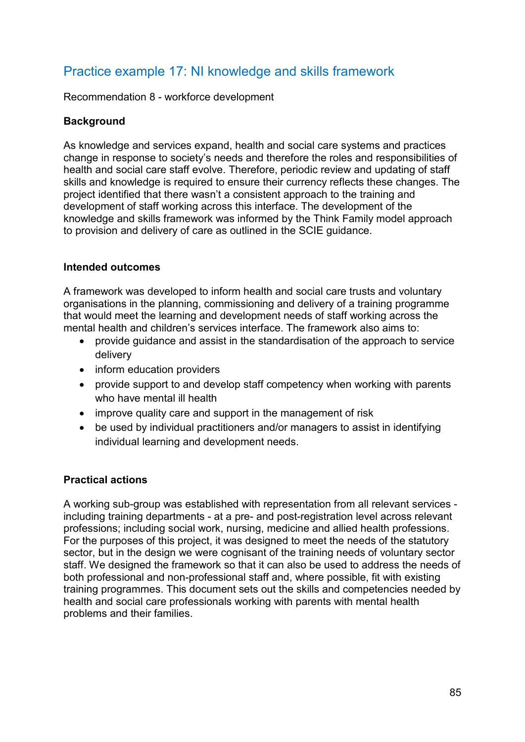# Practice example 17: NI knowledge and skills framework

Recommendation 8 - workforce development

### **Background**

As knowledge and services expand, health and social care systems and practices change in response to society's needs and therefore the roles and responsibilities of health and social care staff evolve. Therefore, periodic review and updating of staff skills and knowledge is required to ensure their currency reflects these changes. The project identified that there wasn't a consistent approach to the training and development of staff working across this interface. The development of the knowledge and skills framework was informed by the Think Family model approach to provision and delivery of care as outlined in the SCIE guidance.

### **Intended outcomes**

A framework was developed to inform health and social care trusts and voluntary organisations in the planning, commissioning and delivery of a training programme that would meet the learning and development needs of staff working across the mental health and children's services interface. The framework also aims to:

- provide guidance and assist in the standardisation of the approach to service delivery
- inform education providers
- provide support to and develop staff competency when working with parents who have mental ill health
- improve quality care and support in the management of risk
- be used by individual practitioners and/or managers to assist in identifying individual learning and development needs.

### **Practical actions**

A working sub-group was established with representation from all relevant services including training departments - at a pre- and post-registration level across relevant professions; including social work, nursing, medicine and allied health professions. For the purposes of this project, it was designed to meet the needs of the statutory sector, but in the design we were cognisant of the training needs of voluntary sector staff. We designed the framework so that it can also be used to address the needs of both professional and non-professional staff and, where possible, fit with existing training programmes. This document sets out the skills and competencies needed by health and social care professionals working with parents with mental health problems and their families.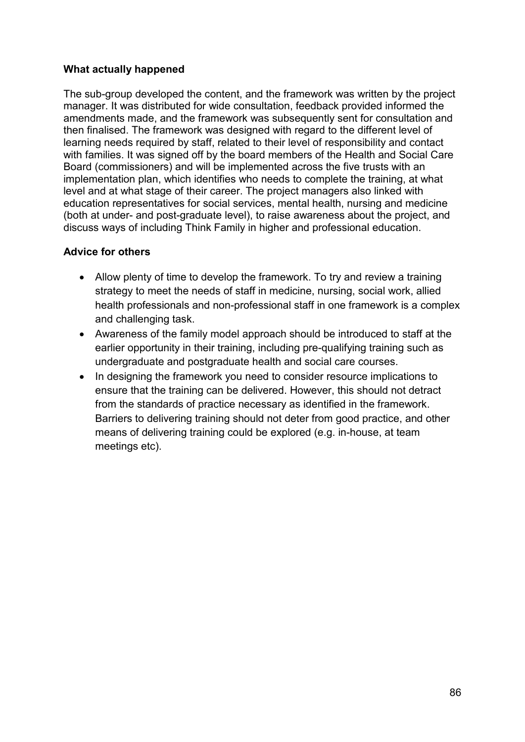### **What actually happened**

The sub-group developed the content, and the framework was written by the project manager. It was distributed for wide consultation, feedback provided informed the amendments made, and the framework was subsequently sent for consultation and then finalised. The framework was designed with regard to the different level of learning needs required by staff, related to their level of responsibility and contact with families. It was signed off by the board members of the Health and Social Care Board (commissioners) and will be implemented across the five trusts with an implementation plan, which identifies who needs to complete the training, at what level and at what stage of their career. The project managers also linked with education representatives for social services, mental health, nursing and medicine (both at under- and post-graduate level), to raise awareness about the project, and discuss ways of including Think Family in higher and professional education.

### **Advice for others**

- Allow plenty of time to develop the framework. To try and review a training strategy to meet the needs of staff in medicine, nursing, social work, allied health professionals and non-professional staff in one framework is a complex and challenging task.
- Awareness of the family model approach should be introduced to staff at the earlier opportunity in their training, including pre-qualifying training such as undergraduate and postgraduate health and social care courses.
- In designing the framework you need to consider resource implications to ensure that the training can be delivered. However, this should not detract from the standards of practice necessary as identified in the framework. Barriers to delivering training should not deter from good practice, and other means of delivering training could be explored (e.g. in-house, at team meetings etc).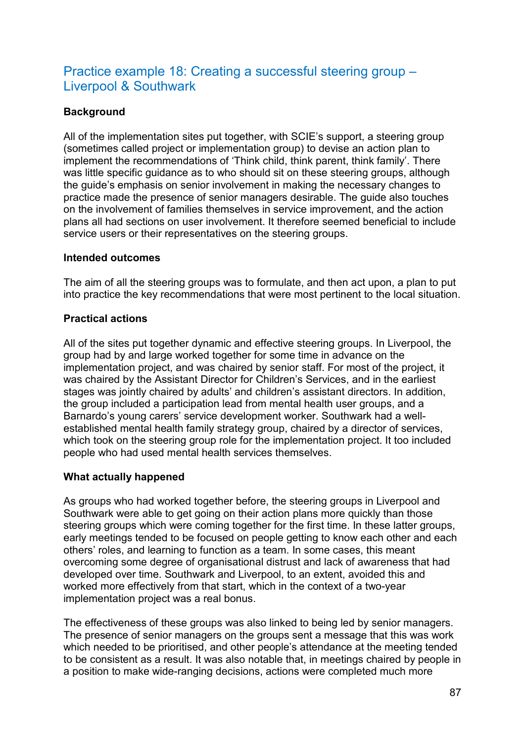# Practice example 18: Creating a successful steering group – Liverpool & Southwark

## **Background**

All of the implementation sites put together, with SCIE's support, a steering group (sometimes called project or implementation group) to devise an action plan to implement the recommendations of 'Think child, think parent, think family'. There was little specific guidance as to who should sit on these steering groups, although the guide's emphasis on senior involvement in making the necessary changes to practice made the presence of senior managers desirable. The guide also touches on the involvement of families themselves in service improvement, and the action plans all had sections on user involvement. It therefore seemed beneficial to include service users or their representatives on the steering groups.

### **Intended outcomes**

The aim of all the steering groups was to formulate, and then act upon, a plan to put into practice the key recommendations that were most pertinent to the local situation.

### **Practical actions**

All of the sites put together dynamic and effective steering groups. In Liverpool, the group had by and large worked together for some time in advance on the implementation project, and was chaired by senior staff. For most of the project, it was chaired by the Assistant Director for Children's Services, and in the earliest stages was jointly chaired by adults' and children's assistant directors. In addition, the group included a participation lead from mental health user groups, and a Barnardo's young carers' service development worker. Southwark had a wellestablished mental health family strategy group, chaired by a director of services, which took on the steering group role for the implementation project. It too included people who had used mental health services themselves.

### **What actually happened**

As groups who had worked together before, the steering groups in Liverpool and Southwark were able to get going on their action plans more quickly than those steering groups which were coming together for the first time. In these latter groups, early meetings tended to be focused on people getting to know each other and each others' roles, and learning to function as a team. In some cases, this meant overcoming some degree of organisational distrust and lack of awareness that had developed over time. Southwark and Liverpool, to an extent, avoided this and worked more effectively from that start, which in the context of a two-year implementation project was a real bonus.

The effectiveness of these groups was also linked to being led by senior managers. The presence of senior managers on the groups sent a message that this was work which needed to be prioritised, and other people's attendance at the meeting tended to be consistent as a result. It was also notable that, in meetings chaired by people in a position to make wide-ranging decisions, actions were completed much more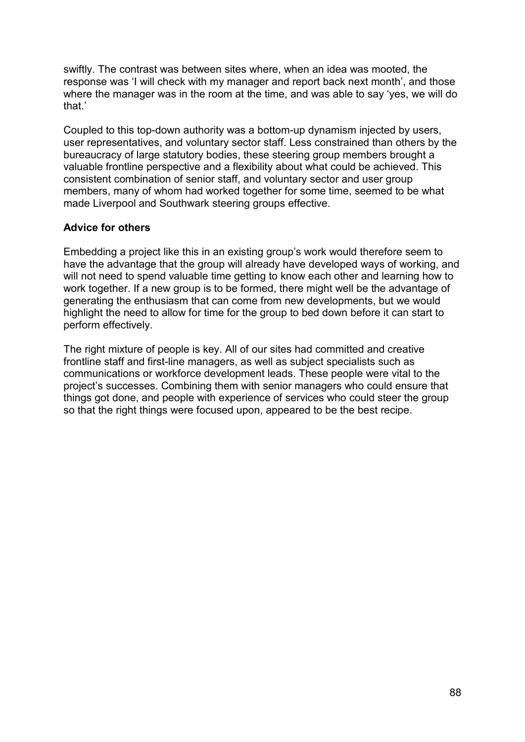swiftly. The contrast was between sites where, when an idea was mooted, the response was 'I will check with my manager and report back next month', and those where the manager was in the room at the time, and was able to say 'yes, we will do that.'

Coupled to this top-down authority was a bottom-up dynamism injected by users, user representatives, and voluntary sector staff. Less constrained than others by the bureaucracy of large statutory bodies, these steering group members brought a valuable frontline perspective and a flexibility about what could be achieved. This consistent combination of senior staff, and voluntary sector and user group members, many of whom had worked together for some time, seemed to be what made Liverpool and Southwark steering groups effective.

### **Advice for others**

Embedding a project like this in an existing group's work would therefore seem to have the advantage that the group will already have developed ways of working, and will not need to spend valuable time getting to know each other and learning how to work together. If a new group is to be formed, there might well be the advantage of generating the enthusiasm that can come from new developments, but we would highlight the need to allow for time for the group to bed down before it can start to perform effectively.

The right mixture of people is key. All of our sites had committed and creative frontline staff and first-line managers, as well as subject specialists such as communications or workforce development leads. These people were vital to the project's successes. Combining them with senior managers who could ensure that things got done, and people with experience of services who could steer the group so that the right things were focused upon, appeared to be the best recipe.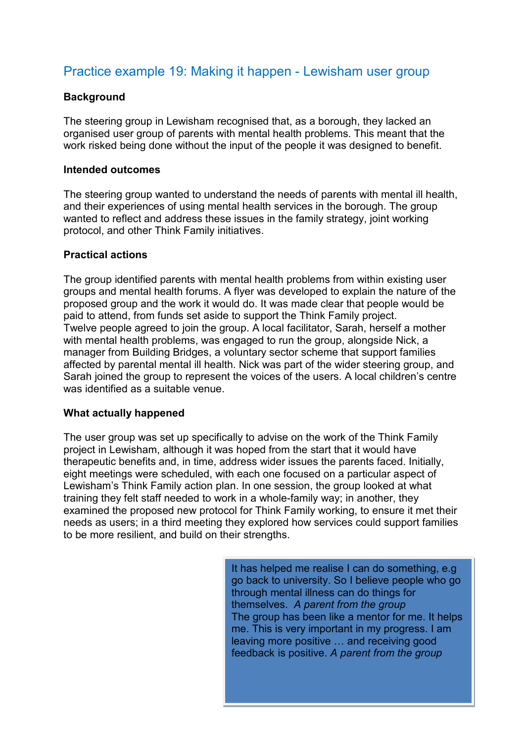# Practice example 19: Making it happen - Lewisham user group

### **Background**

The steering group in Lewisham recognised that, as a borough, they lacked an organised user group of parents with mental health problems. This meant that the work risked being done without the input of the people it was designed to benefit.

#### **Intended outcomes**

The steering group wanted to understand the needs of parents with mental ill health, and their experiences of using mental health services in the borough. The group wanted to reflect and address these issues in the family strategy, joint working protocol, and other Think Family initiatives.

#### **Practical actions**

The group identified parents with mental health problems from within existing user groups and mental health forums. A flyer was developed to explain the nature of the proposed group and the work it would do. It was made clear that people would be paid to attend, from funds set aside to support the Think Family project. Twelve people agreed to join the group. A local facilitator, Sarah, herself a mother with mental health problems, was engaged to run the group, alongside Nick, a manager from Building Bridges, a voluntary sector scheme that support families affected by parental mental ill health. Nick was part of the wider steering group, and Sarah joined the group to represent the voices of the users. A local children's centre was identified as a suitable venue.

### **What actually happened**

The user group was set up specifically to advise on the work of the Think Family project in Lewisham, although it was hoped from the start that it would have therapeutic benefits and, in time, address wider issues the parents faced. Initially, eight meetings were scheduled, with each one focused on a particular aspect of Lewisham's Think Family action plan. In one session, the group looked at what training they felt staff needed to work in a whole-family way; in another, they examined the proposed new protocol for Think Family working, to ensure it met their needs as users; in a third meeting they explored how services could support families to be more resilient, and build on their strengths.

> It has helped me realise I can do something, e.g go back to university. So I believe people who go through mental illness can do things for themselves. *A parent from the group* The group has been like a mentor for me. It helps me. This is very important in my progress. I am leaving more positive … and receiving good feedback is positive. *A parent from the group*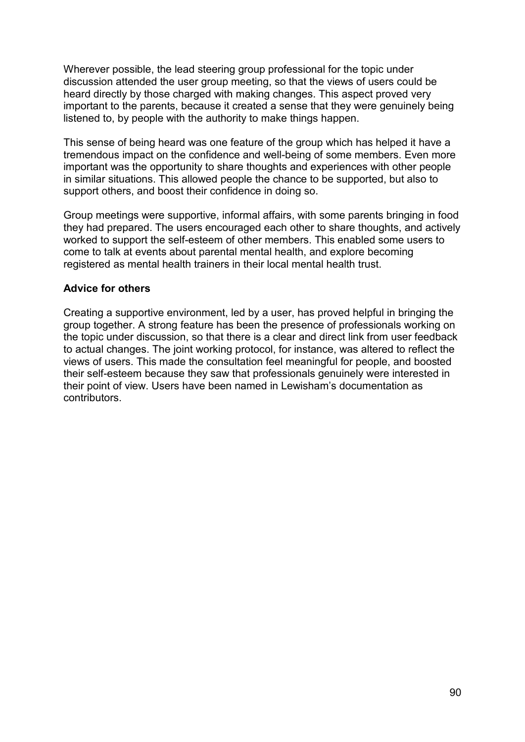Wherever possible, the lead steering group professional for the topic under discussion attended the user group meeting, so that the views of users could be heard directly by those charged with making changes. This aspect proved very important to the parents, because it created a sense that they were genuinely being listened to, by people with the authority to make things happen.

This sense of being heard was one feature of the group which has helped it have a tremendous impact on the confidence and well-being of some members. Even more important was the opportunity to share thoughts and experiences with other people in similar situations. This allowed people the chance to be supported, but also to support others, and boost their confidence in doing so.

Group meetings were supportive, informal affairs, with some parents bringing in food they had prepared. The users encouraged each other to share thoughts, and actively worked to support the self-esteem of other members. This enabled some users to come to talk at events about parental mental health, and explore becoming registered as mental health trainers in their local mental health trust.

### **Advice for others**

Creating a supportive environment, led by a user, has proved helpful in bringing the group together. A strong feature has been the presence of professionals working on the topic under discussion, so that there is a clear and direct link from user feedback to actual changes. The joint working protocol, for instance, was altered to reflect the views of users. This made the consultation feel meaningful for people, and boosted their self-esteem because they saw that professionals genuinely were interested in their point of view. Users have been named in Lewisham's documentation as contributors.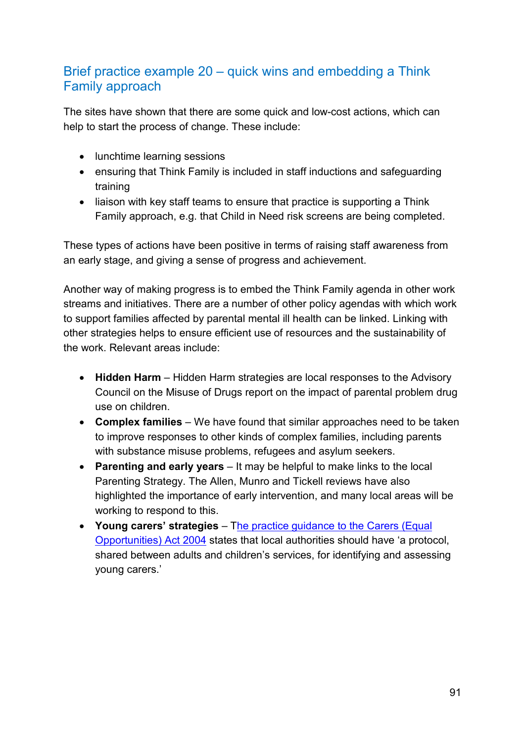# Brief practice example 20 – quick wins and embedding a Think Family approach

The sites have shown that there are some quick and low-cost actions, which can help to start the process of change. These include:

- lunchtime learning sessions
- ensuring that Think Family is included in staff inductions and safeguarding training
- liaison with key staff teams to ensure that practice is supporting a Think Family approach, e.g. that Child in Need risk screens are being completed.

These types of actions have been positive in terms of raising staff awareness from an early stage, and giving a sense of progress and achievement.

Another way of making progress is to embed the Think Family agenda in other work streams and initiatives. There are a number of other policy agendas with which work to support families affected by parental mental ill health can be linked. Linking with other strategies helps to ensure efficient use of resources and the sustainability of the work. Relevant areas include:

- **Hidden Harm** Hidden Harm strategies are local responses to the Advisory Council on the Misuse of Drugs report on the impact of parental problem drug use on children.
- **Complex families**  We have found that similar approaches need to be taken to improve responses to other kinds of complex families, including parents with substance misuse problems, refugees and asylum seekers.
- **Parenting and early years**  It may be helpful to make links to the local Parenting Strategy. The Allen, Munro and Tickell reviews have also highlighted the importance of early intervention, and many local areas will be working to respond to this.
- **Young carers' strategies** [The practice guidance to the Carers \(Equal](http://www.scie.org.uk/publications/practiceguides/carersguidance/index.asp)  [Opportunities\) Act 2004](http://www.scie.org.uk/publications/practiceguides/carersguidance/index.asp) states that local authorities should have 'a protocol, shared between adults and children's services, for identifying and assessing young carers.'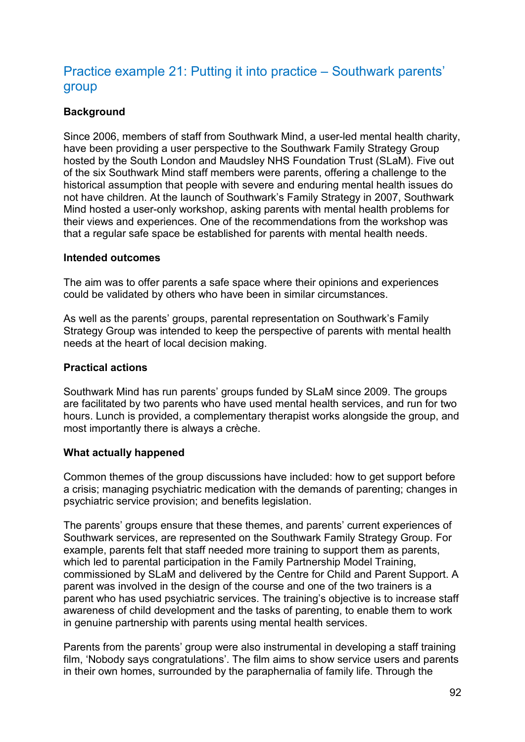# Practice example 21: Putting it into practice – Southwark parents' group

### **Background**

Since 2006, members of staff from Southwark Mind, a user-led mental health charity, have been providing a user perspective to the Southwark Family Strategy Group hosted by the South London and Maudsley NHS Foundation Trust (SLaM). Five out of the six Southwark Mind staff members were parents, offering a challenge to the historical assumption that people with severe and enduring mental health issues do not have children. At the launch of Southwark's Family Strategy in 2007, Southwark Mind hosted a user-only workshop, asking parents with mental health problems for their views and experiences. One of the recommendations from the workshop was that a regular safe space be established for parents with mental health needs.

### **Intended outcomes**

The aim was to offer parents a safe space where their opinions and experiences could be validated by others who have been in similar circumstances.

As well as the parents' groups, parental representation on Southwark's Family Strategy Group was intended to keep the perspective of parents with mental health needs at the heart of local decision making.

### **Practical actions**

Southwark Mind has run parents' groups funded by SLaM since 2009. The groups are facilitated by two parents who have used mental health services, and run for two hours. Lunch is provided, a complementary therapist works alongside the group, and most importantly there is always a crèche.

### **What actually happened**

Common themes of the group discussions have included: how to get support before a crisis; managing psychiatric medication with the demands of parenting; changes in psychiatric service provision; and benefits legislation.

The parents' groups ensure that these themes, and parents' current experiences of Southwark services, are represented on the Southwark Family Strategy Group. For example, parents felt that staff needed more training to support them as parents, which led to parental participation in the Family Partnership Model Training, commissioned by SLaM and delivered by the Centre for Child and Parent Support. A parent was involved in the design of the course and one of the two trainers is a parent who has used psychiatric services. The training's objective is to increase staff awareness of child development and the tasks of parenting, to enable them to work in genuine partnership with parents using mental health services.

Parents from the parents' group were also instrumental in developing a staff training film, 'Nobody says congratulations'. The film aims to show service users and parents in their own homes, surrounded by the paraphernalia of family life. Through the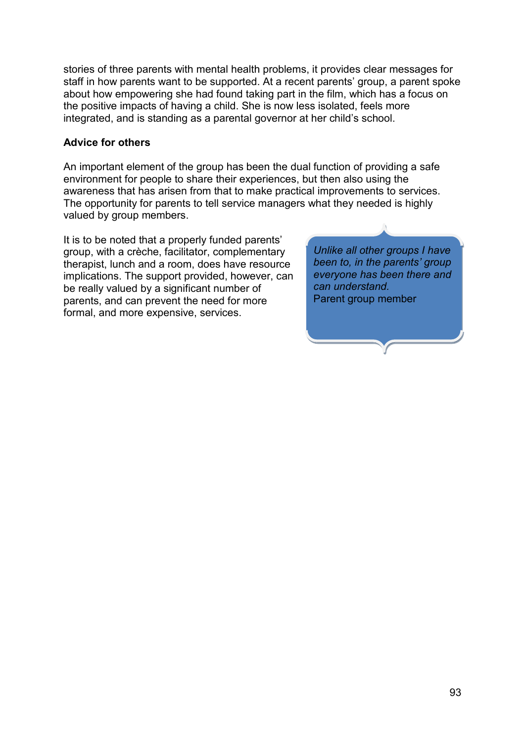stories of three parents with mental health problems, it provides clear messages for staff in how parents want to be supported. At a recent parents' group, a parent spoke about how empowering she had found taking part in the film, which has a focus on the positive impacts of having a child. She is now less isolated, feels more integrated, and is standing as a parental governor at her child's school.

### **Advice for others**

An important element of the group has been the dual function of providing a safe environment for people to share their experiences, but then also using the awareness that has arisen from that to make practical improvements to services. The opportunity for parents to tell service managers what they needed is highly valued by group members.

It is to be noted that a properly funded parents' group, with a crèche, facilitator, complementary therapist, lunch and a room, does have resource implications. The support provided, however, can be really valued by a significant number of parents, and can prevent the need for more formal, and more expensive, services.

*Unlike all other groups I have been to, in the parents' group everyone has been there and can understand.*  Parent group member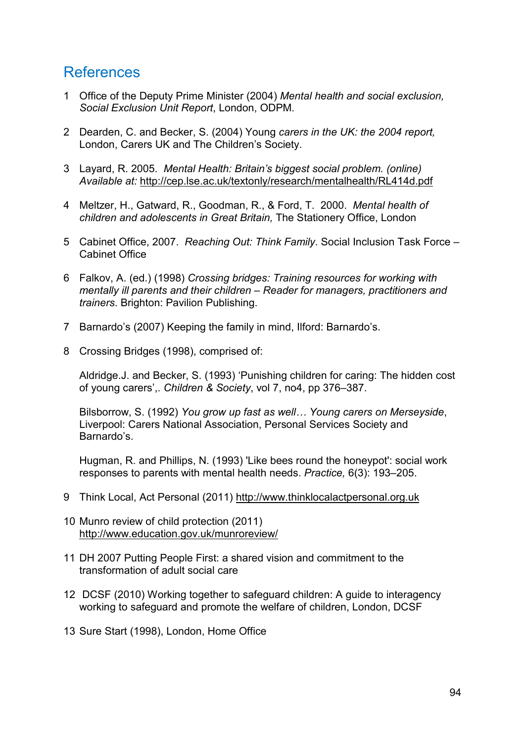# References

- 1 Office of the Deputy Prime Minister (2004) *Mental health and social exclusion, Social Exclusion Unit Report*, London, ODPM.
- 2 Dearden, C. and Becker, S. (2004) Young *carers in the UK: the 2004 report,*  London, Carers UK and The Children's Society.
- 3 Layard, R. 2005. *Mental Health: Britain's biggest social problem. (online) Available at:* <http://cep.lse.ac.uk/textonly/research/mentalhealth/RL414d.pdf>
- 4 Meltzer, H., Gatward, R., Goodman, R., & Ford, T. 2000. *Mental health of children and adolescents in Great Britain,* The Stationery Office, London
- 5 Cabinet Office, 2007. *Reaching Out: Think Family*. Social Inclusion Task Force Cabinet Office
- 6 Falkov, A. (ed.) (1998) *Crossing bridges: Training resources for working with mentally ill parents and their children – Reader for managers, practitioners and trainers*. Brighton: Pavilion Publishing.
- 7 Barnardo's (2007) Keeping the family in mind, Ilford: Barnardo's.
- 8 Crossing Bridges (1998), comprised of:

Aldridge.J. and Becker, S. (1993) 'Punishing children for caring: The hidden cost of young carers',. *Children & Society*, vol 7, no4, pp 376–387.

Bilsborrow, S. (1992) *You grow up fast as well… Young carers on Merseyside*, Liverpool: Carers National Association, Personal Services Society and Barnardo's.

Hugman, R. and Phillips, N. (1993) 'Like bees round the honeypot': social work responses to parents with mental health needs. *Practice,* 6(3): 193–205.

- 9 Think Local, Act Personal (2011) [http://www.thinklocalactpersonal.org.uk](http://www.thinklocalactpersonal.org.uk/)
- 10 Munro review of child protection (2011) <http://www.education.gov.uk/munroreview/>
- 11 DH 2007 Putting People First: a shared vision and commitment to the transformation of adult social care
- 12 DCSF (2010) Working together to safeguard children: A guide to interagency working to safeguard and promote the welfare of children, London, DCSF
- 13 Sure Start (1998), London, Home Office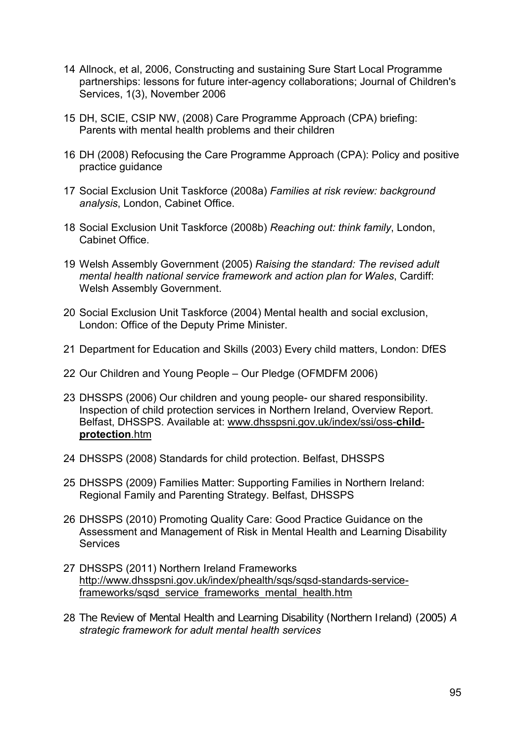- 14 Allnock, et al, 2006, Constructing and sustaining Sure Start Local Programme partnerships: lessons for future inter-agency collaborations; Journal of Children's Services, 1(3), November 2006
- 15 DH, SCIE, CSIP NW, (2008) Care Programme Approach (CPA) briefing: Parents with mental health problems and their children
- 16 DH (2008) Refocusing the Care Programme Approach (CPA): Policy and positive practice guidance
- 17 Social Exclusion Unit Taskforce (2008a) *Families at risk review: background analysis*, London, Cabinet Office.
- 18 Social Exclusion Unit Taskforce (2008b) *Reaching out: think family*, London, Cabinet Office.
- 19 Welsh Assembly Government (2005) *Raising the standard: The revised adult mental health national service framework and action plan for Wales*, Cardiff: Welsh Assembly Government.
- 20 Social Exclusion Unit Taskforce (2004) Mental health and social exclusion, London: Office of the Deputy Prime Minister.
- 21 Department for Education and Skills (2003) Every child matters, London: DfES
- 22 Our Children and Young People Our Pledge (OFMDFM 2006)
- 23 DHSSPS (2006) Our children and young people- our shared responsibility. Inspection of child protection services in Northern Ireland, Overview Report. Belfast, DHSSPS. Available at: [www.dhsspsni.gov.uk/index/ssi/oss-](http://www.dhsspsni.gov.uk/index/ssi/oss-child-protection.htm)**child[protection](http://www.dhsspsni.gov.uk/index/ssi/oss-child-protection.htm)**.htm
- 24 DHSSPS (2008) Standards for child protection. Belfast, DHSSPS
- 25 DHSSPS (2009) Families Matter: Supporting Families in Northern Ireland: Regional Family and Parenting Strategy. Belfast, DHSSPS
- 26 DHSSPS (2010) Promoting Quality Care: Good Practice Guidance on the Assessment and Management of Risk in Mental Health and Learning Disability **Services**
- 27 DHSSPS (2011) Northern Ireland Frameworks [http://www.dhsspsni.gov.uk/index/phealth/sqs/sqsd-standards-service](http://www.dhsspsni.gov.uk/index/phealth/sqs/sqsd-standards-service-frameworks/sqsd_service_frameworks_mental_health.htm)frameworks/sqsd\_service\_frameworks\_mental\_health.htm
- 28 The Review of Mental Health and Learning Disability (Northern Ireland) (2005) *A strategic framework for adult mental health services*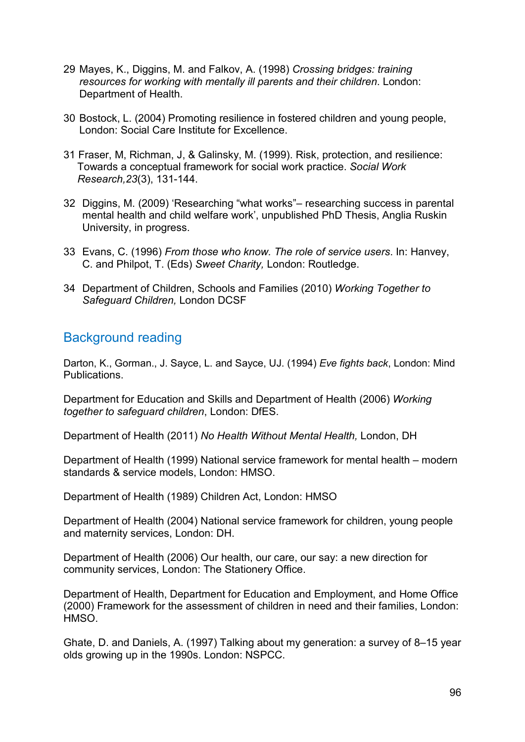- 29 Mayes, K., Diggins, M. and Falkov, A. (1998) *Crossing bridges: training resources for working with mentally ill parents and their children*. London: Department of Health.
- 30 Bostock, L. (2004) Promoting resilience in fostered children and young people, London: Social Care Institute for Excellence.
- 31 Fraser, M, Richman, J, & Galinsky, M. (1999). Risk, protection, and resilience: Towards a conceptual framework for social work practice. *Social Work Research,23*(3), 131-144.
- 32 Diggins, M. (2009) 'Researching "what works"researching success in parental mental health and child welfare work', unpublished PhD Thesis, Anglia Ruskin University, in progress.
- 33 Evans, C. (1996) *From those who know. The role of service users*. In: Hanvey, C. and Philpot, T. (Eds) *Sweet Charity,* London: Routledge.
- 34 Department of Children, Schools and Families (2010) *Working Together to Safeguard Children,* London DCSF

## Background reading

Darton, K., Gorman., J. Sayce, L. and Sayce, UJ. (1994) *Eve fights back*, London: Mind Publications.

Department for Education and Skills and Department of Health (2006) *Working together to safeguard children*, London: DfES.

Department of Health (2011) *No Health Without Mental Health,* London, DH

Department of Health (1999) National service framework for mental health – modern standards & service models, London: HMSO.

Department of Health (1989) Children Act, London: HMSO

Department of Health (2004) National service framework for children, young people and maternity services, London: DH.

Department of Health (2006) Our health, our care, our say: a new direction for community services, London: The Stationery Office.

Department of Health, Department for Education and Employment, and Home Office (2000) Framework for the assessment of children in need and their families, London: HMSO.

Ghate, D. and Daniels, A. (1997) Talking about my generation: a survey of 8–15 year olds growing up in the 1990s. London: NSPCC.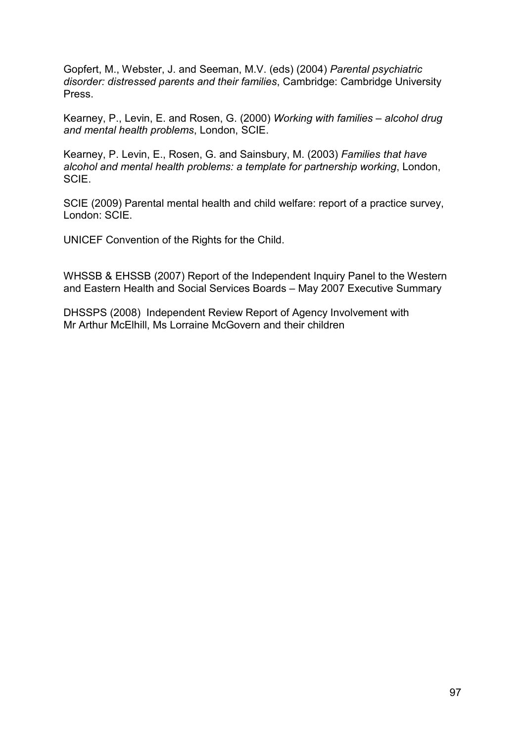Gopfert, M., Webster, J. and Seeman, M.V. (eds) (2004) *Parental psychiatric disorder: distressed parents and their families*, Cambridge: Cambridge University Press.

Kearney, P., Levin, E. and Rosen, G. (2000) *Working with families – alcohol drug and mental health problems*, London, SCIE.

Kearney, P. Levin, E., Rosen, G. and Sainsbury, M. (2003) *Families that have alcohol and mental health problems: a template for partnership working*, London, SCIE.

SCIE (2009) Parental mental health and child welfare: report of a practice survey, London: SCIE.

UNICEF Convention of the Rights for the Child.

WHSSB & EHSSB (2007) Report of the Independent Inquiry Panel to the Western and Eastern Health and Social Services Boards – May 2007 Executive Summary

DHSSPS (2008) Independent Review Report of Agency Involvement with Mr Arthur McElhill, Ms Lorraine McGovern and their children